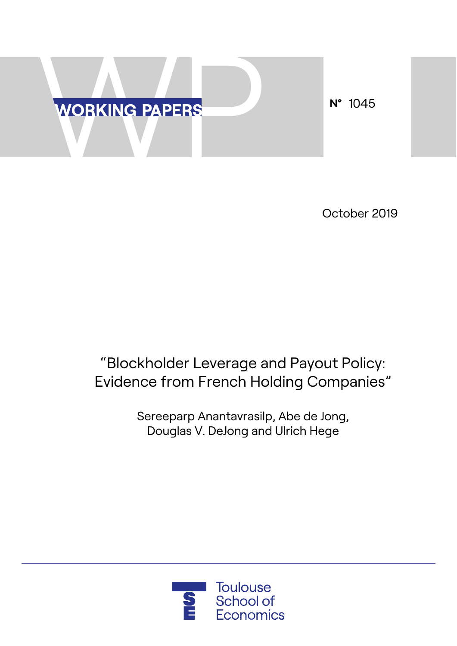

October 2019

# "Blockholder Leverage and Payout Policy: Evidence from French Holding Companies"

Sereeparp Anantavrasilp, Abe de Jong, Douglas V. DeJong and Ulrich Hege

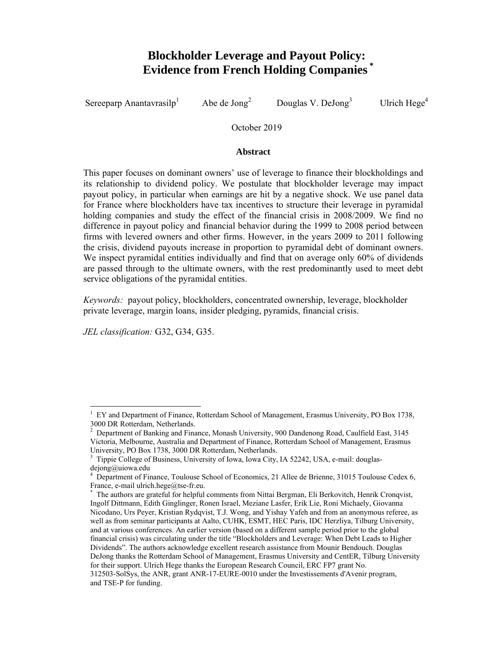# **Blockholder Leverage and Payout Policy: Evidence from French Holding Companies**

Sereeparp Anantavrasil $p<sup>1</sup>$ Abe de  $Jong<sup>2</sup>$ Douglas V. DeJong $3$ Ulrich Hege<sup>4</sup>

October 2019

### **Abstract**

This paper focuses on dominant owners' use of leverage to finance their blockholdings and its relationship to dividend policy. We postulate that blockholder leverage may impact payout policy, in particular when earnings are hit by a negative shock. We use panel data for France where blockholders have tax incentives to structure their leverage in pyramidal holding companies and study the effect of the financial crisis in 2008/2009. We find no difference in payout policy and financial behavior during the 1999 to 2008 period between firms with levered owners and other firms. However, in the years 2009 to 2011 following the crisis, dividend payouts increase in proportion to pyramidal debt of dominant owners. We inspect pyramidal entities individually and find that on average only 60% of dividends are passed through to the ultimate owners, with the rest predominantly used to meet debt service obligations of the pyramidal entities.

*Keywords:* payout policy, blockholders, concentrated ownership, leverage, blockholder private leverage, margin loans, insider pledging, pyramids, financial crisis.

*JEL classification:* G32, G34, G35.

 $\overline{a}$ 1 EY and Department of Finance, Rotterdam School of Management, Erasmus University, PO Box 1738, 3000 DR Rotterdam, Netherlands.

<sup>2</sup> Department of Banking and Finance, Monash University, 900 Dandenong Road, Caulfield East, 3145 Victoria, Melbourne, Australia and Department of Finance, Rotterdam School of Management, Erasmus University, PO Box 1738, 3000 DR Rotterdam, Netherlands.

<sup>3</sup> Tippie College of Business, University of Iowa, Iowa City, IA 52242, USA, e-mail: douglasdejong@uiowa.edu

<sup>4</sup> Department of Finance, Toulouse School of Economics, 21 Allee de Brienne, 31015 Toulouse Cedex 6, France, e-mail ulrich.hege@tse-fr.eu.

<sup>\*</sup> The authors are grateful for helpful comments from Nittai Bergman, Eli Berkovitch, Henrik Cronqvist, Ingolf Dittmann, Edith Ginglinger, Ronen Israel, Meziane Lasfer, Erik Lie, Roni Michaely, Giovanna Nicodano, Urs Peyer, Kristian Rydqvist, T.J. Wong, and Yishay Yafeh and from an anonymous referee, as well as from seminar participants at Aalto, CUHK, ESMT, HEC Paris, IDC Herzliya, Tilburg University, and at various conferences. An earlier version (based on a different sample period prior to the global financial crisis) was circulating under the title "Blockholders and Leverage: When Debt Leads to Higher Dividends". The authors acknowledge excellent research assistance from Mounir Bendouch. Douglas DeJong thanks the Rotterdam School of Management, Erasmus University and CentER, Tilburg University for their support. Ulrich Hege thanks the European Research Council, ERC FP7 grant No. 312503-SolSys, the ANR, grant ANR-17-EURE-0010 under the Investissements d'Avenir program, and TSE-P for funding.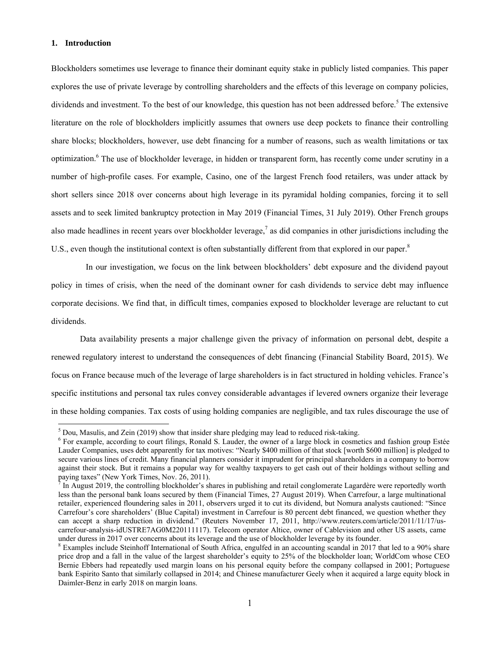### **1. Introduction**

 $\overline{a}$ 

Blockholders sometimes use leverage to finance their dominant equity stake in publicly listed companies. This paper explores the use of private leverage by controlling shareholders and the effects of this leverage on company policies, dividends and investment. To the best of our knowledge, this question has not been addressed before.<sup>5</sup> The extensive literature on the role of blockholders implicitly assumes that owners use deep pockets to finance their controlling share blocks; blockholders, however, use debt financing for a number of reasons, such as wealth limitations or tax optimization.<sup>6</sup> The use of blockholder leverage, in hidden or transparent form, has recently come under scrutiny in a number of high-profile cases. For example, Casino, one of the largest French food retailers, was under attack by short sellers since 2018 over concerns about high leverage in its pyramidal holding companies, forcing it to sell assets and to seek limited bankruptcy protection in May 2019 (Financial Times, 31 July 2019). Other French groups also made headlines in recent years over blockholder leverage,<sup>7</sup> as did companies in other jurisdictions including the U.S., even though the institutional context is often substantially different from that explored in our paper.<sup>8</sup>

In our investigation, we focus on the link between blockholders' debt exposure and the dividend payout policy in times of crisis, when the need of the dominant owner for cash dividends to service debt may influence corporate decisions. We find that, in difficult times, companies exposed to blockholder leverage are reluctant to cut dividends.

Data availability presents a major challenge given the privacy of information on personal debt, despite a renewed regulatory interest to understand the consequences of debt financing (Financial Stability Board, 2015). We focus on France because much of the leverage of large shareholders is in fact structured in holding vehicles. France's specific institutions and personal tax rules convey considerable advantages if levered owners organize their leverage in these holding companies. Tax costs of using holding companies are negligible, and tax rules discourage the use of

 $<sup>5</sup>$  Dou, Masulis, and Zein (2019) show that insider share pledging may lead to reduced risk-taking.</sup>

<sup>&</sup>lt;sup>6</sup> For example, according to court filings, Ronald S. Lauder, the owner of a large block in cosmetics and fashion group Estée Lauder Companies, uses debt apparently for tax motives: "Nearly \$400 million of that stock [worth \$600 million] is pledged to secure various lines of credit. Many financial planners consider it imprudent for principal shareholders in a company to borrow against their stock. But it remains a popular way for wealthy taxpayers to get cash out of their holdings without selling and paying taxes" (New York Times, Nov. 26, 2011).

 $^7$  In August 2019, the controlling blockholder's shares in publishing and retail conglomerate Lagardère were reportedly worth less than the personal bank loans secured by them (Financial Times, 27 August 2019). When Carrefour, a large multinational retailer, experienced floundering sales in 2011, observers urged it to cut its dividend, but Nomura analysts cautioned: "Since Carrefour's core shareholders' (Blue Capital) investment in Carrefour is 80 percent debt financed, we question whether they can accept a sharp reduction in dividend." (Reuters November 17, 2011, http://www.reuters.com/article/2011/11/17/uscarrefour-analysis-idUSTRE7AG0M220111117). Telecom operator Altice, owner of Cablevision and other US assets, came under duress in 2017 over concerns about its leverage and the use of blockholder leverage by its founder.

<sup>&</sup>lt;sup>8</sup> Examples include Steinhoff International of South Africa, engulfed in an accounting scandal in 2017 that led to a 90% share price drop and a fall in the value of the largest shareholder's equity to 25% of the blockholder loan; WorldCom whose CEO Bernie Ebbers had repeatedly used margin loans on his personal equity before the company collapsed in 2001; Portuguese bank Espirito Santo that similarly collapsed in 2014; and Chinese manufacturer Geely when it acquired a large equity block in Daimler-Benz in early 2018 on margin loans.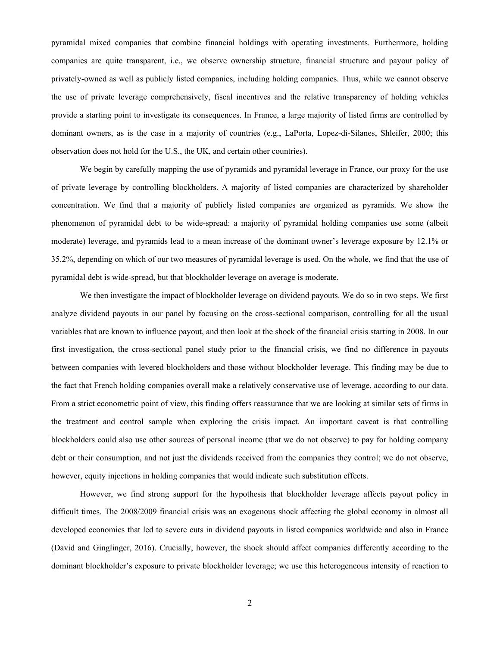pyramidal mixed companies that combine financial holdings with operating investments. Furthermore, holding companies are quite transparent, i.e., we observe ownership structure, financial structure and payout policy of privately-owned as well as publicly listed companies, including holding companies. Thus, while we cannot observe the use of private leverage comprehensively, fiscal incentives and the relative transparency of holding vehicles provide a starting point to investigate its consequences. In France, a large majority of listed firms are controlled by dominant owners, as is the case in a majority of countries (e.g., LaPorta, Lopez-di-Silanes, Shleifer, 2000; this observation does not hold for the U.S., the UK, and certain other countries).

We begin by carefully mapping the use of pyramids and pyramidal leverage in France, our proxy for the use of private leverage by controlling blockholders. A majority of listed companies are characterized by shareholder concentration. We find that a majority of publicly listed companies are organized as pyramids. We show the phenomenon of pyramidal debt to be wide-spread: a majority of pyramidal holding companies use some (albeit moderate) leverage, and pyramids lead to a mean increase of the dominant owner's leverage exposure by 12.1% or 35.2%, depending on which of our two measures of pyramidal leverage is used. On the whole, we find that the use of pyramidal debt is wide-spread, but that blockholder leverage on average is moderate.

We then investigate the impact of blockholder leverage on dividend payouts. We do so in two steps. We first analyze dividend payouts in our panel by focusing on the cross-sectional comparison, controlling for all the usual variables that are known to influence payout, and then look at the shock of the financial crisis starting in 2008. In our first investigation, the cross-sectional panel study prior to the financial crisis, we find no difference in payouts between companies with levered blockholders and those without blockholder leverage. This finding may be due to the fact that French holding companies overall make a relatively conservative use of leverage, according to our data. From a strict econometric point of view, this finding offers reassurance that we are looking at similar sets of firms in the treatment and control sample when exploring the crisis impact. An important caveat is that controlling blockholders could also use other sources of personal income (that we do not observe) to pay for holding company debt or their consumption, and not just the dividends received from the companies they control; we do not observe, however, equity injections in holding companies that would indicate such substitution effects.

However, we find strong support for the hypothesis that blockholder leverage affects payout policy in difficult times. The 2008/2009 financial crisis was an exogenous shock affecting the global economy in almost all developed economies that led to severe cuts in dividend payouts in listed companies worldwide and also in France (David and Ginglinger, 2016). Crucially, however, the shock should affect companies differently according to the dominant blockholder's exposure to private blockholder leverage; we use this heterogeneous intensity of reaction to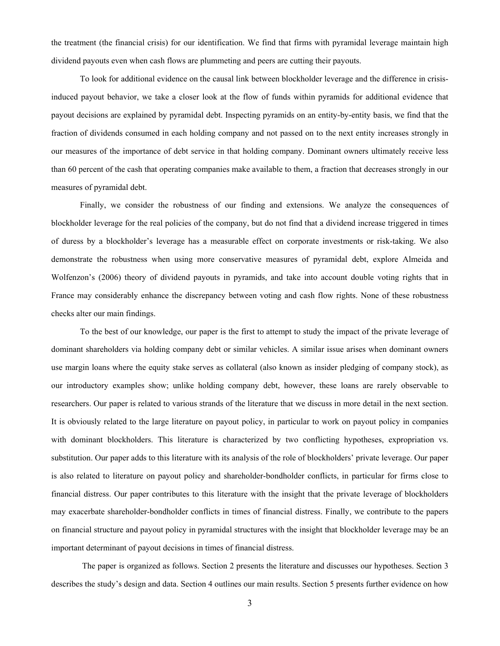the treatment (the financial crisis) for our identification. We find that firms with pyramidal leverage maintain high dividend payouts even when cash flows are plummeting and peers are cutting their payouts.

To look for additional evidence on the causal link between blockholder leverage and the difference in crisisinduced payout behavior, we take a closer look at the flow of funds within pyramids for additional evidence that payout decisions are explained by pyramidal debt. Inspecting pyramids on an entity-by-entity basis, we find that the fraction of dividends consumed in each holding company and not passed on to the next entity increases strongly in our measures of the importance of debt service in that holding company. Dominant owners ultimately receive less than 60 percent of the cash that operating companies make available to them, a fraction that decreases strongly in our measures of pyramidal debt.

Finally, we consider the robustness of our finding and extensions. We analyze the consequences of blockholder leverage for the real policies of the company, but do not find that a dividend increase triggered in times of duress by a blockholder's leverage has a measurable effect on corporate investments or risk-taking. We also demonstrate the robustness when using more conservative measures of pyramidal debt, explore Almeida and Wolfenzon's (2006) theory of dividend payouts in pyramids, and take into account double voting rights that in France may considerably enhance the discrepancy between voting and cash flow rights. None of these robustness checks alter our main findings.

To the best of our knowledge, our paper is the first to attempt to study the impact of the private leverage of dominant shareholders via holding company debt or similar vehicles. A similar issue arises when dominant owners use margin loans where the equity stake serves as collateral (also known as insider pledging of company stock), as our introductory examples show; unlike holding company debt, however, these loans are rarely observable to researchers. Our paper is related to various strands of the literature that we discuss in more detail in the next section. It is obviously related to the large literature on payout policy, in particular to work on payout policy in companies with dominant blockholders. This literature is characterized by two conflicting hypotheses, expropriation vs. substitution. Our paper adds to this literature with its analysis of the role of blockholders' private leverage. Our paper is also related to literature on payout policy and shareholder-bondholder conflicts, in particular for firms close to financial distress. Our paper contributes to this literature with the insight that the private leverage of blockholders may exacerbate shareholder-bondholder conflicts in times of financial distress. Finally, we contribute to the papers on financial structure and payout policy in pyramidal structures with the insight that blockholder leverage may be an important determinant of payout decisions in times of financial distress.

 The paper is organized as follows. Section 2 presents the literature and discusses our hypotheses. Section 3 describes the study's design and data. Section 4 outlines our main results. Section 5 presents further evidence on how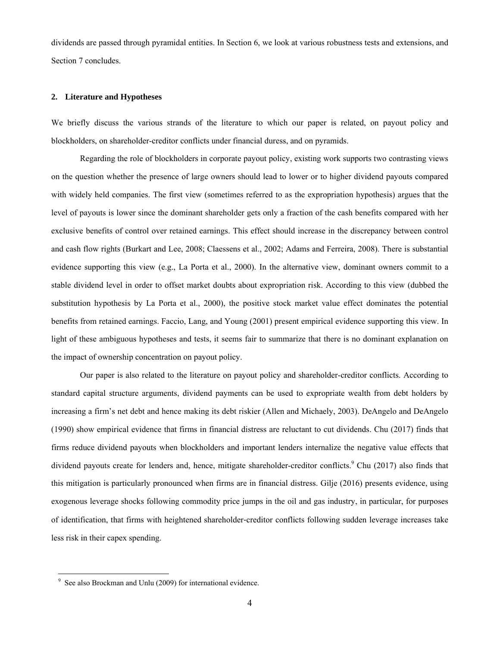dividends are passed through pyramidal entities. In Section 6, we look at various robustness tests and extensions, and Section 7 concludes.

### **2. Literature and Hypotheses**

We briefly discuss the various strands of the literature to which our paper is related, on payout policy and blockholders, on shareholder-creditor conflicts under financial duress, and on pyramids.

Regarding the role of blockholders in corporate payout policy, existing work supports two contrasting views on the question whether the presence of large owners should lead to lower or to higher dividend payouts compared with widely held companies. The first view (sometimes referred to as the expropriation hypothesis) argues that the level of payouts is lower since the dominant shareholder gets only a fraction of the cash benefits compared with her exclusive benefits of control over retained earnings. This effect should increase in the discrepancy between control and cash flow rights (Burkart and Lee, 2008; Claessens et al., 2002; Adams and Ferreira, 2008). There is substantial evidence supporting this view (e.g., La Porta et al., 2000). In the alternative view, dominant owners commit to a stable dividend level in order to offset market doubts about expropriation risk. According to this view (dubbed the substitution hypothesis by La Porta et al., 2000), the positive stock market value effect dominates the potential benefits from retained earnings. Faccio, Lang, and Young (2001) present empirical evidence supporting this view. In light of these ambiguous hypotheses and tests, it seems fair to summarize that there is no dominant explanation on the impact of ownership concentration on payout policy.

Our paper is also related to the literature on payout policy and shareholder-creditor conflicts. According to standard capital structure arguments, dividend payments can be used to expropriate wealth from debt holders by increasing a firm's net debt and hence making its debt riskier (Allen and Michaely, 2003). DeAngelo and DeAngelo (1990) show empirical evidence that firms in financial distress are reluctant to cut dividends. Chu (2017) finds that firms reduce dividend payouts when blockholders and important lenders internalize the negative value effects that dividend payouts create for lenders and, hence, mitigate shareholder-creditor conflicts.<sup>9</sup> Chu (2017) also finds that this mitigation is particularly pronounced when firms are in financial distress. Gilje (2016) presents evidence, using exogenous leverage shocks following commodity price jumps in the oil and gas industry, in particular, for purposes of identification, that firms with heightened shareholder‐creditor conflicts following sudden leverage increases take less risk in their capex spending.

<sup>9</sup> See also Brockman and Unlu (2009) for international evidence.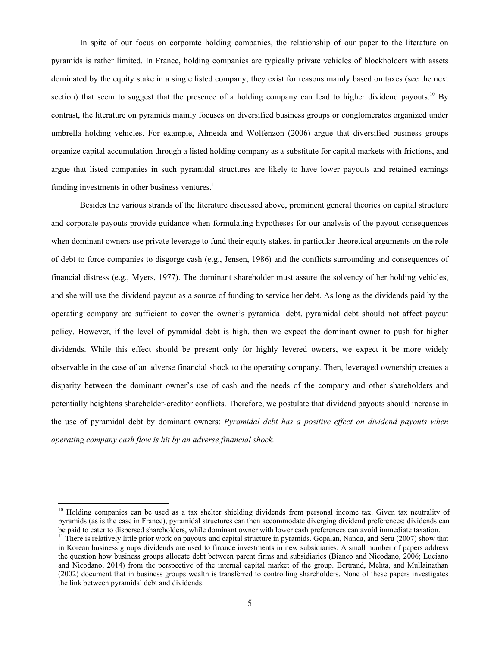In spite of our focus on corporate holding companies, the relationship of our paper to the literature on pyramids is rather limited. In France, holding companies are typically private vehicles of blockholders with assets dominated by the equity stake in a single listed company; they exist for reasons mainly based on taxes (see the next section) that seem to suggest that the presence of a holding company can lead to higher dividend payouts.<sup>10</sup> By contrast, the literature on pyramids mainly focuses on diversified business groups or conglomerates organized under umbrella holding vehicles. For example, Almeida and Wolfenzon (2006) argue that diversified business groups organize capital accumulation through a listed holding company as a substitute for capital markets with frictions, and argue that listed companies in such pyramidal structures are likely to have lower payouts and retained earnings funding investments in other business ventures. $^{11}$ 

Besides the various strands of the literature discussed above, prominent general theories on capital structure and corporate payouts provide guidance when formulating hypotheses for our analysis of the payout consequences when dominant owners use private leverage to fund their equity stakes, in particular theoretical arguments on the role of debt to force companies to disgorge cash (e.g., Jensen, 1986) and the conflicts surrounding and consequences of financial distress (e.g., Myers, 1977). The dominant shareholder must assure the solvency of her holding vehicles, and she will use the dividend payout as a source of funding to service her debt. As long as the dividends paid by the operating company are sufficient to cover the owner's pyramidal debt, pyramidal debt should not affect payout policy. However, if the level of pyramidal debt is high, then we expect the dominant owner to push for higher dividends. While this effect should be present only for highly levered owners, we expect it be more widely observable in the case of an adverse financial shock to the operating company. Then, leveraged ownership creates a disparity between the dominant owner's use of cash and the needs of the company and other shareholders and potentially heightens shareholder-creditor conflicts. Therefore, we postulate that dividend payouts should increase in the use of pyramidal debt by dominant owners: *Pyramidal debt has a positive effect on dividend payouts when operating company cash flow is hit by an adverse financial shock.* 

<sup>&</sup>lt;sup>10</sup> Holding companies can be used as a tax shelter shielding dividends from personal income tax. Given tax neutrality of pyramids (as is the case in France), pyramidal structures can then accommodate diverging dividend preferences: dividends can be paid to cater to dispersed shareholders, while dominant owner with lower cash preferences can avoid immediate taxation.

 $11$  There is relatively little prior work on payouts and capital structure in pyramids. Gopalan, Nanda, and Seru (2007) show that in Korean business groups dividends are used to finance investments in new subsidiaries. A small number of papers address the question how business groups allocate debt between parent firms and subsidiaries (Bianco and Nicodano, 2006; Luciano and Nicodano, 2014) from the perspective of the internal capital market of the group. Bertrand, Mehta, and Mullainathan (2002) document that in business groups wealth is transferred to controlling shareholders. None of these papers investigates the link between pyramidal debt and dividends.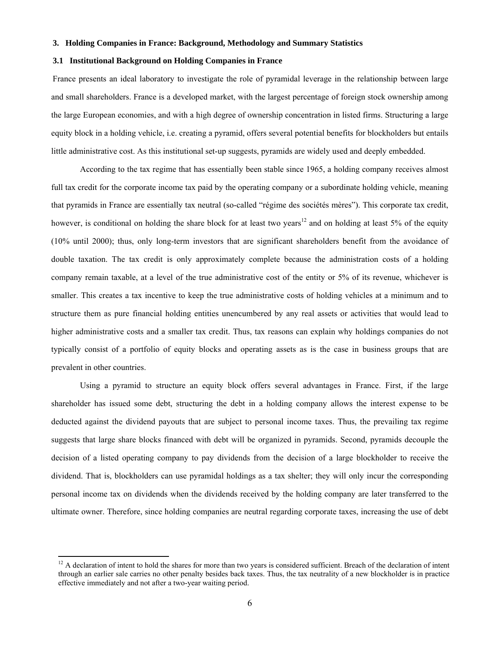### **3. Holding Companies in France: Background, Methodology and Summary Statistics**

### **3.1 Institutional Background on Holding Companies in France**

France presents an ideal laboratory to investigate the role of pyramidal leverage in the relationship between large and small shareholders. France is a developed market, with the largest percentage of foreign stock ownership among the large European economies, and with a high degree of ownership concentration in listed firms. Structuring a large equity block in a holding vehicle, i.e. creating a pyramid, offers several potential benefits for blockholders but entails little administrative cost. As this institutional set-up suggests, pyramids are widely used and deeply embedded.

According to the tax regime that has essentially been stable since 1965, a holding company receives almost full tax credit for the corporate income tax paid by the operating company or a subordinate holding vehicle, meaning that pyramids in France are essentially tax neutral (so-called "régime des sociétés mères"). This corporate tax credit, however, is conditional on holding the share block for at least two years<sup>12</sup> and on holding at least 5% of the equity (10% until 2000); thus, only long-term investors that are significant shareholders benefit from the avoidance of double taxation. The tax credit is only approximately complete because the administration costs of a holding company remain taxable, at a level of the true administrative cost of the entity or 5% of its revenue, whichever is smaller. This creates a tax incentive to keep the true administrative costs of holding vehicles at a minimum and to structure them as pure financial holding entities unencumbered by any real assets or activities that would lead to higher administrative costs and a smaller tax credit. Thus, tax reasons can explain why holdings companies do not typically consist of a portfolio of equity blocks and operating assets as is the case in business groups that are prevalent in other countries.

Using a pyramid to structure an equity block offers several advantages in France. First, if the large shareholder has issued some debt, structuring the debt in a holding company allows the interest expense to be deducted against the dividend payouts that are subject to personal income taxes. Thus, the prevailing tax regime suggests that large share blocks financed with debt will be organized in pyramids. Second, pyramids decouple the decision of a listed operating company to pay dividends from the decision of a large blockholder to receive the dividend. That is, blockholders can use pyramidal holdings as a tax shelter; they will only incur the corresponding personal income tax on dividends when the dividends received by the holding company are later transferred to the ultimate owner. Therefore, since holding companies are neutral regarding corporate taxes, increasing the use of debt

 $12$  A declaration of intent to hold the shares for more than two years is considered sufficient. Breach of the declaration of intent through an earlier sale carries no other penalty besides back taxes. Thus, the tax neutrality of a new blockholder is in practice effective immediately and not after a two-year waiting period.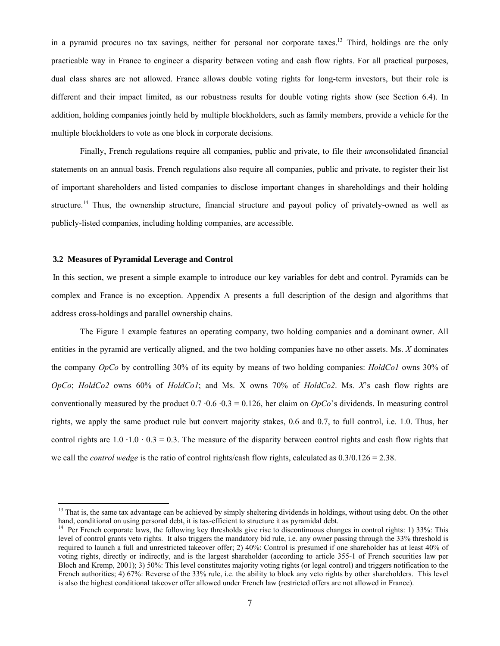in a pyramid procures no tax savings, neither for personal nor corporate taxes.<sup>13</sup> Third, holdings are the only practicable way in France to engineer a disparity between voting and cash flow rights. For all practical purposes, dual class shares are not allowed. France allows double voting rights for long-term investors, but their role is different and their impact limited, as our robustness results for double voting rights show (see Section 6.4). In addition, holding companies jointly held by multiple blockholders, such as family members, provide a vehicle for the multiple blockholders to vote as one block in corporate decisions.

Finally, French regulations require all companies, public and private, to file their *un*consolidated financial statements on an annual basis. French regulations also require all companies, public and private, to register their list of important shareholders and listed companies to disclose important changes in shareholdings and their holding structure.<sup>14</sup> Thus, the ownership structure, financial structure and payout policy of privately-owned as well as publicly-listed companies, including holding companies, are accessible.

### **3.2 Measures of Pyramidal Leverage and Control**

l

In this section, we present a simple example to introduce our key variables for debt and control. Pyramids can be complex and France is no exception. Appendix A presents a full description of the design and algorithms that address cross-holdings and parallel ownership chains.

The Figure 1 example features an operating company, two holding companies and a dominant owner. All entities in the pyramid are vertically aligned, and the two holding companies have no other assets. Ms. *X* dominates the company *OpCo* by controlling 30% of its equity by means of two holding companies: *HoldCo1* owns 30% of *OpCo*; *HoldCo2* owns 60% of *HoldCo1*; and Ms. X owns 70% of *HoldCo2*. Ms. *X*'s cash flow rights are conventionally measured by the product  $0.7 \cdot 0.6 \cdot 0.3 = 0.126$ , her claim on *OpCo*'s dividends. In measuring control rights, we apply the same product rule but convert majority stakes, 0.6 and 0.7, to full control, i.e. 1.0. Thus, her control rights are  $1.0 \cdot 1.0 \cdot 0.3 = 0.3$ . The measure of the disparity between control rights and cash flow rights that we call the *control wedge* is the ratio of control rights/cash flow rights, calculated as 0.3/0.126 = 2.38.

<sup>&</sup>lt;sup>13</sup> That is, the same tax advantage can be achieved by simply sheltering dividends in holdings, without using debt. On the other hand, conditional on using personal debt, it is tax-efficient to structure it as pyramidal debt.

<sup>&</sup>lt;sup>14</sup> Per French corporate laws, the following key thresholds give rise to discontinuous changes in control rights: 1) 33%: This level of control grants veto rights. It also triggers the mandatory bid rule, i.e. any owner passing through the 33% threshold is required to launch a full and unrestricted takeover offer; 2) 40%: Control is presumed if one shareholder has at least 40% of voting rights, directly or indirectly, and is the largest shareholder (according to article 355-1 of French securities law per Bloch and Kremp, 2001); 3) 50%: This level constitutes majority voting rights (or legal control) and triggers notification to the French authorities; 4) 67%: Reverse of the 33% rule, i.e. the ability to block any veto rights by other shareholders. This level is also the highest conditional takeover offer allowed under French law (restricted offers are not allowed in France).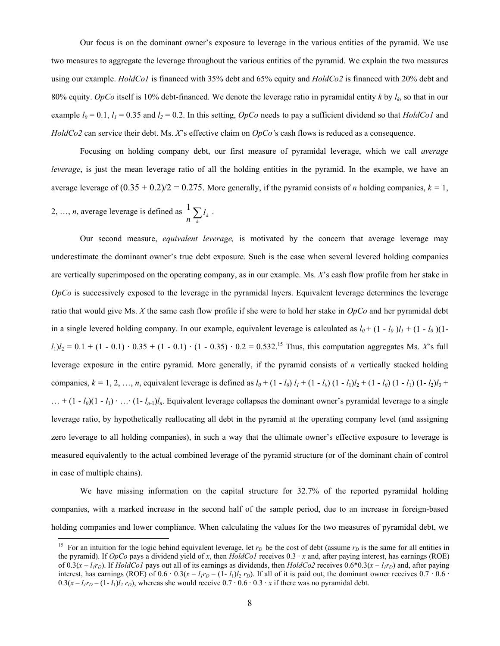Our focus is on the dominant owner's exposure to leverage in the various entities of the pyramid. We use two measures to aggregate the leverage throughout the various entities of the pyramid. We explain the two measures using our example. *HoldCo1* is financed with 35% debt and 65% equity and *HoldCo2* is financed with 20% debt and 80% equity. *OpCo* itself is 10% debt-financed. We denote the leverage ratio in pyramidal entity *k* by *lk*, so that in our example  $l_0 = 0.1$ ,  $l_1 = 0.35$  and  $l_2 = 0.2$ . In this setting, *OpCo* needs to pay a sufficient dividend so that *HoldCo1* and *HoldCo2* can service their debt. Ms. *X*'s effective claim on *OpCo'*s cash flows is reduced as a consequence.

Focusing on holding company debt, our first measure of pyramidal leverage, which we call *average leverage*, is just the mean leverage ratio of all the holding entities in the pyramid. In the example, we have an average leverage of  $(0.35 + 0.2)/2 = 0.275$ . More generally, if the pyramid consists of *n* holding companies,  $k = 1$ ,

2, ..., *n*, average leverage is defined as  $\frac{1}{n} \sum_{k} l_k$  $\frac{1}{\sum l_{k}}$ .

 $\overline{a}$ 

Our second measure, *equivalent leverage,* is motivated by the concern that average leverage may underestimate the dominant owner's true debt exposure. Such is the case when several levered holding companies are vertically superimposed on the operating company, as in our example. Ms. *X*'s cash flow profile from her stake in *OpCo* is successively exposed to the leverage in the pyramidal layers. Equivalent leverage determines the leverage ratio that would give Ms. *X* the same cash flow profile if she were to hold her stake in *OpCo* and her pyramidal debt in a single levered holding company. In our example, equivalent leverage is calculated as  $l_0 + (1 - l_0)l_1 + (1 - l_0)(1 - l_0)l_2$  $l_1$ ) $l_2$  = 0.1 + (1 - 0.1) · 0.35 + (1 - 0.1) · (1 - 0.35) · 0.2 = 0.532.<sup>15</sup> Thus, this computation aggregates Ms. *X*'s full leverage exposure in the entire pyramid. More generally, if the pyramid consists of *n* vertically stacked holding companies,  $k = 1, 2, ..., n$ , equivalent leverage is defined as  $l_0 + (1 - l_0) l_1 + (1 - l_0) (1 - l_1) l_2 + (1 - l_0) (1 - l_1) (1 - l_2) l_3 +$  $\ldots$  +  $(1 - l_0)(1 - l_1) \cdot \ldots \cdot (1 - l_{n-1})l_n$ . Equivalent leverage collapses the dominant owner's pyramidal leverage to a single leverage ratio, by hypothetically reallocating all debt in the pyramid at the operating company level (and assigning zero leverage to all holding companies), in such a way that the ultimate owner's effective exposure to leverage is measured equivalently to the actual combined leverage of the pyramid structure (or of the dominant chain of control in case of multiple chains).

We have missing information on the capital structure for 32.7% of the reported pyramidal holding companies, with a marked increase in the second half of the sample period, due to an increase in foreign-based holding companies and lower compliance. When calculating the values for the two measures of pyramidal debt, we

<sup>&</sup>lt;sup>15</sup> For an intuition for the logic behind equivalent leverage, let  $r<sub>D</sub>$  be the cost of debt (assume  $r<sub>D</sub>$  is the same for all entities in the pyramid). If *OpCo* pays a dividend yield of *x*, then *HoldCo1* receives 0.3 · *x* and, after paying interest, has earnings (ROE) of  $0.3(x - l_1r_D)$ . If *HoldCo1* pays out all of its earnings as dividends, then *HoldCo2* receives  $0.6*0.3(x - l_1r_D)$  and, after paying interest, has earnings (ROE) of  $0.6 \cdot 0.3(x - l_1r_0 - (1 - l_1)l_2 r_0)$ . If all of it is paid out, the dominant owner receives  $0.7 \cdot 0.6$  $0.3(x - l_1r_D - (1 - l_1)l_2 r_D)$ , whereas she would receive  $0.7 \cdot 0.6 \cdot 0.3 \cdot x$  if there was no pyramidal debt.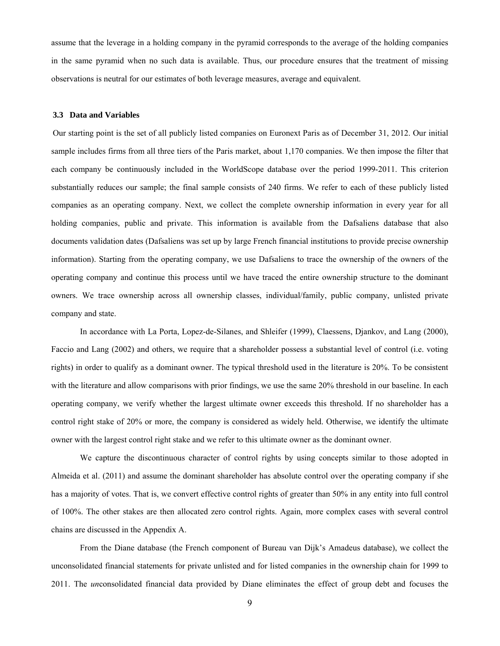assume that the leverage in a holding company in the pyramid corresponds to the average of the holding companies in the same pyramid when no such data is available. Thus, our procedure ensures that the treatment of missing observations is neutral for our estimates of both leverage measures, average and equivalent.

#### **3.3 Data and Variables**

Our starting point is the set of all publicly listed companies on Euronext Paris as of December 31, 2012. Our initial sample includes firms from all three tiers of the Paris market, about 1,170 companies. We then impose the filter that each company be continuously included in the WorldScope database over the period 1999-2011. This criterion substantially reduces our sample; the final sample consists of 240 firms. We refer to each of these publicly listed companies as an operating company. Next, we collect the complete ownership information in every year for all holding companies, public and private. This information is available from the Dafsaliens database that also documents validation dates (Dafsaliens was set up by large French financial institutions to provide precise ownership information). Starting from the operating company, we use Dafsaliens to trace the ownership of the owners of the operating company and continue this process until we have traced the entire ownership structure to the dominant owners. We trace ownership across all ownership classes, individual/family, public company, unlisted private company and state.

In accordance with La Porta, Lopez-de-Silanes, and Shleifer (1999), Claessens, Djankov, and Lang (2000), Faccio and Lang (2002) and others, we require that a shareholder possess a substantial level of control (i.e. voting rights) in order to qualify as a dominant owner. The typical threshold used in the literature is 20%. To be consistent with the literature and allow comparisons with prior findings, we use the same 20% threshold in our baseline. In each operating company, we verify whether the largest ultimate owner exceeds this threshold. If no shareholder has a control right stake of 20% or more, the company is considered as widely held. Otherwise, we identify the ultimate owner with the largest control right stake and we refer to this ultimate owner as the dominant owner.

We capture the discontinuous character of control rights by using concepts similar to those adopted in Almeida et al. (2011) and assume the dominant shareholder has absolute control over the operating company if she has a majority of votes. That is, we convert effective control rights of greater than 50% in any entity into full control of 100%. The other stakes are then allocated zero control rights. Again, more complex cases with several control chains are discussed in the Appendix A.

From the Diane database (the French component of Bureau van Dijk's Amadeus database), we collect the unconsolidated financial statements for private unlisted and for listed companies in the ownership chain for 1999 to 2011. The *un*consolidated financial data provided by Diane eliminates the effect of group debt and focuses the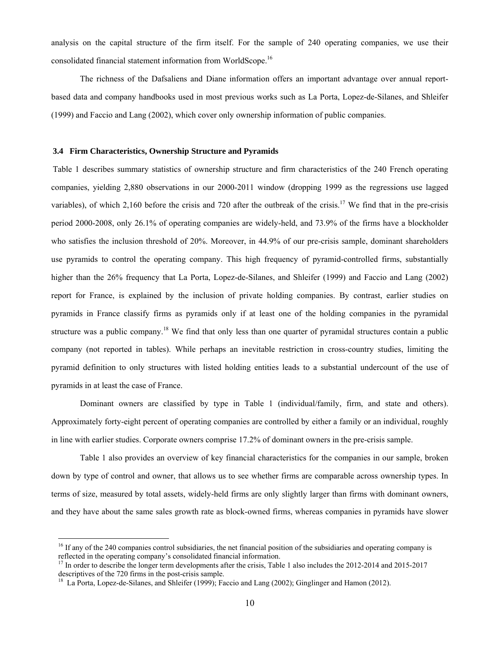analysis on the capital structure of the firm itself. For the sample of 240 operating companies, we use their consolidated financial statement information from WorldScope.16

The richness of the Dafsaliens and Diane information offers an important advantage over annual reportbased data and company handbooks used in most previous works such as La Porta, Lopez-de-Silanes, and Shleifer (1999) and Faccio and Lang (2002), which cover only ownership information of public companies.

### **3.4 Firm Characteristics, Ownership Structure and Pyramids**

Table 1 describes summary statistics of ownership structure and firm characteristics of the 240 French operating companies, yielding 2,880 observations in our 2000-2011 window (dropping 1999 as the regressions use lagged variables), of which 2,160 before the crisis and 720 after the outbreak of the crisis.<sup>17</sup> We find that in the pre-crisis period 2000-2008, only 26.1% of operating companies are widely-held, and 73.9% of the firms have a blockholder who satisfies the inclusion threshold of 20%. Moreover, in 44.9% of our pre-crisis sample, dominant shareholders use pyramids to control the operating company. This high frequency of pyramid-controlled firms, substantially higher than the 26% frequency that La Porta, Lopez-de-Silanes, and Shleifer (1999) and Faccio and Lang (2002) report for France, is explained by the inclusion of private holding companies. By contrast, earlier studies on pyramids in France classify firms as pyramids only if at least one of the holding companies in the pyramidal structure was a public company.<sup>18</sup> We find that only less than one quarter of pyramidal structures contain a public company (not reported in tables). While perhaps an inevitable restriction in cross-country studies, limiting the pyramid definition to only structures with listed holding entities leads to a substantial undercount of the use of pyramids in at least the case of France.

Dominant owners are classified by type in Table 1 (individual/family, firm, and state and others). Approximately forty-eight percent of operating companies are controlled by either a family or an individual, roughly in line with earlier studies. Corporate owners comprise 17.2% of dominant owners in the pre-crisis sample.

Table 1 also provides an overview of key financial characteristics for the companies in our sample, broken down by type of control and owner, that allows us to see whether firms are comparable across ownership types. In terms of size, measured by total assets, widely-held firms are only slightly larger than firms with dominant owners, and they have about the same sales growth rate as block-owned firms, whereas companies in pyramids have slower

 $\overline{a}$ 

<sup>&</sup>lt;sup>16</sup> If any of the 240 companies control subsidiaries, the net financial position of the subsidiaries and operating company is reflected in the operating company's consolidated financial information.

<sup>&</sup>lt;sup>17</sup> In order to describe the longer term developments after the crisis, Table 1 also includes the 2012-2014 and 2015-2017 descriptives of the 720 firms in the post-crisis sample.<br><sup>18</sup> La Porta, Lopez-de-Silanes, and Shleifer (1999); Faccio and Lang (2002); Ginglinger and Hamon (2012).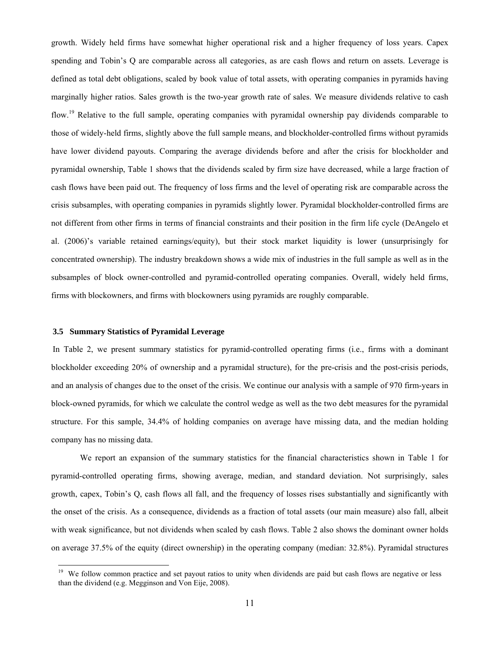growth. Widely held firms have somewhat higher operational risk and a higher frequency of loss years. Capex spending and Tobin's Q are comparable across all categories, as are cash flows and return on assets. Leverage is defined as total debt obligations, scaled by book value of total assets, with operating companies in pyramids having marginally higher ratios. Sales growth is the two-year growth rate of sales. We measure dividends relative to cash flow.<sup>19</sup> Relative to the full sample, operating companies with pyramidal ownership pay dividends comparable to those of widely-held firms, slightly above the full sample means, and blockholder-controlled firms without pyramids have lower dividend payouts. Comparing the average dividends before and after the crisis for blockholder and pyramidal ownership, Table 1 shows that the dividends scaled by firm size have decreased, while a large fraction of cash flows have been paid out. The frequency of loss firms and the level of operating risk are comparable across the crisis subsamples, with operating companies in pyramids slightly lower. Pyramidal blockholder-controlled firms are not different from other firms in terms of financial constraints and their position in the firm life cycle (DeAngelo et al. (2006)'s variable retained earnings/equity), but their stock market liquidity is lower (unsurprisingly for concentrated ownership). The industry breakdown shows a wide mix of industries in the full sample as well as in the subsamples of block owner-controlled and pyramid-controlled operating companies. Overall, widely held firms, firms with blockowners, and firms with blockowners using pyramids are roughly comparable.

### **3.5 Summary Statistics of Pyramidal Leverage**

l

In Table 2, we present summary statistics for pyramid-controlled operating firms (i.e., firms with a dominant blockholder exceeding 20% of ownership and a pyramidal structure), for the pre-crisis and the post-crisis periods, and an analysis of changes due to the onset of the crisis. We continue our analysis with a sample of 970 firm-years in block-owned pyramids, for which we calculate the control wedge as well as the two debt measures for the pyramidal structure. For this sample, 34.4% of holding companies on average have missing data, and the median holding company has no missing data.

We report an expansion of the summary statistics for the financial characteristics shown in Table 1 for pyramid-controlled operating firms, showing average, median, and standard deviation. Not surprisingly, sales growth, capex, Tobin's Q, cash flows all fall, and the frequency of losses rises substantially and significantly with the onset of the crisis. As a consequence, dividends as a fraction of total assets (our main measure) also fall, albeit with weak significance, but not dividends when scaled by cash flows. Table 2 also shows the dominant owner holds on average 37.5% of the equity (direct ownership) in the operating company (median: 32.8%). Pyramidal structures

<sup>&</sup>lt;sup>19</sup> We follow common practice and set payout ratios to unity when dividends are paid but cash flows are negative or less than the dividend (e.g. Megginson and Von Eije, 2008).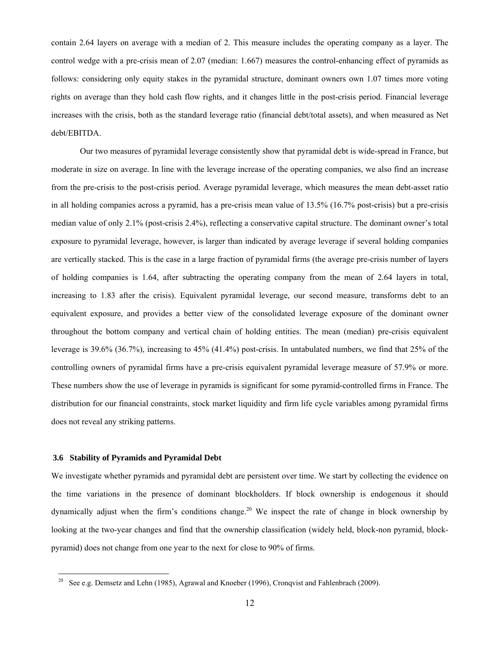contain 2.64 layers on average with a median of 2. This measure includes the operating company as a layer. The control wedge with a pre-crisis mean of 2.07 (median: 1.667) measures the control-enhancing effect of pyramids as follows: considering only equity stakes in the pyramidal structure, dominant owners own 1.07 times more voting rights on average than they hold cash flow rights, and it changes little in the post-crisis period. Financial leverage increases with the crisis, both as the standard leverage ratio (financial debt/total assets), and when measured as Net debt/EBITDA.

Our two measures of pyramidal leverage consistently show that pyramidal debt is wide-spread in France, but moderate in size on average. In line with the leverage increase of the operating companies, we also find an increase from the pre-crisis to the post-crisis period. Average pyramidal leverage, which measures the mean debt-asset ratio in all holding companies across a pyramid, has a pre-crisis mean value of 13.5% (16.7% post-crisis) but a pre-crisis median value of only 2.1% (post-crisis 2.4%), reflecting a conservative capital structure. The dominant owner's total exposure to pyramidal leverage, however, is larger than indicated by average leverage if several holding companies are vertically stacked. This is the case in a large fraction of pyramidal firms (the average pre-crisis number of layers of holding companies is 1.64, after subtracting the operating company from the mean of 2.64 layers in total, increasing to 1.83 after the crisis). Equivalent pyramidal leverage, our second measure, transforms debt to an equivalent exposure, and provides a better view of the consolidated leverage exposure of the dominant owner throughout the bottom company and vertical chain of holding entities. The mean (median) pre-crisis equivalent leverage is 39.6% (36.7%), increasing to 45% (41.4%) post-crisis. In untabulated numbers, we find that 25% of the controlling owners of pyramidal firms have a pre-crisis equivalent pyramidal leverage measure of 57.9% or more. These numbers show the use of leverage in pyramids is significant for some pyramid-controlled firms in France. The distribution for our financial constraints, stock market liquidity and firm life cycle variables among pyramidal firms does not reveal any striking patterns.

### **3.6 Stability of Pyramids and Pyramidal Debt**

l

We investigate whether pyramids and pyramidal debt are persistent over time. We start by collecting the evidence on the time variations in the presence of dominant blockholders. If block ownership is endogenous it should dynamically adjust when the firm's conditions change.<sup>20</sup> We inspect the rate of change in block ownership by looking at the two-year changes and find that the ownership classification (widely held, block-non pyramid, blockpyramid) does not change from one year to the next for close to 90% of firms.

<sup>20</sup> See e.g. Demsetz and Lehn (1985), Agrawal and Knoeber (1996), Cronqvist and Fahlenbrach (2009).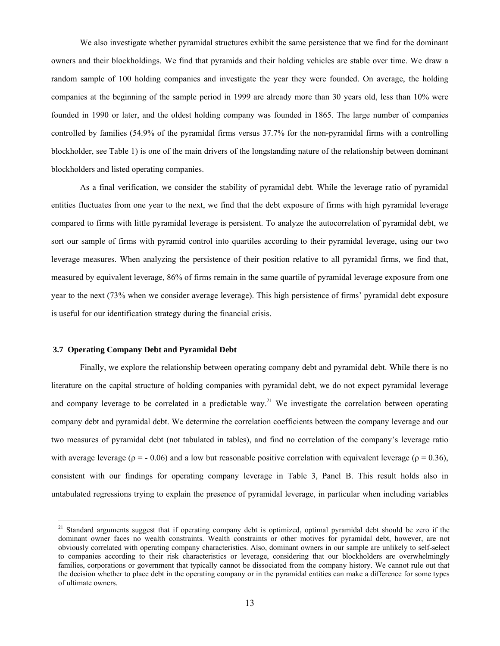We also investigate whether pyramidal structures exhibit the same persistence that we find for the dominant owners and their blockholdings. We find that pyramids and their holding vehicles are stable over time. We draw a random sample of 100 holding companies and investigate the year they were founded. On average, the holding companies at the beginning of the sample period in 1999 are already more than 30 years old, less than 10% were founded in 1990 or later, and the oldest holding company was founded in 1865. The large number of companies controlled by families (54.9% of the pyramidal firms versus 37.7% for the non-pyramidal firms with a controlling blockholder, see Table 1) is one of the main drivers of the longstanding nature of the relationship between dominant blockholders and listed operating companies.

As a final verification, we consider the stability of pyramidal debt*.* While the leverage ratio of pyramidal entities fluctuates from one year to the next, we find that the debt exposure of firms with high pyramidal leverage compared to firms with little pyramidal leverage is persistent. To analyze the autocorrelation of pyramidal debt, we sort our sample of firms with pyramid control into quartiles according to their pyramidal leverage, using our two leverage measures. When analyzing the persistence of their position relative to all pyramidal firms, we find that, measured by equivalent leverage, 86% of firms remain in the same quartile of pyramidal leverage exposure from one year to the next (73% when we consider average leverage). This high persistence of firms' pyramidal debt exposure is useful for our identification strategy during the financial crisis.

### **3.7 Operating Company Debt and Pyramidal Debt**

l

Finally, we explore the relationship between operating company debt and pyramidal debt. While there is no literature on the capital structure of holding companies with pyramidal debt, we do not expect pyramidal leverage and company leverage to be correlated in a predictable way.<sup>21</sup> We investigate the correlation between operating company debt and pyramidal debt. We determine the correlation coefficients between the company leverage and our two measures of pyramidal debt (not tabulated in tables), and find no correlation of the company's leverage ratio with average leverage ( $\rho = -0.06$ ) and a low but reasonable positive correlation with equivalent leverage ( $\rho = 0.36$ ), consistent with our findings for operating company leverage in Table 3, Panel B. This result holds also in untabulated regressions trying to explain the presence of pyramidal leverage, in particular when including variables

<sup>&</sup>lt;sup>21</sup> Standard arguments suggest that if operating company debt is optimized, optimal pyramidal debt should be zero if the dominant owner faces no wealth constraints. Wealth constraints or other motives for pyramidal debt, however, are not obviously correlated with operating company characteristics. Also, dominant owners in our sample are unlikely to self-select to companies according to their risk characteristics or leverage, considering that our blockholders are overwhelmingly families, corporations or government that typically cannot be dissociated from the company history. We cannot rule out that the decision whether to place debt in the operating company or in the pyramidal entities can make a difference for some types of ultimate owners.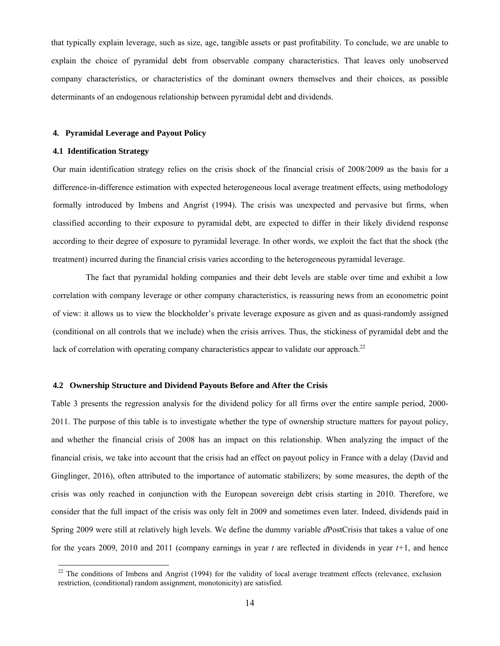that typically explain leverage, such as size, age, tangible assets or past profitability. To conclude, we are unable to explain the choice of pyramidal debt from observable company characteristics. That leaves only unobserved company characteristics, or characteristics of the dominant owners themselves and their choices, as possible determinants of an endogenous relationship between pyramidal debt and dividends.

### **4. Pyramidal Leverage and Payout Policy**

### **4.1 Identification Strategy**

l

Our main identification strategy relies on the crisis shock of the financial crisis of 2008/2009 as the basis for a difference-in-difference estimation with expected heterogeneous local average treatment effects, using methodology formally introduced by Imbens and Angrist (1994). The crisis was unexpected and pervasive but firms, when classified according to their exposure to pyramidal debt, are expected to differ in their likely dividend response according to their degree of exposure to pyramidal leverage. In other words, we exploit the fact that the shock (the treatment) incurred during the financial crisis varies according to the heterogeneous pyramidal leverage.

The fact that pyramidal holding companies and their debt levels are stable over time and exhibit a low correlation with company leverage or other company characteristics, is reassuring news from an econometric point of view: it allows us to view the blockholder's private leverage exposure as given and as quasi-randomly assigned (conditional on all controls that we include) when the crisis arrives. Thus, the stickiness of pyramidal debt and the lack of correlation with operating company characteristics appear to validate our approach.<sup>22</sup>

### **4.2 Ownership Structure and Dividend Payouts Before and After the Crisis**

Table 3 presents the regression analysis for the dividend policy for all firms over the entire sample period, 2000- 2011. The purpose of this table is to investigate whether the type of ownership structure matters for payout policy, and whether the financial crisis of 2008 has an impact on this relationship. When analyzing the impact of the financial crisis, we take into account that the crisis had an effect on payout policy in France with a delay (David and Ginglinger, 2016), often attributed to the importance of automatic stabilizers; by some measures, the depth of the crisis was only reached in conjunction with the European sovereign debt crisis starting in 2010. Therefore, we consider that the full impact of the crisis was only felt in 2009 and sometimes even later. Indeed, dividends paid in Spring 2009 were still at relatively high levels. We define the dummy variable *d*PostCrisis that takes a value of one for the years 2009, 2010 and 2011 (company earnings in year *t* are reflected in dividends in year *t+*1, and hence

 $22$  The conditions of Imbens and Angrist (1994) for the validity of local average treatment effects (relevance, exclusion restriction, (conditional) random assignment, monotonicity) are satisfied.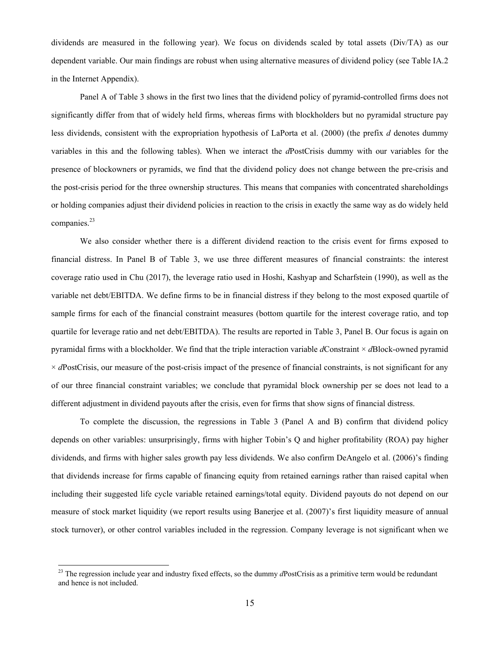dividends are measured in the following year). We focus on dividends scaled by total assets (Div/TA) as our dependent variable. Our main findings are robust when using alternative measures of dividend policy (see Table IA.2 in the Internet Appendix).

Panel A of Table 3 shows in the first two lines that the dividend policy of pyramid-controlled firms does not significantly differ from that of widely held firms, whereas firms with blockholders but no pyramidal structure pay less dividends, consistent with the expropriation hypothesis of LaPorta et al. (2000) (the prefix *d* denotes dummy variables in this and the following tables). When we interact the *d*PostCrisis dummy with our variables for the presence of blockowners or pyramids, we find that the dividend policy does not change between the pre-crisis and the post-crisis period for the three ownership structures. This means that companies with concentrated shareholdings or holding companies adjust their dividend policies in reaction to the crisis in exactly the same way as do widely held companies.<sup>23</sup>

We also consider whether there is a different dividend reaction to the crisis event for firms exposed to financial distress. In Panel B of Table 3, we use three different measures of financial constraints: the interest coverage ratio used in Chu (2017), the leverage ratio used in Hoshi, Kashyap and Scharfstein (1990), as well as the variable net debt/EBITDA. We define firms to be in financial distress if they belong to the most exposed quartile of sample firms for each of the financial constraint measures (bottom quartile for the interest coverage ratio, and top quartile for leverage ratio and net debt/EBITDA). The results are reported in Table 3, Panel B. Our focus is again on pyramidal firms with a blockholder. We find that the triple interaction variable *d*Constraint × *d*Block-owned pyramid  $\times$  *dPostCrisis*, our measure of the post-crisis impact of the presence of financial constraints, is not significant for any of our three financial constraint variables; we conclude that pyramidal block ownership per se does not lead to a different adjustment in dividend payouts after the crisis, even for firms that show signs of financial distress.

To complete the discussion, the regressions in Table 3 (Panel A and B) confirm that dividend policy depends on other variables: unsurprisingly, firms with higher Tobin's Q and higher profitability (ROA) pay higher dividends, and firms with higher sales growth pay less dividends. We also confirm DeAngelo et al. (2006)'s finding that dividends increase for firms capable of financing equity from retained earnings rather than raised capital when including their suggested life cycle variable retained earnings/total equity. Dividend payouts do not depend on our measure of stock market liquidity (we report results using Banerjee et al. (2007)'s first liquidity measure of annual stock turnover), or other control variables included in the regression. Company leverage is not significant when we

<sup>&</sup>lt;sup>23</sup> The regression include year and industry fixed effects, so the dummy *dPostCrisis* as a primitive term would be redundant and hence is not included.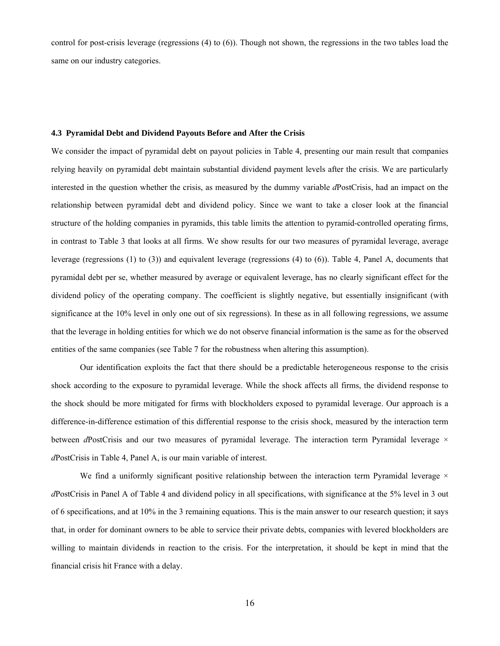control for post-crisis leverage (regressions (4) to (6)). Though not shown, the regressions in the two tables load the same on our industry categories.

### **4.3 Pyramidal Debt and Dividend Payouts Before and After the Crisis**

We consider the impact of pyramidal debt on payout policies in Table 4, presenting our main result that companies relying heavily on pyramidal debt maintain substantial dividend payment levels after the crisis. We are particularly interested in the question whether the crisis, as measured by the dummy variable *d*PostCrisis, had an impact on the relationship between pyramidal debt and dividend policy. Since we want to take a closer look at the financial structure of the holding companies in pyramids, this table limits the attention to pyramid-controlled operating firms, in contrast to Table 3 that looks at all firms. We show results for our two measures of pyramidal leverage, average leverage (regressions (1) to (3)) and equivalent leverage (regressions (4) to (6)). Table 4, Panel A, documents that pyramidal debt per se, whether measured by average or equivalent leverage, has no clearly significant effect for the dividend policy of the operating company. The coefficient is slightly negative, but essentially insignificant (with significance at the 10% level in only one out of six regressions). In these as in all following regressions, we assume that the leverage in holding entities for which we do not observe financial information is the same as for the observed entities of the same companies (see Table 7 for the robustness when altering this assumption).

Our identification exploits the fact that there should be a predictable heterogeneous response to the crisis shock according to the exposure to pyramidal leverage. While the shock affects all firms, the dividend response to the shock should be more mitigated for firms with blockholders exposed to pyramidal leverage. Our approach is a difference-in-difference estimation of this differential response to the crisis shock, measured by the interaction term between *d*PostCrisis and our two measures of pyramidal leverage. The interaction term Pyramidal leverage  $\times$ *d*PostCrisis in Table 4, Panel A, is our main variable of interest.

We find a uniformly significant positive relationship between the interaction term Pyramidal leverage  $\times$ *d*PostCrisis in Panel A of Table 4 and dividend policy in all specifications, with significance at the 5% level in 3 out of 6 specifications, and at 10% in the 3 remaining equations. This is the main answer to our research question; it says that, in order for dominant owners to be able to service their private debts, companies with levered blockholders are willing to maintain dividends in reaction to the crisis. For the interpretation, it should be kept in mind that the financial crisis hit France with a delay.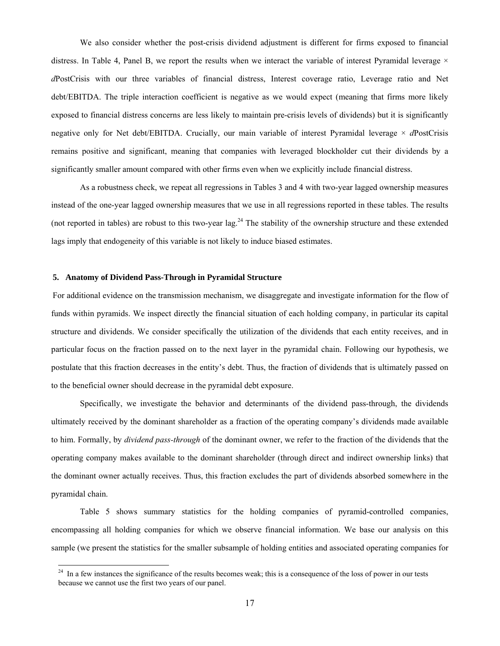We also consider whether the post-crisis dividend adjustment is different for firms exposed to financial distress. In Table 4, Panel B, we report the results when we interact the variable of interest Pyramidal leverage  $\times$ *d*PostCrisis with our three variables of financial distress, Interest coverage ratio, Leverage ratio and Net debt/EBITDA. The triple interaction coefficient is negative as we would expect (meaning that firms more likely exposed to financial distress concerns are less likely to maintain pre-crisis levels of dividends) but it is significantly negative only for Net debt/EBITDA. Crucially, our main variable of interest Pyramidal leverage × *d*PostCrisis remains positive and significant, meaning that companies with leveraged blockholder cut their dividends by a significantly smaller amount compared with other firms even when we explicitly include financial distress.

As a robustness check, we repeat all regressions in Tables 3 and 4 with two-year lagged ownership measures instead of the one-year lagged ownership measures that we use in all regressions reported in these tables. The results (not reported in tables) are robust to this two-year  $\log^{24}$  The stability of the ownership structure and these extended lags imply that endogeneity of this variable is not likely to induce biased estimates.

### **5. Anatomy of Dividend Pass-Through in Pyramidal Structure**

l

For additional evidence on the transmission mechanism, we disaggregate and investigate information for the flow of funds within pyramids. We inspect directly the financial situation of each holding company, in particular its capital structure and dividends. We consider specifically the utilization of the dividends that each entity receives, and in particular focus on the fraction passed on to the next layer in the pyramidal chain. Following our hypothesis, we postulate that this fraction decreases in the entity's debt. Thus, the fraction of dividends that is ultimately passed on to the beneficial owner should decrease in the pyramidal debt exposure.

Specifically, we investigate the behavior and determinants of the dividend pass-through, the dividends ultimately received by the dominant shareholder as a fraction of the operating company's dividends made available to him. Formally, by *dividend pass-through* of the dominant owner, we refer to the fraction of the dividends that the operating company makes available to the dominant shareholder (through direct and indirect ownership links) that the dominant owner actually receives. Thus, this fraction excludes the part of dividends absorbed somewhere in the pyramidal chain.

Table 5 shows summary statistics for the holding companies of pyramid-controlled companies, encompassing all holding companies for which we observe financial information. We base our analysis on this sample (we present the statistics for the smaller subsample of holding entities and associated operating companies for

 $24$  In a few instances the significance of the results becomes weak; this is a consequence of the loss of power in our tests because we cannot use the first two years of our panel.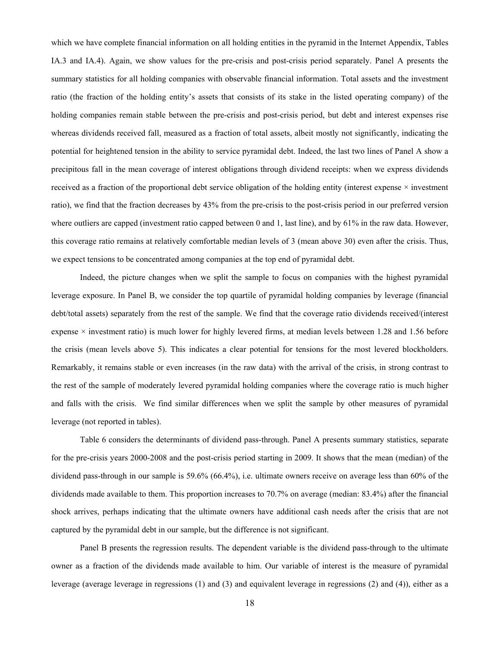which we have complete financial information on all holding entities in the pyramid in the Internet Appendix, Tables IA.3 and IA.4). Again, we show values for the pre-crisis and post-crisis period separately. Panel A presents the summary statistics for all holding companies with observable financial information. Total assets and the investment ratio (the fraction of the holding entity's assets that consists of its stake in the listed operating company) of the holding companies remain stable between the pre-crisis and post-crisis period, but debt and interest expenses rise whereas dividends received fall, measured as a fraction of total assets, albeit mostly not significantly, indicating the potential for heightened tension in the ability to service pyramidal debt. Indeed, the last two lines of Panel A show a precipitous fall in the mean coverage of interest obligations through dividend receipts: when we express dividends received as a fraction of the proportional debt service obligation of the holding entity (interest expense  $\times$  investment ratio), we find that the fraction decreases by 43% from the pre-crisis to the post-crisis period in our preferred version where outliers are capped (investment ratio capped between 0 and 1, last line), and by 61% in the raw data. However, this coverage ratio remains at relatively comfortable median levels of 3 (mean above 30) even after the crisis. Thus, we expect tensions to be concentrated among companies at the top end of pyramidal debt.

Indeed, the picture changes when we split the sample to focus on companies with the highest pyramidal leverage exposure. In Panel B, we consider the top quartile of pyramidal holding companies by leverage (financial debt/total assets) separately from the rest of the sample. We find that the coverage ratio dividends received/(interest expense  $\times$  investment ratio) is much lower for highly levered firms, at median levels between 1.28 and 1.56 before the crisis (mean levels above 5). This indicates a clear potential for tensions for the most levered blockholders. Remarkably, it remains stable or even increases (in the raw data) with the arrival of the crisis, in strong contrast to the rest of the sample of moderately levered pyramidal holding companies where the coverage ratio is much higher and falls with the crisis. We find similar differences when we split the sample by other measures of pyramidal leverage (not reported in tables).

Table 6 considers the determinants of dividend pass-through. Panel A presents summary statistics, separate for the pre-crisis years 2000-2008 and the post-crisis period starting in 2009. It shows that the mean (median) of the dividend pass-through in our sample is 59.6% (66.4%), i.e. ultimate owners receive on average less than 60% of the dividends made available to them. This proportion increases to 70.7% on average (median: 83.4%) after the financial shock arrives, perhaps indicating that the ultimate owners have additional cash needs after the crisis that are not captured by the pyramidal debt in our sample, but the difference is not significant.

Panel B presents the regression results. The dependent variable is the dividend pass-through to the ultimate owner as a fraction of the dividends made available to him. Our variable of interest is the measure of pyramidal leverage (average leverage in regressions (1) and (3) and equivalent leverage in regressions (2) and (4)), either as a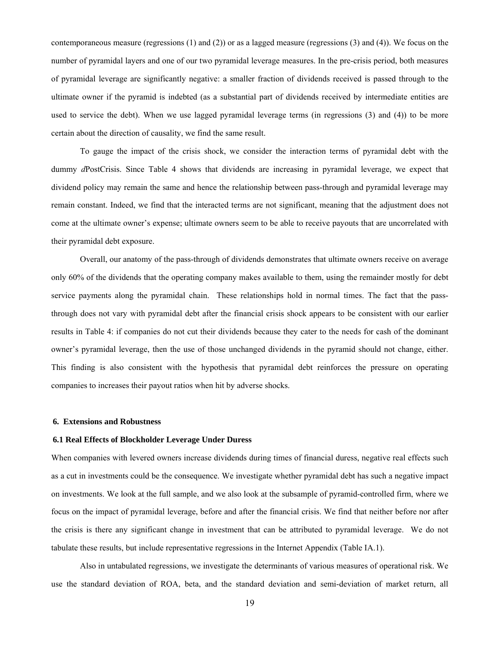contemporaneous measure (regressions (1) and (2)) or as a lagged measure (regressions (3) and (4)). We focus on the number of pyramidal layers and one of our two pyramidal leverage measures. In the pre-crisis period, both measures of pyramidal leverage are significantly negative: a smaller fraction of dividends received is passed through to the ultimate owner if the pyramid is indebted (as a substantial part of dividends received by intermediate entities are used to service the debt). When we use lagged pyramidal leverage terms (in regressions (3) and (4)) to be more certain about the direction of causality, we find the same result.

To gauge the impact of the crisis shock, we consider the interaction terms of pyramidal debt with the dummy *d*PostCrisis. Since Table 4 shows that dividends are increasing in pyramidal leverage, we expect that dividend policy may remain the same and hence the relationship between pass-through and pyramidal leverage may remain constant. Indeed, we find that the interacted terms are not significant, meaning that the adjustment does not come at the ultimate owner's expense; ultimate owners seem to be able to receive payouts that are uncorrelated with their pyramidal debt exposure.

Overall, our anatomy of the pass-through of dividends demonstrates that ultimate owners receive on average only 60% of the dividends that the operating company makes available to them, using the remainder mostly for debt service payments along the pyramidal chain. These relationships hold in normal times. The fact that the passthrough does not vary with pyramidal debt after the financial crisis shock appears to be consistent with our earlier results in Table 4: if companies do not cut their dividends because they cater to the needs for cash of the dominant owner's pyramidal leverage, then the use of those unchanged dividends in the pyramid should not change, either. This finding is also consistent with the hypothesis that pyramidal debt reinforces the pressure on operating companies to increases their payout ratios when hit by adverse shocks.

### **6. Extensions and Robustness**

### **6.1 Real Effects of Blockholder Leverage Under Duress**

When companies with levered owners increase dividends during times of financial duress, negative real effects such as a cut in investments could be the consequence. We investigate whether pyramidal debt has such a negative impact on investments. We look at the full sample, and we also look at the subsample of pyramid-controlled firm, where we focus on the impact of pyramidal leverage, before and after the financial crisis. We find that neither before nor after the crisis is there any significant change in investment that can be attributed to pyramidal leverage. We do not tabulate these results, but include representative regressions in the Internet Appendix (Table IA.1).

Also in untabulated regressions, we investigate the determinants of various measures of operational risk. We use the standard deviation of ROA, beta, and the standard deviation and semi-deviation of market return, all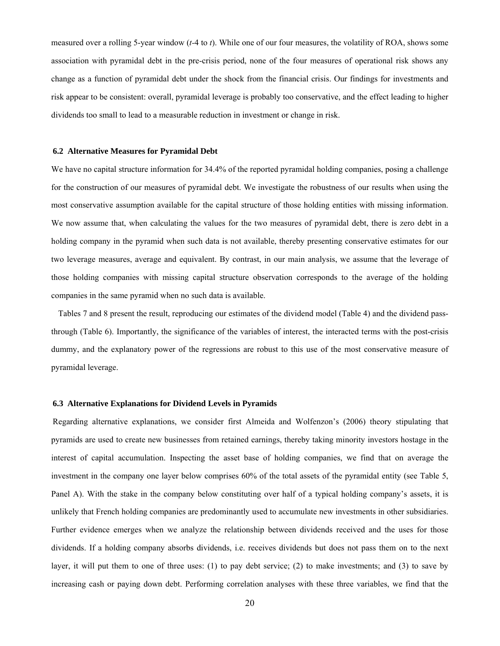measured over a rolling 5-year window (*t-*4 to *t*). While one of our four measures, the volatility of ROA, shows some association with pyramidal debt in the pre-crisis period, none of the four measures of operational risk shows any change as a function of pyramidal debt under the shock from the financial crisis. Our findings for investments and risk appear to be consistent: overall, pyramidal leverage is probably too conservative, and the effect leading to higher dividends too small to lead to a measurable reduction in investment or change in risk.

#### **6.2 Alternative Measures for Pyramidal Debt**

We have no capital structure information for 34.4% of the reported pyramidal holding companies, posing a challenge for the construction of our measures of pyramidal debt. We investigate the robustness of our results when using the most conservative assumption available for the capital structure of those holding entities with missing information. We now assume that, when calculating the values for the two measures of pyramidal debt, there is zero debt in a holding company in the pyramid when such data is not available, thereby presenting conservative estimates for our two leverage measures, average and equivalent. By contrast, in our main analysis, we assume that the leverage of those holding companies with missing capital structure observation corresponds to the average of the holding companies in the same pyramid when no such data is available.

 Tables 7 and 8 present the result, reproducing our estimates of the dividend model (Table 4) and the dividend passthrough (Table 6). Importantly, the significance of the variables of interest, the interacted terms with the post-crisis dummy, and the explanatory power of the regressions are robust to this use of the most conservative measure of pyramidal leverage.

### **6.3 Alternative Explanations for Dividend Levels in Pyramids**

Regarding alternative explanations, we consider first Almeida and Wolfenzon's (2006) theory stipulating that pyramids are used to create new businesses from retained earnings, thereby taking minority investors hostage in the interest of capital accumulation. Inspecting the asset base of holding companies, we find that on average the investment in the company one layer below comprises 60% of the total assets of the pyramidal entity (see Table 5, Panel A). With the stake in the company below constituting over half of a typical holding company's assets, it is unlikely that French holding companies are predominantly used to accumulate new investments in other subsidiaries. Further evidence emerges when we analyze the relationship between dividends received and the uses for those dividends. If a holding company absorbs dividends, i.e. receives dividends but does not pass them on to the next layer, it will put them to one of three uses: (1) to pay debt service; (2) to make investments; and (3) to save by increasing cash or paying down debt. Performing correlation analyses with these three variables, we find that the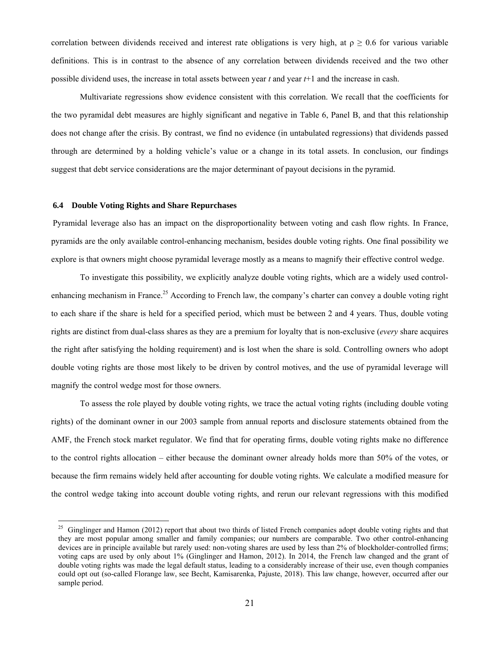correlation between dividends received and interest rate obligations is very high, at  $\rho \geq 0.6$  for various variable definitions. This is in contrast to the absence of any correlation between dividends received and the two other possible dividend uses, the increase in total assets between year *t* and year *t*+1 and the increase in cash.

Multivariate regressions show evidence consistent with this correlation. We recall that the coefficients for the two pyramidal debt measures are highly significant and negative in Table 6, Panel B, and that this relationship does not change after the crisis. By contrast, we find no evidence (in untabulated regressions) that dividends passed through are determined by a holding vehicle's value or a change in its total assets. In conclusion, our findings suggest that debt service considerations are the major determinant of payout decisions in the pyramid.

### **6.4 Double Voting Rights and Share Repurchases**

l

Pyramidal leverage also has an impact on the disproportionality between voting and cash flow rights. In France, pyramids are the only available control-enhancing mechanism, besides double voting rights. One final possibility we explore is that owners might choose pyramidal leverage mostly as a means to magnify their effective control wedge.

To investigate this possibility, we explicitly analyze double voting rights, which are a widely used controlenhancing mechanism in France.<sup>25</sup> According to French law, the company's charter can convey a double voting right to each share if the share is held for a specified period, which must be between 2 and 4 years. Thus, double voting rights are distinct from dual-class shares as they are a premium for loyalty that is non-exclusive (*every* share acquires the right after satisfying the holding requirement) and is lost when the share is sold. Controlling owners who adopt double voting rights are those most likely to be driven by control motives, and the use of pyramidal leverage will magnify the control wedge most for those owners.

To assess the role played by double voting rights, we trace the actual voting rights (including double voting rights) of the dominant owner in our 2003 sample from annual reports and disclosure statements obtained from the AMF, the French stock market regulator. We find that for operating firms, double voting rights make no difference to the control rights allocation – either because the dominant owner already holds more than 50% of the votes, or because the firm remains widely held after accounting for double voting rights. We calculate a modified measure for the control wedge taking into account double voting rights, and rerun our relevant regressions with this modified

<sup>&</sup>lt;sup>25</sup> Ginglinger and Hamon (2012) report that about two thirds of listed French companies adopt double voting rights and that they are most popular among smaller and family companies; our numbers are comparable. Two other control-enhancing devices are in principle available but rarely used: non-voting shares are used by less than 2% of blockholder-controlled firms; voting caps are used by only about 1% (Ginglinger and Hamon, 2012). In 2014, the French law changed and the grant of double voting rights was made the legal default status, leading to a considerably increase of their use, even though companies could opt out (so-called Florange law, see Becht, Kamisarenka, Pajuste, 2018). This law change, however, occurred after our sample period.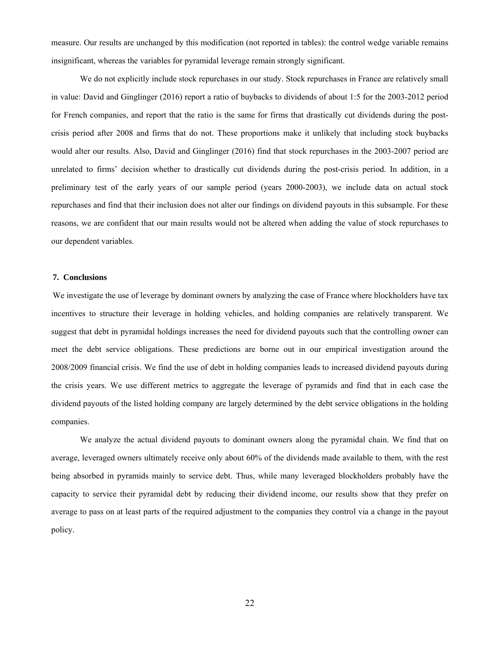measure. Our results are unchanged by this modification (not reported in tables): the control wedge variable remains insignificant, whereas the variables for pyramidal leverage remain strongly significant.

We do not explicitly include stock repurchases in our study. Stock repurchases in France are relatively small in value: David and Ginglinger (2016) report a ratio of buybacks to dividends of about 1:5 for the 2003-2012 period for French companies, and report that the ratio is the same for firms that drastically cut dividends during the postcrisis period after 2008 and firms that do not. These proportions make it unlikely that including stock buybacks would alter our results. Also, David and Ginglinger (2016) find that stock repurchases in the 2003-2007 period are unrelated to firms' decision whether to drastically cut dividends during the post-crisis period. In addition, in a preliminary test of the early years of our sample period (years 2000-2003), we include data on actual stock repurchases and find that their inclusion does not alter our findings on dividend payouts in this subsample. For these reasons, we are confident that our main results would not be altered when adding the value of stock repurchases to our dependent variables.

### **7. Conclusions**

We investigate the use of leverage by dominant owners by analyzing the case of France where blockholders have tax incentives to structure their leverage in holding vehicles, and holding companies are relatively transparent. We suggest that debt in pyramidal holdings increases the need for dividend payouts such that the controlling owner can meet the debt service obligations. These predictions are borne out in our empirical investigation around the 2008/2009 financial crisis. We find the use of debt in holding companies leads to increased dividend payouts during the crisis years. We use different metrics to aggregate the leverage of pyramids and find that in each case the dividend payouts of the listed holding company are largely determined by the debt service obligations in the holding companies.

We analyze the actual dividend payouts to dominant owners along the pyramidal chain. We find that on average, leveraged owners ultimately receive only about 60% of the dividends made available to them, with the rest being absorbed in pyramids mainly to service debt. Thus, while many leveraged blockholders probably have the capacity to service their pyramidal debt by reducing their dividend income, our results show that they prefer on average to pass on at least parts of the required adjustment to the companies they control via a change in the payout policy.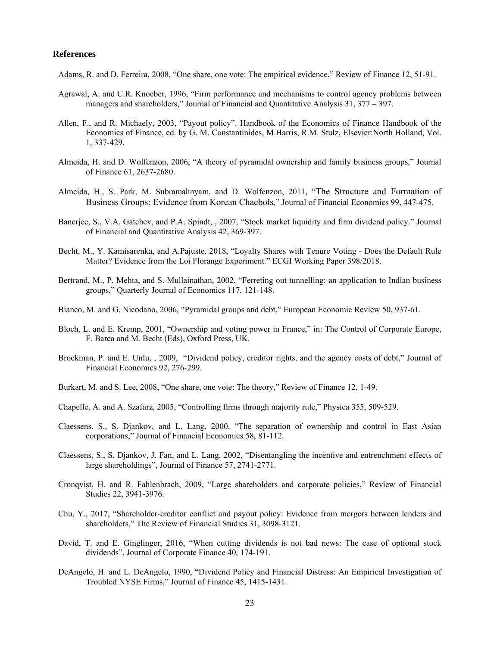### **References**

Adams, R. and D. Ferreira, 2008, "One share, one vote: The empirical evidence," Review of Finance 12, 51-91.

- Agrawal, A. and C.R. Knoeber, 1996, "Firm performance and mechanisms to control agency problems between managers and shareholders," Journal of Financial and Quantitative Analysis 31, 377 – 397.
- Allen, F., and R. Michaely, 2003, "Payout policy". Handbook of the Economics of Finance Handbook of the Economics of Finance, ed. by G. M. Constantinides, M.Harris, R.M. Stulz, Elsevier:North Holland, Vol. 1, 337-429.
- Almeida, H. and D. Wolfenzon, 2006, "A theory of pyramidal ownership and family business groups," Journal of Finance 61, 2637-2680.
- Almeida, H., S. Park, M. Subramahnyam, and D. Wolfenzon, 2011, "The Structure and Formation of Business Groups: Evidence from Korean Chaebols," Journal of Financial Economics 99, 447-475.
- Banerjee, S., V.A. Gatchev, and P.A. Spindt, , 2007, "Stock market liquidity and firm dividend policy." Journal of Financial and Quantitative Analysis 42, 369‐397.
- Becht, M., Y. Kamisarenka, and A.Pajuste, 2018, "Loyalty Shares with Tenure Voting Does the Default Rule Matter? Evidence from the Loi Florange Experiment." ECGI Working Paper 398/2018.
- Bertrand, M., P. Mehta, and S. Mullainathan, 2002, "Ferreting out tunnelling: an application to Indian business groups," Quarterly Journal of Economics 117, 121-148.
- Bianco, M. and G. Nicodano, 2006, "Pyramidal groups and debt," European Economic Review 50, 937-61.
- Bloch, L. and E. Kremp, 2001, "Ownership and voting power in France," in: The Control of Corporate Europe, F. Barca and M. Becht (Eds), Oxford Press, UK.
- Brockman, P. and E. Unlu, , 2009, "Dividend policy, creditor rights, and the agency costs of debt," Journal of Financial Economics 92, 276‐299.
- Burkart, M. and S. Lee, 2008, "One share, one vote: The theory," Review of Finance 12, 1-49.
- Chapelle, A. and A. Szafarz, 2005, "Controlling firms through majority rule," Physica 355, 509-529.
- Claessens, S., S. Djankov, and L. Lang, 2000, "The separation of ownership and control in East Asian corporations," Journal of Financial Economics 58, 81-112.
- Claessens, S., S. Djankov, J. Fan, and L. Lang, 2002, "Disentangling the incentive and entrenchment effects of large shareholdings", Journal of Finance 57, 2741-2771.
- Cronqvist, H. and R. Fahlenbrach, 2009, "Large shareholders and corporate policies," Review of Financial Studies 22, 3941-3976.
- Chu, Y., 2017, "Shareholder‐creditor conflict and payout policy: Evidence from mergers between lenders and shareholders," The Review of Financial Studies 31, 3098‐3121.
- David, T. and E. Ginglinger, 2016, "When cutting dividends is not bad news: The case of optional stock dividends", Journal of Corporate Finance 40, 174-191.
- DeAngelo, H. and L. DeAngelo, 1990, "Dividend Policy and Financial Distress: An Empirical Investigation of Troubled NYSE Firms," Journal of Finance 45, 1415-1431.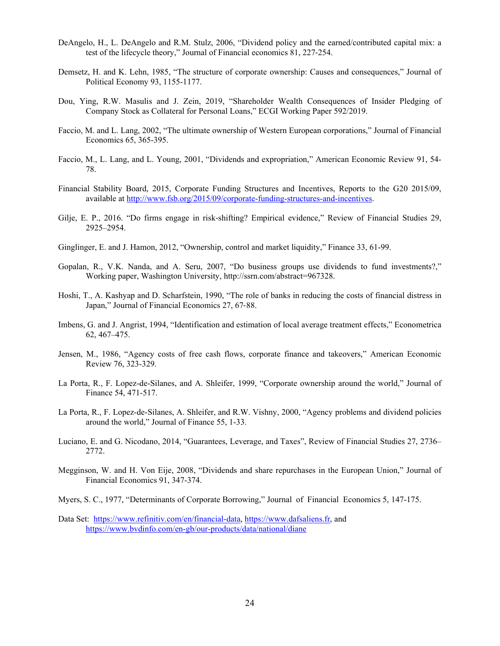- DeAngelo, H., L. DeAngelo and R.M. Stulz, 2006, "Dividend policy and the earned/contributed capital mix: a test of the lifecycle theory," Journal of Financial economics 81, 227‐254.
- Demsetz, H. and K. Lehn, 1985, "The structure of corporate ownership: Causes and consequences," Journal of Political Economy 93, 1155-1177.
- Dou, Ying, R.W. Masulis and J. Zein, 2019, "Shareholder Wealth Consequences of Insider Pledging of Company Stock as Collateral for Personal Loans," ECGI Working Paper 592/2019.
- Faccio, M. and L. Lang, 2002, "The ultimate ownership of Western European corporations," Journal of Financial Economics 65, 365-395.
- Faccio, M., L. Lang, and L. Young, 2001, "Dividends and expropriation," American Economic Review 91, 54- 78.
- Financial Stability Board, 2015, Corporate Funding Structures and Incentives, Reports to the G20 2015/09, available at http://www.fsb.org/2015/09/corporate-funding-structures-and-incentives.
- Gilje, E. P., 2016. "Do firms engage in risk‐shifting? Empirical evidence," Review of Financial Studies 29, 2925–2954.
- Ginglinger, E. and J. Hamon, 2012, "Ownership, control and market liquidity," Finance 33, 61-99.
- Gopalan, R., V.K. Nanda, and A. Seru, 2007, "Do business groups use dividends to fund investments?," Working paper, Washington University, http://ssrn.com/abstract=967328.
- Hoshi, T., A. Kashyap and D. Scharfstein, 1990, "The role of banks in reducing the costs of financial distress in Japan," Journal of Financial Economics 27, 67‐88.
- Imbens, G. and J. Angrist, 1994, "Identification and estimation of local average treatment effects," Econometrica 62, 467–475.
- Jensen, M., 1986, "Agency costs of free cash flows, corporate finance and takeovers," American Economic Review 76, 323-329.
- La Porta, R., F. Lopez-de-Silanes, and A. Shleifer, 1999, "Corporate ownership around the world," Journal of Finance 54, 471-517.
- La Porta, R., F. Lopez-de-Silanes, A. Shleifer, and R.W. Vishny, 2000, "Agency problems and dividend policies around the world," Journal of Finance 55, 1-33.
- Luciano, E. and G. Nicodano, 2014, "Guarantees, Leverage, and Taxes", Review of Financial Studies 27, 2736– 2772.
- Megginson, W. and H. Von Eije, 2008, "Dividends and share repurchases in the European Union," Journal of Financial Economics 91, 347-374.
- Myers, S. C., 1977, "Determinants of Corporate Borrowing," Journal of Financial Economics 5, 147-175.
- Data Set: https://www.refinitiv.com/en/financial-data, https://www.dafsaliens.fr, and https://www.bvdinfo.com/en-gb/our-products/data/national/diane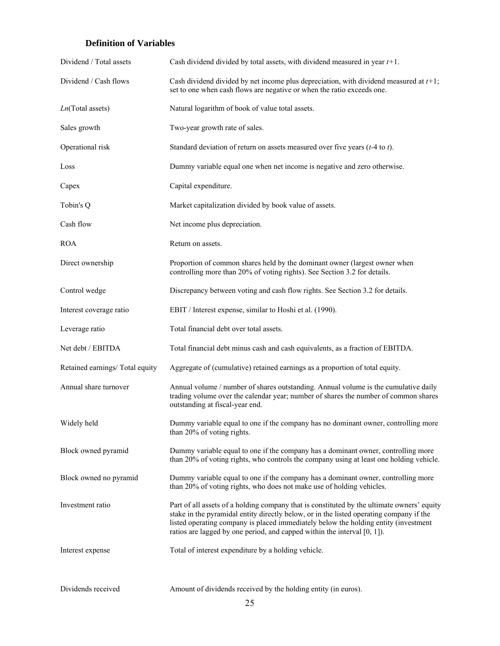# **Definition of Variables**

| Dividend / Total assets         | Cash dividend divided by total assets, with dividend measured in year $t+1$ .                                                                                                                                                                                                                                                                              |
|---------------------------------|------------------------------------------------------------------------------------------------------------------------------------------------------------------------------------------------------------------------------------------------------------------------------------------------------------------------------------------------------------|
| Dividend / Cash flows           | Cash dividend divided by net income plus depreciation, with dividend measured at $t+1$ ;<br>set to one when cash flows are negative or when the ratio exceeds one.                                                                                                                                                                                         |
| $Ln(Total$ assets)              | Natural logarithm of book of value total assets.                                                                                                                                                                                                                                                                                                           |
| Sales growth                    | Two-year growth rate of sales.                                                                                                                                                                                                                                                                                                                             |
| Operational risk                | Standard deviation of return on assets measured over five years $(t-4$ to t).                                                                                                                                                                                                                                                                              |
| Loss                            | Dummy variable equal one when net income is negative and zero otherwise.                                                                                                                                                                                                                                                                                   |
| Capex                           | Capital expenditure.                                                                                                                                                                                                                                                                                                                                       |
| Tobin's Q                       | Market capitalization divided by book value of assets.                                                                                                                                                                                                                                                                                                     |
| Cash flow                       | Net income plus depreciation.                                                                                                                                                                                                                                                                                                                              |
| <b>ROA</b>                      | Return on assets.                                                                                                                                                                                                                                                                                                                                          |
| Direct ownership                | Proportion of common shares held by the dominant owner (largest owner when<br>controlling more than 20% of voting rights). See Section 3.2 for details.                                                                                                                                                                                                    |
| Control wedge                   | Discrepancy between voting and cash flow rights. See Section 3.2 for details.                                                                                                                                                                                                                                                                              |
| Interest coverage ratio         | EBIT / Interest expense, similar to Hoshi et al. (1990).                                                                                                                                                                                                                                                                                                   |
| Leverage ratio                  | Total financial debt over total assets.                                                                                                                                                                                                                                                                                                                    |
| Net debt / EBITDA               | Total financial debt minus cash and cash equivalents, as a fraction of EBITDA.                                                                                                                                                                                                                                                                             |
| Retained earnings/ Total equity | Aggregate of (cumulative) retained earnings as a proportion of total equity.                                                                                                                                                                                                                                                                               |
| Annual share turnover           | Annual volume / number of shares outstanding. Annual volume is the cumulative daily<br>trading volume over the calendar year; number of shares the number of common shares<br>outstanding at fiscal-year end.                                                                                                                                              |
| Widely held                     | Dummy variable equal to one if the company has no dominant owner, controlling more<br>than 20% of voting rights.                                                                                                                                                                                                                                           |
| Block owned pyramid             | Dummy variable equal to one if the company has a dominant owner, controlling more<br>than 20% of voting rights, who controls the company using at least one holding vehicle.                                                                                                                                                                               |
| Block owned no pyramid          | Dummy variable equal to one if the company has a dominant owner, controlling more<br>than 20% of voting rights, who does not make use of holding vehicles.                                                                                                                                                                                                 |
| Investment ratio                | Part of all assets of a holding company that is constituted by the ultimate owners' equity<br>stake in the pyramidal entity directly below, or in the listed operating company if the<br>listed operating company is placed immediately below the holding entity (investment<br>ratios are lagged by one period, and capped within the interval $[0, 1]$ . |
| Interest expense                | Total of interest expenditure by a holding vehicle.                                                                                                                                                                                                                                                                                                        |
| Dividends received              | Amount of dividends received by the holding entity (in euros).                                                                                                                                                                                                                                                                                             |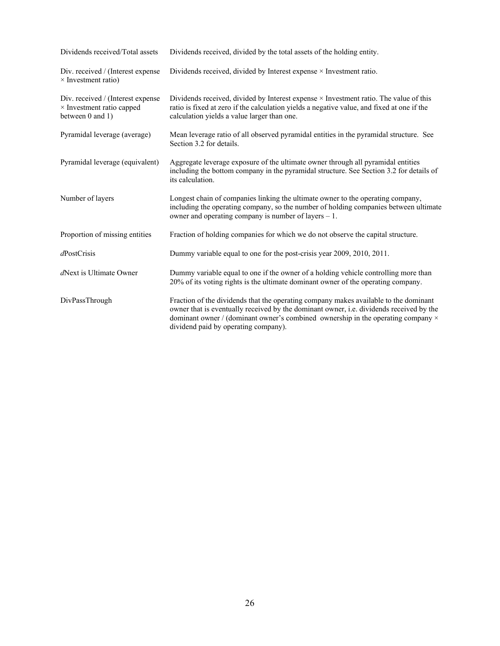| Dividends received/Total assets                                                    | Dividends received, divided by the total assets of the holding entity.                                                                                                                                                                                                                                             |
|------------------------------------------------------------------------------------|--------------------------------------------------------------------------------------------------------------------------------------------------------------------------------------------------------------------------------------------------------------------------------------------------------------------|
| Div. received / (Interest expense<br>$\times$ Investment ratio)                    | Dividends received, divided by Interest expense $\times$ Investment ratio.                                                                                                                                                                                                                                         |
| Div. received / (Interest expense<br>× Investment ratio capped<br>between 0 and 1) | Dividends received, divided by Interest expense $\times$ Investment ratio. The value of this<br>ratio is fixed at zero if the calculation yields a negative value, and fixed at one if the<br>calculation yields a value larger than one.                                                                          |
| Pyramidal leverage (average)                                                       | Mean leverage ratio of all observed pyramidal entities in the pyramidal structure. See<br>Section 3.2 for details.                                                                                                                                                                                                 |
| Pyramidal leverage (equivalent)                                                    | Aggregate leverage exposure of the ultimate owner through all pyramidal entities<br>including the bottom company in the pyramidal structure. See Section 3.2 for details of<br>its calculation.                                                                                                                    |
| Number of layers                                                                   | Longest chain of companies linking the ultimate owner to the operating company,<br>including the operating company, so the number of holding companies between ultimate<br>owner and operating company is number of layers $-1$ .                                                                                  |
| Proportion of missing entities                                                     | Fraction of holding companies for which we do not observe the capital structure.                                                                                                                                                                                                                                   |
| $d$ PostCrisis                                                                     | Dummy variable equal to one for the post-crisis year 2009, 2010, 2011.                                                                                                                                                                                                                                             |
| dNext is Ultimate Owner                                                            | Dummy variable equal to one if the owner of a holding vehicle controlling more than<br>20% of its voting rights is the ultimate dominant owner of the operating company.                                                                                                                                           |
| DivPassThrough                                                                     | Fraction of the dividends that the operating company makes available to the dominant<br>owner that is eventually received by the dominant owner, i.e. dividends received by the<br>dominant owner / (dominant owner's combined ownership in the operating company $\times$<br>dividend paid by operating company). |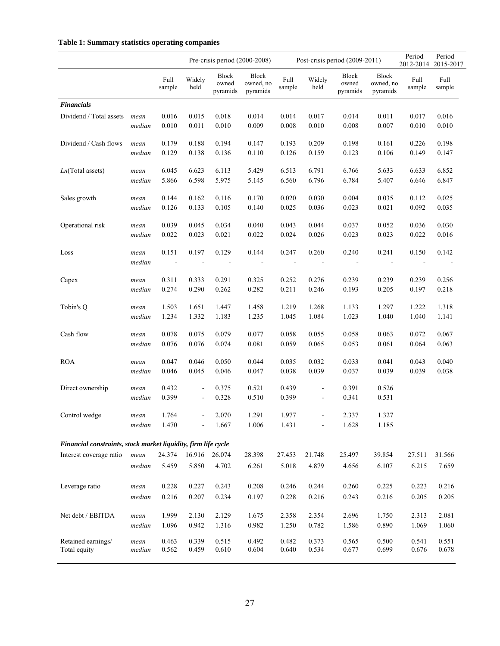### **Table 1: Summary statistics operating companies**

|                                                                |                |                        |                                  | Pre-crisis period (2000-2008) |                                |                         |                                 | Post-crisis period (2009-2011)    |                                       | Period         | Period<br>2012-2014 2015-2017 |
|----------------------------------------------------------------|----------------|------------------------|----------------------------------|-------------------------------|--------------------------------|-------------------------|---------------------------------|-----------------------------------|---------------------------------------|----------------|-------------------------------|
|                                                                |                | Full<br>sample         | Widely<br>held                   | Block<br>owned<br>pyramids    | Block<br>owned, no<br>pyramids | Full<br>sample          | Widely<br>held                  | <b>Block</b><br>owned<br>pyramids | <b>Block</b><br>owned, no<br>pyramids | Full<br>sample | Full<br>sample                |
| <b>Financials</b>                                              |                |                        |                                  |                               |                                |                         |                                 |                                   |                                       |                |                               |
| Dividend / Total assets                                        | mean           | 0.016                  | 0.015                            | 0.018                         | 0.014                          | 0.014                   | 0.017                           | 0.014                             | 0.011                                 | 0.017          | 0.016                         |
|                                                                | median         | 0.010                  | 0.011                            | 0.010                         | 0.009                          | 0.008                   | 0.010                           | 0.008                             | 0.007                                 | 0.010          | 0.010                         |
| Dividend / Cash flows                                          | mean           | 0.179                  | 0.188                            | 0.194                         | 0.147                          | 0.193                   | 0.209                           | 0.198                             | 0.161                                 | 0.226          | 0.198                         |
|                                                                | median         | 0.129                  | 0.138                            | 0.136                         | 0.110                          | 0.126                   | 0.159                           | 0.123                             | 0.106                                 | 0.149          | 0.147                         |
| $Ln(Total$ assets)                                             | mean           | 6.045                  | 6.623                            | 6.113                         | 5.429                          | 6.513                   | 6.791                           | 6.766                             | 5.633                                 | 6.633          | 6.852                         |
|                                                                | median         | 5.866                  | 6.598                            | 5.975                         | 5.145                          | 6.560                   | 6.796                           | 6.784                             | 5.407                                 | 6.646          | 6.847                         |
| Sales growth                                                   | mean           | 0.144                  | 0.162                            | 0.116                         | 0.170                          | 0.020                   | 0.030                           | 0.004                             | 0.035                                 | 0.112          | 0.025                         |
|                                                                | median         | 0.126                  | 0.133                            | 0.105                         | 0.140                          | 0.025                   | 0.036                           | 0.023                             | 0.021                                 | 0.092          | 0.035                         |
| Operational risk                                               | mean           | 0.039                  | 0.045                            | 0.034                         | 0.040                          | 0.043                   | 0.044                           | 0.037                             | 0.052                                 | 0.036          | 0.030                         |
|                                                                | median         | 0.022                  | 0.023                            | 0.021                         | 0.022                          | 0.024                   | 0.026                           | 0.023                             | 0.023                                 | 0.022          | 0.016                         |
| Loss                                                           | mean<br>median | 0.151<br>$\sim$ $\sim$ | 0.197                            | 0.129                         | 0.144<br>$\blacksquare$        | 0.247<br>$\blacksquare$ | 0.260                           | 0.240                             | 0.241<br>$\blacksquare$               | 0.150          | 0.142                         |
| Capex                                                          | mean           | 0.311                  | 0.333                            | 0.291                         | 0.325                          | 0.252                   | 0.276                           | 0.239                             | 0.239                                 | 0.239          | 0.256                         |
|                                                                | median         | 0.274                  | 0.290                            | 0.262                         | 0.282                          | 0.211                   | 0.246                           | 0.193                             | 0.205                                 | 0.197          | 0.218                         |
| Tobin's Q                                                      | mean           | 1.503                  | 1.651                            | 1.447                         | 1.458                          | 1.219                   | 1.268                           | 1.133                             | 1.297                                 | 1.222          | 1.318                         |
|                                                                | median         | 1.234                  | 1.332                            | 1.183                         | 1.235                          | 1.045                   | 1.084                           | 1.023                             | 1.040                                 | 1.040          | 1.141                         |
| Cash flow                                                      | mean           | 0.078                  | 0.075                            | 0.079                         | 0.077                          | 0.058                   | 0.055                           | 0.058                             | 0.063                                 | 0.072          | 0.067                         |
|                                                                | median         | 0.076                  | 0.076                            | 0.074                         | 0.081                          | 0.059                   | 0.065                           | 0.053                             | 0.061                                 | 0.064          | 0.063                         |
| <b>ROA</b>                                                     | mean           | 0.047                  | 0.046                            | 0.050                         | 0.044                          | 0.035                   | 0.032                           | 0.033                             | 0.041                                 | 0.043          | 0.040                         |
|                                                                | median         | 0.046                  | 0.045                            | 0.046                         | 0.047                          | 0.038                   | 0.039                           | 0.037                             | 0.039                                 | 0.039          | 0.038                         |
| Direct ownership                                               | mean<br>median | 0.432<br>0.399         | $\blacksquare$<br>$\blacksquare$ | 0.375<br>0.328                | 0.521<br>0.510                 | 0.439<br>0.399          | $\frac{1}{2}$<br>$\blacksquare$ | 0.391<br>0.341                    | 0.526<br>0.531                        |                |                               |
| Control wedge                                                  | mean<br>median | 1.764<br>1.470         |                                  | 2.070<br>1.667                | 1.291<br>1.006                 | 1.977<br>1.431          | $\blacksquare$                  | 2.337<br>1.628                    | 1.327<br>1.185                        |                |                               |
| Financial constraints, stock market liquidity, firm life cycle |                |                        |                                  |                               |                                |                         |                                 |                                   |                                       |                |                               |
| Interest coverage ratio                                        | mean           | 24.374                 | 16.916                           | 26.074                        | 28.398                         | 27.453                  | 21.748                          | 25.497                            | 39.854                                | 27.511         | 31.566                        |
|                                                                | median         | 5.459                  | 5.850                            | 4.702                         | 6.261                          | 5.018                   | 4.879                           | 4.656                             | 6.107                                 | 6.215          | 7.659                         |
| Leverage ratio                                                 | mean           | 0.228                  | 0.227                            | 0.243                         | 0.208                          | 0.246                   | 0.244                           | 0.260                             | 0.225                                 | 0.223          | 0.216                         |
|                                                                | median         | 0.216                  | 0.207                            | 0.234                         | 0.197                          | 0.228                   | 0.216                           | 0.243                             | 0.216                                 | 0.205          | 0.205                         |
| Net debt / EBITDA                                              | mean           | 1.999                  | 2.130                            | 2.129                         | 1.675                          | 2.358                   | 2.354                           | 2.696                             | 1.750                                 | 2.313          | 2.081                         |
|                                                                | median         | 1.096                  | 0.942                            | 1.316                         | 0.982                          | 1.250                   | 0.782                           | 1.586                             | 0.890                                 | 1.069          | 1.060                         |
| Retained earnings/                                             | mean           | 0.463                  | 0.339                            | 0.515                         | 0.492                          | 0.482                   | 0.373                           | 0.565                             | 0.500                                 | 0.541          | 0.551                         |
| Total equity                                                   | median         | 0.562                  | 0.459                            | 0.610                         | 0.604                          | 0.640                   | 0.534                           | 0.677                             | 0.699                                 | 0.676          | 0.678                         |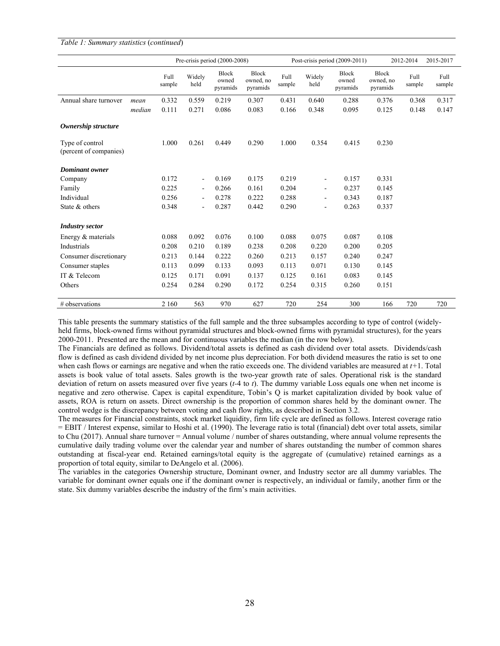### *Table 1: Summary statistics* (*continued*)

|                                           |        |                |                | Pre-crisis period (2000-2008) |                                       |                |                          | Post-crisis period (2009-2011)    |                                       | 2012-2014      | 2015-2017      |
|-------------------------------------------|--------|----------------|----------------|-------------------------------|---------------------------------------|----------------|--------------------------|-----------------------------------|---------------------------------------|----------------|----------------|
|                                           |        | Full<br>sample | Widely<br>held | Block<br>owned<br>pyramids    | <b>Block</b><br>owned, no<br>pyramids | Full<br>sample | Widely<br>held           | <b>Block</b><br>owned<br>pyramids | <b>Block</b><br>owned, no<br>pyramids | Full<br>sample | Full<br>sample |
| Annual share turnover                     | mean   | 0.332          | 0.559          | 0.219                         | 0.307                                 | 0.431          | 0.640                    | 0.288                             | 0.376                                 | 0.368          | 0.317          |
|                                           | median | 0.111          | 0.271          | 0.086                         | 0.083                                 | 0.166          | 0.348                    | 0.095                             | 0.125                                 | 0.148          | 0.147          |
| Ownership structure                       |        |                |                |                               |                                       |                |                          |                                   |                                       |                |                |
| Type of control<br>(percent of companies) |        | 1.000          | 0.261          | 0.449                         | 0.290                                 | 1.000          | 0.354                    | 0.415                             | 0.230                                 |                |                |
| <b>Dominant</b> owner                     |        |                |                |                               |                                       |                |                          |                                   |                                       |                |                |
| Company                                   |        | 0.172          | $\blacksquare$ | 0.169                         | 0.175                                 | 0.219          | $\overline{\phantom{a}}$ | 0.157                             | 0.331                                 |                |                |
| Family                                    |        | 0.225          | $\blacksquare$ | 0.266                         | 0.161                                 | 0.204          | $\blacksquare$           | 0.237                             | 0.145                                 |                |                |
| Individual                                |        | 0.256          | $\blacksquare$ | 0.278                         | 0.222                                 | 0.288          | $\blacksquare$           | 0.343                             | 0.187                                 |                |                |
| State & others                            |        | 0.348          | $\blacksquare$ | 0.287                         | 0.442                                 | 0.290          | $\overline{a}$           | 0.263                             | 0.337                                 |                |                |
| <b>Industry sector</b>                    |        |                |                |                               |                                       |                |                          |                                   |                                       |                |                |
| Energy & materials                        |        | 0.088          | 0.092          | 0.076                         | 0.100                                 | 0.088          | 0.075                    | 0.087                             | 0.108                                 |                |                |
| Industrials                               |        | 0.208          | 0.210          | 0.189                         | 0.238                                 | 0.208          | 0.220                    | 0.200                             | 0.205                                 |                |                |
| Consumer discretionary                    |        | 0.213          | 0.144          | 0.222                         | 0.260                                 | 0.213          | 0.157                    | 0.240                             | 0.247                                 |                |                |
| Consumer staples                          |        | 0.113          | 0.099          | 0.133                         | 0.093                                 | 0.113          | 0.071                    | 0.130                             | 0.145                                 |                |                |
| IT & Telecom                              |        | 0.125          | 0.171          | 0.091                         | 0.137                                 | 0.125          | 0.161                    | 0.083                             | 0.145                                 |                |                |
| Others                                    |        | 0.254          | 0.284          | 0.290                         | 0.172                                 | 0.254          | 0.315                    | 0.260                             | 0.151                                 |                |                |
| # observations                            |        | 2 1 6 0        | 563            | 970                           | 627                                   | 720            | 254                      | 300                               | 166                                   | 720            | 720            |

This table presents the summary statistics of the full sample and the three subsamples according to type of control (widelyheld firms, block-owned firms without pyramidal structures and block-owned firms with pyramidal structures), for the years 2000-2011. Presented are the mean and for continuous variables the median (in the row below).

The Financials are defined as follows. Dividend/total assets is defined as cash dividend over total assets. Dividends/cash flow is defined as cash dividend divided by net income plus depreciation. For both dividend measures the ratio is set to one when cash flows or earnings are negative and when the ratio exceeds one. The dividend variables are measured at *t+*1. Total assets is book value of total assets. Sales growth is the two-year growth rate of sales. Operational risk is the standard deviation of return on assets measured over five years (*t-*4 to *t*). The dummy variable Loss equals one when net income is negative and zero otherwise. Capex is capital expenditure, Tobin's Q is market capitalization divided by book value of assets, ROA is return on assets. Direct ownership is the proportion of common shares held by the dominant owner. The control wedge is the discrepancy between voting and cash flow rights, as described in Section 3.2.

The measures for Financial constraints, stock market liquidity, firm life cycle are defined as follows. Interest coverage ratio = EBIT / Interest expense, similar to Hoshi et al. (1990). The leverage ratio is total (financial) debt over total assets, similar to Chu (2017). Annual share turnover = Annual volume / number of shares outstanding, where annual volume represents the cumulative daily trading volume over the calendar year and number of shares outstanding the number of common shares outstanding at fiscal-year end. Retained earnings/total equity is the aggregate of (cumulative) retained earnings as a proportion of total equity, similar to DeAngelo et al. (2006).

The variables in the categories Ownership structure, Dominant owner, and Industry sector are all dummy variables. The variable for dominant owner equals one if the dominant owner is respectively, an individual or family, another firm or the state. Six dummy variables describe the industry of the firm's main activities.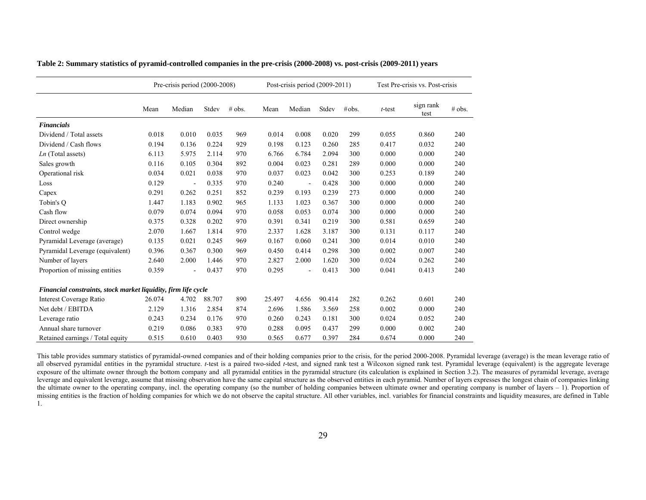|                                                                |        | Pre-crisis period $(2000-2008)$ |        |        |        | Post-crisis period $(2009-2011)$ |        |       |           | Test Pre-crisis vs. Post-crisis |        |
|----------------------------------------------------------------|--------|---------------------------------|--------|--------|--------|----------------------------------|--------|-------|-----------|---------------------------------|--------|
|                                                                | Mean   | Median                          | Stdev  | # obs. | Mean   | Median                           | Stdev  | #obs. | $t$ -test | sign rank<br>test               | # obs. |
| <b>Financials</b>                                              |        |                                 |        |        |        |                                  |        |       |           |                                 |        |
| Dividend / Total assets                                        | 0.018  | 0.010                           | 0.035  | 969    | 0.014  | 0.008                            | 0.020  | 299   | 0.055     | 0.860                           | 240    |
| Dividend / Cash flows                                          | 0.194  | 0.136                           | 0.224  | 929    | 0.198  | 0.123                            | 0.260  | 285   | 0.417     | 0.032                           | 240    |
| $Ln$ (Total assets)                                            | 6.113  | 5.975                           | 2.114  | 970    | 6.766  | 6.784                            | 2.094  | 300   | 0.000     | 0.000                           | 240    |
| Sales growth                                                   | 0.116  | 0.105                           | 0.304  | 892    | 0.004  | 0.023                            | 0.281  | 289   | 0.000     | 0.000                           | 240    |
| Operational risk                                               | 0.034  | 0.021                           | 0.038  | 970    | 0.037  | 0.023                            | 0.042  | 300   | 0.253     | 0.189                           | 240    |
| Loss                                                           | 0.129  |                                 | 0.335  | 970    | 0.240  |                                  | 0.428  | 300   | 0.000     | 0.000                           | 240    |
| Capex                                                          | 0.291  | 0.262                           | 0.251  | 852    | 0.239  | 0.193                            | 0.239  | 273   | 0.000     | 0.000                           | 240    |
| Tobin's O                                                      | 1.447  | 1.183                           | 0.902  | 965    | 1.133  | 1.023                            | 0.367  | 300   | 0.000     | 0.000                           | 240    |
| Cash flow                                                      | 0.079  | 0.074                           | 0.094  | 970    | 0.058  | 0.053                            | 0.074  | 300   | 0.000     | 0.000                           | 240    |
| Direct ownership                                               | 0.375  | 0.328                           | 0.202  | 970    | 0.391  | 0.341                            | 0.219  | 300   | 0.581     | 0.659                           | 240    |
| Control wedge                                                  | 2.070  | 1.667                           | 1.814  | 970    | 2.337  | 1.628                            | 3.187  | 300   | 0.131     | 0.117                           | 240    |
| Pyramidal Leverage (average)                                   | 0.135  | 0.021                           | 0.245  | 969    | 0.167  | 0.060                            | 0.241  | 300   | 0.014     | 0.010                           | 240    |
| Pyramidal Leverage (equivalent)                                | 0.396  | 0.367                           | 0.300  | 969    | 0.450  | 0.414                            | 0.298  | 300   | 0.002     | 0.007                           | 240    |
| Number of layers                                               | 2.640  | 2.000                           | 1.446  | 970    | 2.827  | 2.000                            | 1.620  | 300   | 0.024     | 0.262                           | 240    |
| Proportion of missing entities                                 | 0.359  | L,                              | 0.437  | 970    | 0.295  | $\blacksquare$                   | 0.413  | 300   | 0.041     | 0.413                           | 240    |
| Financial constraints, stock market liquidity, firm life cycle |        |                                 |        |        |        |                                  |        |       |           |                                 |        |
| <b>Interest Coverage Ratio</b>                                 | 26.074 | 4.702                           | 88.707 | 890    | 25.497 | 4.656                            | 90.414 | 282   | 0.262     | 0.601                           | 240    |
| Net debt / EBITDA                                              | 2.129  | 1.316                           | 2.854  | 874    | 2.696  | 1.586                            | 3.569  | 258   | 0.002     | 0.000                           | 240    |
| Leverage ratio                                                 | 0.243  | 0.234                           | 0.176  | 970    | 0.260  | 0.243                            | 0.181  | 300   | 0.024     | 0.052                           | 240    |
| Annual share turnover                                          | 0.219  | 0.086                           | 0.383  | 970    | 0.288  | 0.095                            | 0.437  | 299   | 0.000     | 0.002                           | 240    |
| Retained earnings / Total equity                               | 0.515  | 0.610                           | 0.403  | 930    | 0.565  | 0.677                            | 0.397  | 284   | 0.674     | 0.000                           | 240    |

**Table 2: Summary statistics of pyramid-controlled companies in the pre-crisis (2000-2008) vs. post-crisis (2009-2011) years** 

This table provides summary statistics of pyramidal-owned companies and of their holding companies prior to the crisis, for the period 2000-2008. Pyramidal leverage (average) is the mean leverage ratio of all observed pyramidal entities in the pyramidal structure. *t*-test is a paired two-sided *t*-test, and signed rank test a Wilcoxon signed rank test. Pyramidal leverage (equivalent) is the aggregate leverage exposure of the ultimate owner through the bottom company and all pyramidal entities in the pyramidal structure (its calculation is explained in Section 3.2). The measures of pyramidal leverage, average leverage and equivalent leverage, assume that missing observation have the same capital structure as the observed entities in each pyramid. Number of layers expresses the longest chain of companies linking the ultimate owner to the operating company, incl. the operating company (so the number of holding companies between ultimate owner and operating company is number of layers – 1). Proportion of missing entities is the fraction of holding companies for which we do not observe the capital structure. All other variables, incl. variables for financial constraints and liquidity measures, are defined in Table 1.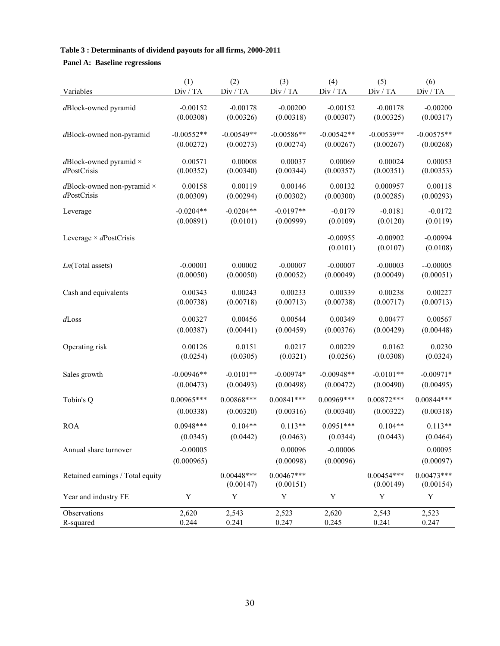# **Table 3 : Determinants of dividend payouts for all firms, 2000-2011**

# **Panel A: Baseline regressions**

|                                                        | (1)                     | (2)                     | (3)                     | (4)                     | (5)                     | (6)                     |
|--------------------------------------------------------|-------------------------|-------------------------|-------------------------|-------------------------|-------------------------|-------------------------|
| Variables                                              | Div / TA                | Div / TA                | Div / TA                | Div / TA                | Div / TA                | Div / TA                |
|                                                        |                         |                         |                         |                         |                         |                         |
| dBlock-owned pyramid                                   | $-0.00152$<br>(0.00308) | $-0.00178$<br>(0.00326) | $-0.00200$<br>(0.00318) | $-0.00152$<br>(0.00307) | $-0.00178$<br>(0.00325) | $-0.00200$<br>(0.00317) |
|                                                        |                         |                         |                         |                         |                         |                         |
| dBlock-owned non-pyramid                               | $-0.00552**$            | $-0.00549**$            | $-0.00586**$            | $-0.00542**$            | $-0.00539**$            | $-0.00575**$            |
|                                                        | (0.00272)               | (0.00273)               | (0.00274)               | (0.00267)               | (0.00267)               | (0.00268)               |
| $d$ Block-owned pyramid $\times$                       | 0.00571                 | 0.00008                 | 0.00037                 | 0.00069                 | 0.00024                 | 0.00053                 |
| dPostCrisis                                            | (0.00352)               | (0.00340)               | (0.00344)               | (0.00357)               | (0.00351)               | (0.00353)               |
|                                                        |                         |                         |                         |                         |                         |                         |
| $d\text{Block-owned non-pyramid}\times$<br>dPostCrisis | 0.00158                 | 0.00119                 | 0.00146                 | 0.00132                 | 0.000957                | 0.00118                 |
|                                                        | (0.00309)               | (0.00294)               | (0.00302)               | (0.00300)               | (0.00285)               | (0.00293)               |
| Leverage                                               | $-0.0204**$             | $-0.0204**$             | $-0.0197**$             | $-0.0179$               | $-0.0181$               | $-0.0172$               |
|                                                        | (0.00891)               | (0.0101)                | (0.00999)               | (0.0109)                | (0.0120)                | (0.0119)                |
| Leverage $\times$ dPostCrisis                          |                         |                         |                         | $-0.00955$              | $-0.00902$              | $-0.00994$              |
|                                                        |                         |                         |                         | (0.0101)                | (0.0107)                | (0.0108)                |
|                                                        |                         |                         |                         |                         |                         |                         |
| $Ln(Total$ assets)                                     | $-0.00001$              | 0.00002                 | $-0.00007$              | $-0.00007$              | $-0.00003$              | $-0.00005$              |
|                                                        | (0.00050)               | (0.00050)               | (0.00052)               | (0.00049)               | (0.00049)               | (0.00051)               |
| Cash and equivalents                                   | 0.00343                 | 0.00243                 | 0.00233                 | 0.00339                 | 0.00238                 | 0.00227                 |
|                                                        | (0.00738)               | (0.00718)               | (0.00713)               | (0.00738)               | (0.00717)               | (0.00713)               |
|                                                        |                         |                         |                         |                         |                         |                         |
| $d$ Loss                                               | 0.00327                 | 0.00456                 | 0.00544                 | 0.00349                 | 0.00477                 | 0.00567                 |
|                                                        | (0.00387)               | (0.00441)               | (0.00459)               | (0.00376)               | (0.00429)               | (0.00448)               |
| Operating risk                                         | 0.00126                 | 0.0151                  | 0.0217                  | 0.00229                 | 0.0162                  | 0.0230                  |
|                                                        | (0.0254)                | (0.0305)                | (0.0321)                | (0.0256)                | (0.0308)                | (0.0324)                |
|                                                        |                         |                         |                         |                         |                         |                         |
| Sales growth                                           | $-0.00946**$            | $-0.0101**$             | $-0.00974*$             | $-0.00948**$            | $-0.0101**$             | $-0.00971*$             |
|                                                        | (0.00473)               | (0.00493)               | (0.00498)               | (0.00472)               | (0.00490)               | (0.00495)               |
| Tobin's Q                                              | $0.00965***$            | $0.00868***$            | $0.00841***$            | $0.00969$ ***           | $0.00872***$            | $0.00844***$            |
|                                                        | (0.00338)               | (0.00320)               | (0.00316)               | (0.00340)               | (0.00322)               | (0.00318)               |
| <b>ROA</b>                                             | $0.0948***$             | $0.104**$               | $0.113**$               | $0.0951***$             | $0.104**$               | $0.113**$               |
|                                                        | (0.0345)                | (0.0442)                | (0.0463)                | (0.0344)                | (0.0443)                | (0.0464)                |
|                                                        | $-0.00005$              |                         | 0.00096                 | $-0.00006$              |                         | 0.00095                 |
| Annual share turnover                                  |                         |                         |                         |                         |                         |                         |
|                                                        | (0.000965)              |                         | (0.00098)               | (0.00096)               |                         | (0.00097)               |
| Retained earnings / Total equity                       |                         | $0.00448***$            | $0.00467***$            |                         | $0.00454***$            | $0.00473***$            |
|                                                        |                         | (0.00147)               | (0.00151)               |                         | (0.00149)               | (0.00154)               |
| Year and industry FE                                   | Y                       | Y                       | Y                       | Y                       | Y                       | Y                       |
| Observations                                           | 2,620                   | 2,543                   | 2,523                   | 2,620                   | 2,543                   | 2,523                   |
| R-squared                                              | 0.244                   | 0.241                   | 0.247                   | 0.245                   | 0.241                   | 0.247                   |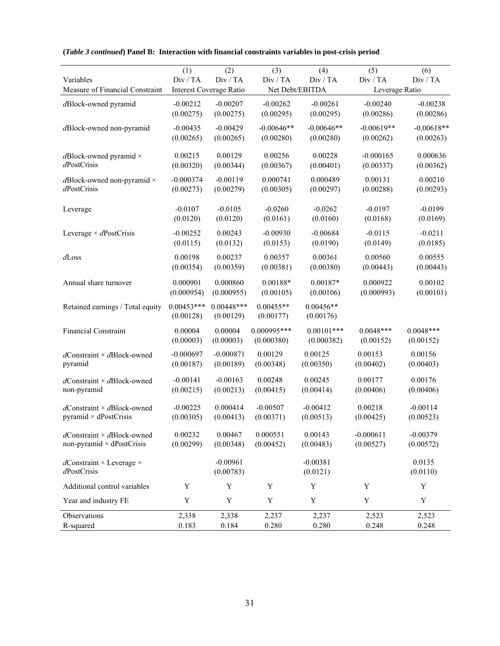|                                            | (1)          | (2)                            | (3)             | (4)          | (5)            | (6)          |
|--------------------------------------------|--------------|--------------------------------|-----------------|--------------|----------------|--------------|
| Variables                                  | Div / TA     | Div / TA                       | Div / TA        | Div / TA     | Div / TA       | Div / TA     |
| Measure of Financial Constraint            |              | <b>Interest Coverage Ratio</b> | Net Debt/EBITDA |              | Leverage Ratio |              |
| dBlock-owned pyramid                       | $-0.00212$   | $-0.00207$                     | $-0.00262$      | $-0.00261$   | $-0.00240$     | $-0.00238$   |
|                                            | (0.00275)    | (0.00275)                      | (0.00295)       | (0.00295)    | (0.00286)      | (0.00286)    |
|                                            |              | $-0.00429$                     | $-0.00646**$    | $-0.00646**$ | $-0.00619**$   | $-0.00618**$ |
| dBlock-owned non-pyramid                   | $-0.00435$   |                                |                 |              |                |              |
|                                            | (0.00265)    | (0.00265)                      | (0.00280)       | (0.00280)    | (0.00262)      | (0.00263)    |
| $d$ Block-owned pyramid $\times$           | 0.00215      | 0.00129                        | 0.00256         | 0.00228      | $-0.000165$    | 0.000636     |
| dPostCrisis                                | (0.00320)    | (0.00344)                      | (0.00367)       | (0.00401)    | (0.00337)      | (0.00362)    |
|                                            |              |                                |                 |              |                |              |
| $d\text{Block-owned non-pyramid}\times$    | $-0.000374$  | $-0.00119$                     | 0.000741        | 0.000489     | 0.00131        | 0.00210      |
| dPostCrisis                                | (0.00273)    | (0.00279)                      | (0.00305)       | (0.00297)    | (0.00288)      | (0.00293)    |
|                                            |              |                                |                 |              |                |              |
| Leverage                                   | $-0.0107$    | $-0.0105$                      | $-0.0260$       | $-0.0262$    | $-0.0197$      | $-0.0199$    |
|                                            | (0.0120)     | (0.0120)                       | (0.0161)        | (0.0160)     | (0.0168)       | (0.0169)     |
| Leverage $\times$ dPostCrisis              | $-0.00252$   | 0.00243                        | $-0.00930$      | $-0.00684$   | $-0.0115$      | $-0.0211$    |
|                                            | (0.0115)     | (0.0132)                       | (0.0153)        | (0.0190)     | (0.0149)       | (0.0185)     |
| $d$ Loss                                   | 0.00198      | 0.00237                        | 0.00357         | 0.00361      | 0.00560        | 0.00555      |
|                                            | (0.00354)    | (0.00359)                      | (0.00381)       | (0.00380)    | (0.00443)      | (0.00443)    |
|                                            |              |                                |                 |              |                |              |
| Annual share turnover                      | 0.000901     | 0.000860                       | $0.00188*$      | $0.00187*$   | 0.000922       | 0.00102      |
|                                            | (0.000954)   | (0.000955)                     | (0.00105)       | (0.00106)    | (0.000993)     | (0.00101)    |
| Retained earnings / Total equity           | $0.00453***$ | $0.00448***$                   | $0.00455**$     | $0.00456**$  |                |              |
|                                            | (0.00128)    | (0.00129)                      | (0.00177)       | (0.00176)    |                |              |
|                                            |              |                                |                 | $0.00101***$ |                |              |
| Financial Constraint                       | 0.00004      | 0.00004                        | 0.000995***     |              | $0.0048***$    | $0.0048***$  |
|                                            | (0.00003)    | (0.00003)                      | (0.000380)      | (0.000382)   | (0.00152)      | (0.00152)    |
| $d$ Constraint × $d$ Block-owned           | $-0.000697$  | $-0.000871$                    | 0.00129         | 0.00125      | 0.00153        | 0.00156      |
| pyramid                                    | (0.00187)    | (0.00189)                      | (0.00348)       | (0.00350)    | (0.00402)      | (0.00403)    |
| $d$ Constraint × $d$ Block-owned           | $-0.00141$   | $-0.00163$                     | 0.00248         | 0.00245      | 0.00177        | 0.00176      |
| non-pyramid                                | (0.00215)    | (0.00213)                      | (0.00415)       | (0.00414)    | (0.00406)      | (0.00406)    |
|                                            |              |                                |                 |              |                |              |
| $d$ Constraint × $d$ Block-owned           | $-0.00225$   | 0.000414                       | $-0.00507$      | $-0.00412$   | 0.00218        | $-0.00114$   |
| pyramid $\times$ dPostCrisis               | (0.00305)    | (0.00413)                      | (0.00371)       | (0.00513)    | (0.00425)      | (0.00523)    |
|                                            |              |                                |                 |              |                |              |
| $d$ Constraint × $d$ Block-owned           | 0.00232      | 0.00467                        | 0.000551        | 0.00143      | $-0.000611$    | $-0.00379$   |
| non-pyramid × dPostCrisis                  | (0.00299)    | (0.00348)                      | (0.00452)       | (0.00483)    | (0.00527)      | (0.00572)    |
|                                            |              |                                |                 |              |                |              |
| $d$ Constraint × Leverage ×<br>dPostCrisis |              | $-0.00961$                     |                 | $-0.00381$   |                | 0.0135       |
|                                            |              | (0.00783)                      |                 | (0.0121)     |                | (0.0110)     |
| Additional control variables               | Y            | Y                              | Y               | Y            | Y              | Y            |
| Year and industry FE                       | Y            | Y                              | Y               | Y            | Y              | Y            |
| Observations                               | 2,338        | 2,338                          | 2,237           | 2,237        | 2,523          | 2,523        |
| R-squared                                  | 0.183        | 0.184                          | 0.280           | 0.280        | 0.248          | 0.248        |

# **(***Table 3 continued***) Panel B: Interaction with financial constraints variables in post-crisis period**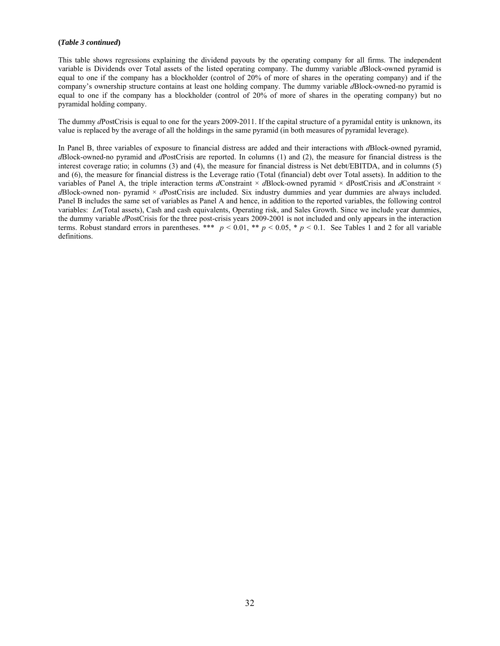### **(***Table 3 continued***)**

This table shows regressions explaining the dividend payouts by the operating company for all firms. The independent variable is Dividends over Total assets of the listed operating company. The dummy variable *d*Block-owned pyramid is equal to one if the company has a blockholder (control of 20% of more of shares in the operating company) and if the company's ownership structure contains at least one holding company. The dummy variable *d*Block-owned-no pyramid is equal to one if the company has a blockholder (control of 20% of more of shares in the operating company) but no pyramidal holding company.

The dummy *d*PostCrisis is equal to one for the years 2009-2011. If the capital structure of a pyramidal entity is unknown, its value is replaced by the average of all the holdings in the same pyramid (in both measures of pyramidal leverage).

In Panel B, three variables of exposure to financial distress are added and their interactions with *d*Block-owned pyramid, *d*Block-owned-no pyramid and *d*PostCrisis are reported. In columns (1) and (2), the measure for financial distress is the interest coverage ratio; in columns (3) and (4), the measure for financial distress is Net debt/EBITDA, and in columns (5) and (6), the measure for financial distress is the Leverage ratio (Total (financial) debt over Total assets). In addition to the variables of Panel A, the triple interaction terms *d*Constraint × *d*Block-owned pyramid × dPostCrisis and *d*Constraint × *d*Block-owned non- pyramid × *d*PostCrisis are included. Six industry dummies and year dummies are always included. Panel B includes the same set of variables as Panel A and hence, in addition to the reported variables, the following control variables: *Ln*(Total assets), Cash and cash equivalents, Operating risk, and Sales Growth. Since we include year dummies, the dummy variable *d*PostCrisis for the three post-crisis years 2009-2001 is not included and only appears in the interaction terms. Robust standard errors in parentheses. \*\*\*  $p < 0.01$ , \*\*  $p < 0.05$ , \*  $p < 0.1$ . See Tables 1 and 2 for all variable definitions.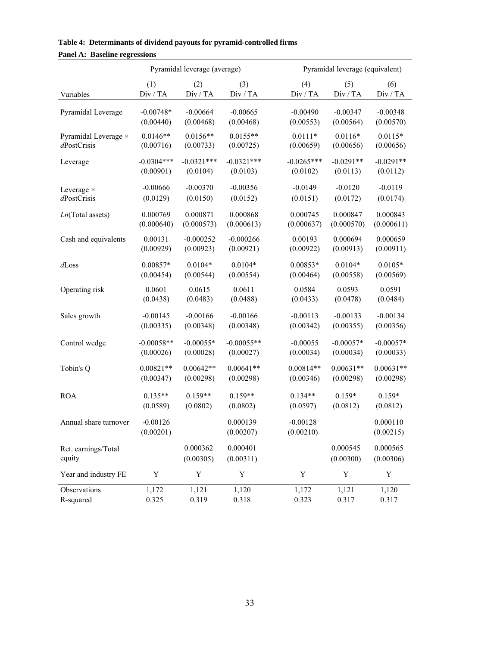| $\frac{1}{2}$                 |                         | Pyramidal leverage (average) |                       |                         | Pyramidal leverage (equivalent) |                       |
|-------------------------------|-------------------------|------------------------------|-----------------------|-------------------------|---------------------------------|-----------------------|
|                               | (1)                     | (2)                          | (3)                   | (4)                     | (5)                             | (6)                   |
| Variables                     | Div / TA                | Div / TA                     | Div / TA              | Div / TA                | Div / TA                        | Div / TA              |
| Pyramidal Leverage            | $-0.00748*$             | $-0.00664$                   | $-0.00665$            | $-0.00490$              | $-0.00347$                      | $-0.00348$            |
|                               | (0.00440)               | (0.00468)                    | (0.00468)             | (0.00553)               | (0.00564)                       | (0.00570)             |
| Pyramidal Leverage ×          | $0.0146**$              | $0.0156**$                   | $0.0155**$            | $0.0111*$               | $0.0116*$                       | $0.0115*$             |
| dPostCrisis                   | (0.00716)               | (0.00733)                    | (0.00725)             | (0.00659)               | (0.00656)                       | (0.00656)             |
| Leverage                      | $-0.0304***$            | $-0.0321***$                 | $-0.0321***$          | $-0.0265***$            | $-0.0291**$                     | $-0.0291**$           |
|                               | (0.00901)               | (0.0104)                     | (0.0103)              | (0.0102)                | (0.0113)                        | (0.0112)              |
| Leverage $\times$             | $-0.00666$              | $-0.00370$                   | $-0.00356$            | $-0.0149$               | $-0.0120$                       | $-0.0119$             |
| dPostCrisis                   | (0.0129)                | (0.0150)                     | (0.0152)              | (0.0151)                | (0.0172)                        | (0.0174)              |
| $Ln(Total$ assets)            | 0.000769                | 0.000871                     | 0.000868              | 0.000745                | 0.000847                        | 0.000843              |
|                               | (0.000640)              | (0.000573)                   | (0.000613)            | (0.000637)              | (0.000570)                      | (0.000611)            |
| Cash and equivalents          | 0.00131                 | $-0.000252$                  | $-0.000266$           | 0.00193                 | 0.000694                        | 0.000659              |
|                               | (0.00929)               | (0.00923)                    | (0.00921)             | (0.00922)               | (0.00913)                       | (0.00911)             |
| $d$ Loss                      | 0.00857*                | $0.0104*$                    | $0.0104*$             | 0.00853*                | $0.0104*$                       | $0.0105*$             |
|                               | (0.00454)               | (0.00544)                    | (0.00554)             | (0.00464)               | (0.00558)                       | (0.00569)             |
| Operating risk                | 0.0601                  | 0.0615                       | 0.0611                | 0.0584                  | 0.0593                          | 0.0591                |
|                               | (0.0438)                | (0.0483)                     | (0.0488)              | (0.0433)                | (0.0478)                        | (0.0484)              |
| Sales growth                  | $-0.00145$              | $-0.00166$                   | $-0.00166$            | $-0.00113$              | $-0.00133$                      | $-0.00134$            |
|                               | (0.00335)               | (0.00348)                    | (0.00348)             | (0.00342)               | (0.00355)                       | (0.00356)             |
| Control wedge                 | $-0.00058**$            | $-0.00055*$                  | $-0.00055**$          | $-0.00055$              | $-0.00057*$                     | $-0.00057*$           |
|                               | (0.00026)               | (0.00028)                    | (0.00027)             | (0.00034)               | (0.00034)                       | (0.00033)             |
| Tobin's Q                     | $0.00821**$             | $0.00642**$                  | $0.00641**$           | $0.00814**$             | $0.00631**$                     | $0.00631**$           |
|                               | (0.00347)               | (0.00298)                    | (0.00298)             | (0.00346)               | (0.00298)                       | (0.00298)             |
| <b>ROA</b>                    | $0.135**$               | $0.159**$                    | $0.159**$             | $0.134**$               | $0.159*$                        | $0.159*$              |
|                               | (0.0589)                | (0.0802)                     | (0.0802)              | (0.0597)                | (0.0812)                        | (0.0812)              |
| Annual share turnover         | $-0.00126$<br>(0.00201) |                              | 0.000139<br>(0.00207) | $-0.00128$<br>(0.00210) |                                 | 0.000110<br>(0.00215) |
| Ret. earnings/Total<br>equity |                         | 0.000362<br>(0.00305)        | 0.000401<br>(0.00311) |                         | 0.000545<br>(0.00300)           | 0.000565<br>(0.00306) |
| Year and industry FE          | Y                       | Y                            | Y                     | Y                       | Y                               | Y                     |
| Observations                  | 1,172                   | 1,121                        | 1,120                 | 1,172                   | 1,121                           | 1,120                 |
| R-squared                     | 0.325                   | 0.319                        | 0.318                 | 0.323                   | 0.317                           | 0.317                 |

**Table 4: Determinants of dividend payouts for pyramid-controlled firms Panel A: Baseline regressions**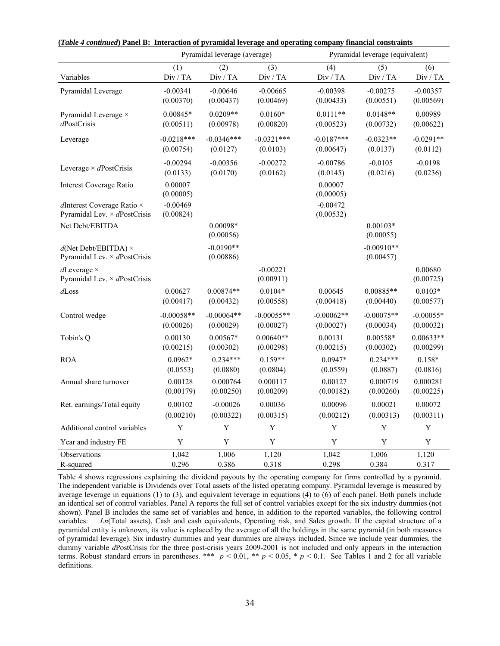|                                                                             |                         | Pyramidal leverage (average) |                         |                         | Pyramidal leverage (equivalent) |                      |
|-----------------------------------------------------------------------------|-------------------------|------------------------------|-------------------------|-------------------------|---------------------------------|----------------------|
| Variables                                                                   | (1)                     | (2)                          | (3)                     | (4)                     | (5)                             | (6)                  |
|                                                                             | Div / TA                | Div / TA                     | Div / TA                | Div / TA                | Div / TA                        | Div / TA             |
| Pyramidal Leverage                                                          | $-0.00341$              | $-0.00646$                   | $-0.00665$              | $-0.00398$              | $-0.00275$                      | $-0.00357$           |
|                                                                             | (0.00370)               | (0.00437)                    | (0.00469)               | (0.00433)               | (0.00551)                       | (0.00569)            |
| Pyramidal Leverage ×                                                        | $0.00845*$              | $0.0209**$                   | $0.0160*$               | $0.0111**$              | $0.0148**$                      | 0.00989              |
| $d$ PostCrisis                                                              | (0.00511)               | (0.00978)                    | (0.00820)               | (0.00523)               | (0.00732)                       | (0.00622)            |
| Leverage                                                                    | $-0.0218***$            | $-0.0346***$                 | $-0.0321***$            | $-0.0187***$            | $-0.0323**$                     | $-0.0291**$          |
|                                                                             | (0.00754)               | (0.0127)                     | (0.0103)                | (0.00647)               | (0.0137)                        | (0.0112)             |
| Leverage $\times$ dPostCrisis                                               | $-0.00294$              | $-0.00356$                   | $-0.00272$              | $-0.00786$              | $-0.0105$                       | $-0.0198$            |
|                                                                             | (0.0133)                | (0.0170)                     | (0.0162)                | (0.0145)                | (0.0216)                        | (0.0236)             |
| Interest Coverage Ratio                                                     | 0.00007<br>(0.00005)    |                              |                         | 0.00007<br>(0.00005)    |                                 |                      |
| $d$ Interest Coverage Ratio $\times$<br>Pyramidal Lev. $\times$ dPostCrisis | $-0.00469$<br>(0.00824) |                              |                         | $-0.00472$<br>(0.00532) |                                 |                      |
| Net Debt/EBITDA                                                             |                         | 0.00098*<br>(0.00056)        |                         |                         | $0.00103*$<br>(0.00055)         |                      |
| $d(Net Debt/EBITDA) \times$<br>Pyramidal Lev. $\times$ dPostCrisis          |                         | $-0.0190**$<br>(0.00886)     |                         |                         | $-0.00910**$<br>(0.00457)       |                      |
| $d$ Leverage $\times$<br>Pyramidal Lev. $\times$ dPostCrisis                |                         |                              | $-0.00221$<br>(0.00911) |                         |                                 | 0.00680<br>(0.00725) |
| $d$ Loss                                                                    | 0.00627                 | $0.00874**$                  | $0.0104*$               | 0.00645                 | 0.00885**                       | $0.0103*$            |
|                                                                             | (0.00417)               | (0.00432)                    | (0.00558)               | (0.00418)               | (0.00440)                       | (0.00577)            |
| Control wedge                                                               | $-0.00058**$            | $-0.00064**$                 | $-0.00055**$            | $-0.00062**$            | $-0.00075**$                    | $-0.00055*$          |
|                                                                             | (0.00026)               | (0.00029)                    | (0.00027)               | (0.00027)               | (0.00034)                       | (0.00032)            |
| Tobin's Q                                                                   | 0.00130                 | $0.00567*$                   | $0.00640**$             | 0.00131                 | $0.00558*$                      | $0.00633**$          |
|                                                                             | (0.00215)               | (0.00302)                    | (0.00298)               | (0.00215)               | (0.00302)                       | (0.00299)            |
| <b>ROA</b>                                                                  | $0.0962*$               | $0.234***$                   | $0.159**$               | 0.0947*                 | $0.234***$                      | $0.158*$             |
|                                                                             | (0.0553)                | (0.0880)                     | (0.0804)                | (0.0559)                | (0.0887)                        | (0.0816)             |
| Annual share turnover                                                       | 0.00128                 | 0.000764                     | 0.000117                | 0.00127                 | 0.000719                        | 0.000281             |
|                                                                             | (0.00179)               | (0.00250)                    | (0.00209)               | (0.00182)               | (0.00260)                       | (0.00225)            |
| Ret. earnings/Total equity                                                  | 0.00102                 | $-0.00026$                   | 0.00036                 | 0.00096                 | 0.00021                         | 0.00072              |
|                                                                             | (0.00210)               | (0.00322)                    | (0.00315)               | (0.00212)               | (0.00313)                       | (0.00311)            |
| Additional control variables                                                | Y                       | Y                            | Y                       | Y                       | Y                               | Y                    |
| Year and industry FE                                                        | Y                       | Y                            | Y                       | $\mathbf Y$             | Y                               | $\mathbf Y$          |
| Observations                                                                | 1,042                   | 1,006                        | 1,120                   | 1,042                   | 1,006                           | 1,120                |
| R-squared                                                                   | 0.296                   | 0.386                        | 0.318                   | 0.298                   | 0.384                           | 0.317                |

**(***Table 4 continued***) Panel B: Interaction of pyramidal leverage and operating company financial constraints** 

Table 4 shows regressions explaining the dividend payouts by the operating company for firms controlled by a pyramid. The independent variable is Dividends over Total assets of the listed operating company. Pyramidal leverage is measured by average leverage in equations (1) to (3), and equivalent leverage in equations (4) to (6) of each panel. Both panels include an identical set of control variables. Panel A reports the full set of control variables except for the six industry dummies (not shown). Panel B includes the same set of variables and hence, in addition to the reported variables, the following control variables: *Ln*(Total assets), Cash and cash equivalents, Operating risk, and Sales growth. If the capital structure of a pyramidal entity is unknown, its value is replaced by the average of all the holdings in the same pyramid (in both measures of pyramidal leverage). Six industry dummies and year dummies are always included. Since we include year dummies, the dummy variable *d*PostCrisis for the three post-crisis years 2009-2001 is not included and only appears in the interaction terms. Robust standard errors in parentheses. \*\*\* *p* < 0.01, \*\* *p* < 0.05, \* *p* < 0.1. See Tables 1 and 2 for all variable definitions.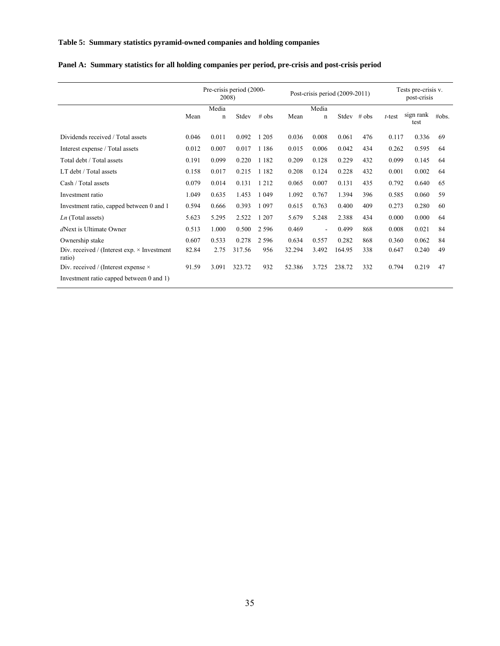### **Table 5: Summary statistics pyramid-owned companies and holding companies**

|                                                              | Pre-crisis period (2000-<br>2008) |                      |        |         |        | Post-crisis period (2009-2011) |        |         |           | Tests pre-crisis v.<br>post-crisis |       |  |
|--------------------------------------------------------------|-----------------------------------|----------------------|--------|---------|--------|--------------------------------|--------|---------|-----------|------------------------------------|-------|--|
|                                                              | Mean                              | Media<br>$\mathbf n$ | Stdev  | $#$ obs | Mean   | Media<br>$\mathbf n$           | Stdev  | $#$ obs | $t$ -test | sign rank<br>test                  | #obs. |  |
| Dividends received / Total assets                            | 0.046                             | 0.011                | 0.092  | 1 2 0 5 | 0.036  | 0.008                          | 0.061  | 476     | 0.117     | 0.336                              | 69    |  |
| Interest expense / Total assets                              | 0.012                             | 0.007                | 0.017  | 1 1 8 6 | 0.015  | 0.006                          | 0.042  | 434     | 0.262     | 0.595                              | 64    |  |
| Total debt / Total assets                                    | 0.191                             | 0.099                | 0.220  | 1 1 8 2 | 0.209  | 0.128                          | 0.229  | 432     | 0.099     | 0.145                              | 64    |  |
| LT debt / Total assets                                       | 0.158                             | 0.017                | 0.215  | 1 1 8 2 | 0.208  | 0.124                          | 0.228  | 432     | 0.001     | 0.002                              | 64    |  |
| Cash / Total assets                                          | 0.079                             | 0.014                | 0.131  | 1 2 1 2 | 0.065  | 0.007                          | 0.131  | 435     | 0.792     | 0.640                              | 65    |  |
| Investment ratio                                             | 1.049                             | 0.635                | 1.453  | 1 0 4 9 | 1.092  | 0.767                          | 1.394  | 396     | 0.585     | 0.060                              | 59    |  |
| Investment ratio, capped between 0 and 1                     | 0.594                             | 0.666                | 0.393  | 1 0 9 7 | 0.615  | 0.763                          | 0.400  | 409     | 0.273     | 0.280                              | 60    |  |
| $Ln$ (Total assets)                                          | 5.623                             | 5.295                | 2.522  | 1 207   | 5.679  | 5.248                          | 2.388  | 434     | 0.000     | 0.000                              | 64    |  |
| dNext is Ultimate Owner                                      | 0.513                             | 1.000                | 0.500  | 2 5 9 6 | 0.469  | $\blacksquare$                 | 0.499  | 868     | 0.008     | 0.021                              | 84    |  |
| Ownership stake                                              | 0.607                             | 0.533                | 0.278  | 2 5 9 6 | 0.634  | 0.557                          | 0.282  | 868     | 0.360     | 0.062                              | 84    |  |
| Div. received / (Interest exp. $\times$ Investment<br>ratio) | 82.84                             | 2.75                 | 317.56 | 956     | 32.294 | 3.492                          | 164.95 | 338     | 0.647     | 0.240                              | 49    |  |
| Div. received / (Interest expense $\times$                   | 91.59                             | 3.091                | 323.72 | 932     | 52.386 | 3.725                          | 238.72 | 332     | 0.794     | 0.219                              | 47    |  |
| Investment ratio capped between 0 and 1)                     |                                   |                      |        |         |        |                                |        |         |           |                                    |       |  |

# **Panel A: Summary statistics for all holding companies per period, pre-crisis and post-crisis period**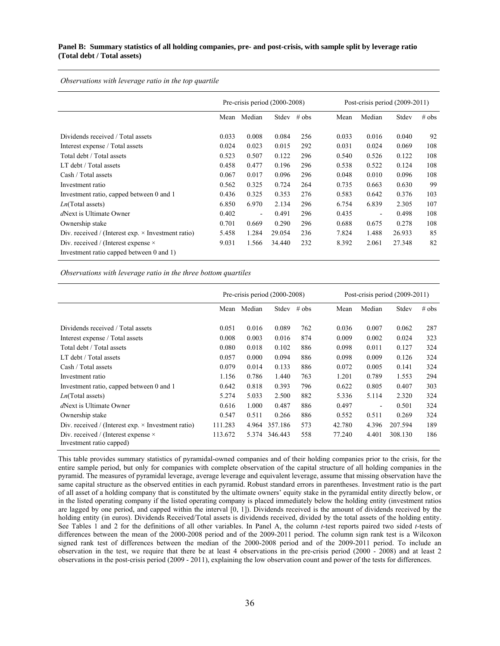### **Panel B: Summary statistics of all holding companies, pre- and post-crisis, with sample split by leverage ratio (Total debt / Total assets)**

*Observations with leverage ratio in the top quartile* 

|                                                           |       | Pre-crisis period $(2000-2008)$ |        |         | Post-crisis period $(2009-2011)$                  |
|-----------------------------------------------------------|-------|---------------------------------|--------|---------|---------------------------------------------------|
|                                                           | Mean  | Median                          | Stdev  | $#$ obs | # obs<br>Median<br>Stdev<br>Mean                  |
| Dividends received / Total assets                         | 0.033 | 0.008                           | 0.084  | 256     | 92<br>0.033<br>0.016<br>0.040                     |
|                                                           |       |                                 |        |         |                                                   |
| Interest expense / Total assets                           | 0.024 | 0.023                           | 0.015  | 292     | 0.031<br>0.024<br>0.069<br>108                    |
| Total debt / Total assets                                 | 0.523 | 0.507                           | 0.122  | 296     | 0.122<br>108<br>0.540<br>0.526                    |
| LT debt / Total assets                                    | 0.458 | 0.477                           | 0.196  | 296     | 0.522<br>0.124<br>108<br>0.538                    |
| Cash / Total assets                                       | 0.067 | 0.017                           | 0.096  | 296     | 0.048<br>0.010<br>0.096<br>108                    |
| Investment ratio                                          | 0.562 | 0.325                           | 0.724  | 264     | 99<br>0.735<br>0.663<br>0.630                     |
| Investment ratio, capped between 0 and 1                  | 0.436 | 0.325                           | 0.353  | 276     | 0.642<br>0.376<br>103<br>0.583                    |
| $Ln(Total$ assets)                                        | 6.850 | 6.970                           | 2.134  | 296     | 6.754<br>6.839<br>2.305<br>107                    |
| dNext is Ultimate Owner                                   | 0.402 | $\blacksquare$                  | 0.491  | 296     | 0.435<br>0.498<br>108<br>$\overline{\phantom{a}}$ |
| Ownership stake                                           | 0.701 | 0.669                           | 0.290  | 296     | 108<br>0.688<br>0.675<br>0.278                    |
| Div. received / (Interest exp. $\times$ Investment ratio) | 5.458 | 1.284                           | 29.054 | 236     | 85<br>1.488<br>26.933<br>7.824                    |
| Div. received / (Interest expense $\times$                | 9.031 | 1.566                           | 34.440 | 232     | 82<br>8.392<br>27.348<br>2.061                    |
| Investment ratio capped between 0 and 1)                  |       |                                 |        |         |                                                   |

*Observations with leverage ratio in the three bottom quartiles* 

|                                                                        |         |        | Pre-crisis period $(2000-2008)$ |         |        |                | Post-crisis period (2009-2011) |         |
|------------------------------------------------------------------------|---------|--------|---------------------------------|---------|--------|----------------|--------------------------------|---------|
|                                                                        | Mean    | Median | Stdev                           | $#$ obs | Mean   | Median         | Stdev                          | $#$ obs |
| Dividends received / Total assets                                      | 0.051   | 0.016  | 0.089                           | 762     | 0.036  | 0.007          | 0.062                          | 287     |
| Interest expense / Total assets                                        | 0.008   | 0.003  | 0.016                           | 874     | 0.009  | 0.002          | 0.024                          | 323     |
| Total debt / Total assets                                              | 0.080   | 0.018  | 0.102                           | 886     | 0.098  | 0.011          | 0.127                          | 324     |
| LT debt / Total assets                                                 | 0.057   | 0.000  | 0.094                           | 886     | 0.098  | 0.009          | 0.126                          | 324     |
| Cash / Total assets                                                    | 0.079   | 0.014  | 0.133                           | 886     | 0.072  | 0.005          | 0.141                          | 324     |
| Investment ratio                                                       | 1.156   | 0.786  | 1.440                           | 763     | 1.201  | 0.789          | 1.553                          | 294     |
| Investment ratio, capped between 0 and 1                               | 0.642   | 0.818  | 0.393                           | 796     | 0.622  | 0.805          | 0.407                          | 303     |
| $Ln(Total$ assets)                                                     | 5.274   | 5.033  | 2.500                           | 882     | 5.336  | 5.114          | 2.320                          | 324     |
| <i>d</i> Next is Ultimate Owner                                        | 0.616   | 1.000  | 0.487                           | 886     | 0.497  | $\blacksquare$ | 0.501                          | 324     |
| Ownership stake                                                        | 0.547   | 0.511  | 0.266                           | 886     | 0.552  | 0.511          | 0.269                          | 324     |
| Div. received / (Interest exp. $\times$ Investment ratio)              | 111.283 | 4.964  | 357.186                         | 573     | 42.780 | 4.396          | 207.594                        | 189     |
| Div. received / (Interest expense $\times$<br>Investment ratio capped) | 113.672 | 5.374  | 346.443                         | 558     | 77.240 | 4.401          | 308.130                        | 186     |

This table provides summary statistics of pyramidal-owned companies and of their holding companies prior to the crisis, for the entire sample period, but only for companies with complete observation of the capital structure of all holding companies in the pyramid. The measures of pyramidal leverage, average leverage and equivalent leverage, assume that missing observation have the same capital structure as the observed entities in each pyramid. Robust standard errors in parentheses. Investment ratio is the part of all asset of a holding company that is constituted by the ultimate owners' equity stake in the pyramidal entity directly below, or in the listed operating company if the listed operating company is placed immediately below the holding entity (investment ratios are lagged by one period, and capped within the interval [0, 1]). Dividends received is the amount of dividends received by the holding entity (in euros). Dividends Received/Total assets is dividends received, divided by the total assets of the holding entity. See Tables 1 and 2 for the definitions of all other variables. In Panel A, the column *t*-test reports paired two sided *t*-tests of differences between the mean of the 2000-2008 period and of the 2009-2011 period. The column sign rank test is a Wilcoxon signed rank test of differences between the median of the 2000-2008 period and of the 2009-2011 period. To include an observation in the test, we require that there be at least 4 observations in the pre-crisis period (2000 - 2008) and at least 2 observations in the post-crisis period (2009 - 2011), explaining the low observation count and power of the tests for differences.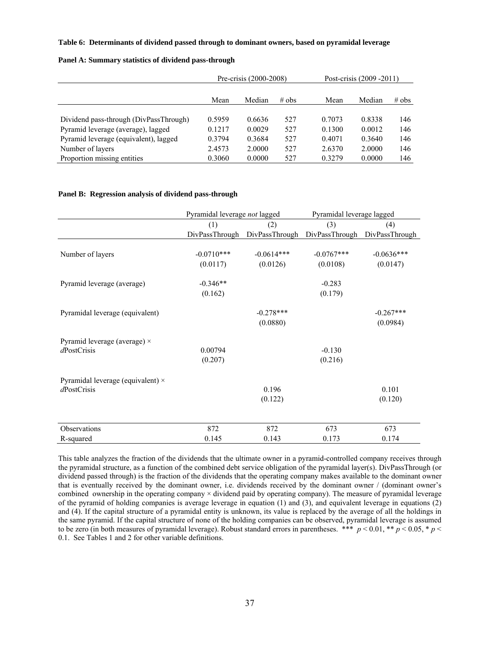### **Table 6: Determinants of dividend passed through to dominant owners, based on pyramidal leverage**

| Panel A: Summary statistics of dividend pass-through |  |  |  |
|------------------------------------------------------|--|--|--|
|------------------------------------------------------|--|--|--|

|                                        |        | Pre-crisis (2000-2008) |         | Post-crisis (2009 - 2011) |        |         |  |  |  |
|----------------------------------------|--------|------------------------|---------|---------------------------|--------|---------|--|--|--|
|                                        | Mean   | Median                 | $#$ obs | Mean                      | Median | $#$ obs |  |  |  |
|                                        |        |                        |         |                           |        |         |  |  |  |
| Dividend pass-through (DivPassThrough) | 0.5959 | 0.6636                 | 527     | 0.7073                    | 0.8338 | 146     |  |  |  |
| Pyramid leverage (average), lagged     | 0.1217 | 0.0029                 | 527     | 0.1300                    | 0.0012 | 146     |  |  |  |
| Pyramid leverage (equivalent), lagged  | 0.3794 | 0.3684                 | 527     | 0.4071                    | 0.3640 | 146     |  |  |  |
| Number of layers                       | 2.4573 | 2.0000                 | 527     | 2.6370                    | 2.0000 | 146     |  |  |  |
| Proportion missing entities            | 0.3060 | 0.0000                 | 527     | 0.3279                    | 0.0000 | 146     |  |  |  |

#### **Panel B: Regression analysis of dividend pass-through**

|                                          | Pyramidal leverage not lagged |                                                             | Pyramidal leverage lagged |              |  |  |  |  |
|------------------------------------------|-------------------------------|-------------------------------------------------------------|---------------------------|--------------|--|--|--|--|
|                                          | (1)                           | (2)                                                         | (3)                       | (4)          |  |  |  |  |
|                                          |                               | DivPassThrough DivPassThrough DivPassThrough DivPassThrough |                           |              |  |  |  |  |
| Number of layers                         | $-0.0710***$                  | $-0.0614***$                                                | $-0.0767***$              | $-0.0636***$ |  |  |  |  |
|                                          | (0.0117)                      | (0.0126)                                                    | (0.0108)                  | (0.0147)     |  |  |  |  |
| Pyramid leverage (average)               | $-0.346**$                    |                                                             | $-0.283$                  |              |  |  |  |  |
|                                          | (0.162)                       |                                                             | (0.179)                   |              |  |  |  |  |
| Pyramidal leverage (equivalent)          |                               | $-0.278***$                                                 |                           | $-0.267***$  |  |  |  |  |
|                                          |                               | (0.0880)                                                    |                           | (0.0984)     |  |  |  |  |
| Pyramid leverage (average) $\times$      |                               |                                                             |                           |              |  |  |  |  |
| $d$ PostCrisis                           | 0.00794                       |                                                             | $-0.130$                  |              |  |  |  |  |
|                                          | (0.207)                       |                                                             | (0.216)                   |              |  |  |  |  |
| Pyramidal leverage (equivalent) $\times$ |                               |                                                             |                           |              |  |  |  |  |
| dPostCrisis                              |                               | 0.196                                                       |                           | 0.101        |  |  |  |  |
|                                          |                               | (0.122)                                                     |                           | (0.120)      |  |  |  |  |
|                                          |                               |                                                             |                           |              |  |  |  |  |
| Observations                             | 872                           | 872                                                         | 673                       | 673          |  |  |  |  |
| R-squared                                | 0.145                         | 0.143                                                       | 0.173                     | 0.174        |  |  |  |  |

This table analyzes the fraction of the dividends that the ultimate owner in a pyramid-controlled company receives through the pyramidal structure, as a function of the combined debt service obligation of the pyramidal layer(s). DivPassThrough (or dividend passed through) is the fraction of the dividends that the operating company makes available to the dominant owner that is eventually received by the dominant owner, i.e. dividends received by the dominant owner / (dominant owner's combined ownership in the operating company × dividend paid by operating company). The measure of pyramidal leverage of the pyramid of holding companies is average leverage in equation (1) and (3), and equivalent leverage in equations  $(2)$ and (4). If the capital structure of a pyramidal entity is unknown, its value is replaced by the average of all the holdings in the same pyramid. If the capital structure of none of the holding companies can be observed, pyramidal leverage is assumed to be zero (in both measures of pyramidal leverage). Robust standard errors in parentheses. \*\*\*  $p < 0.01$ , \*\*  $p < 0.05$ , \*  $p <$ 0.1. See Tables 1 and 2 for other variable definitions.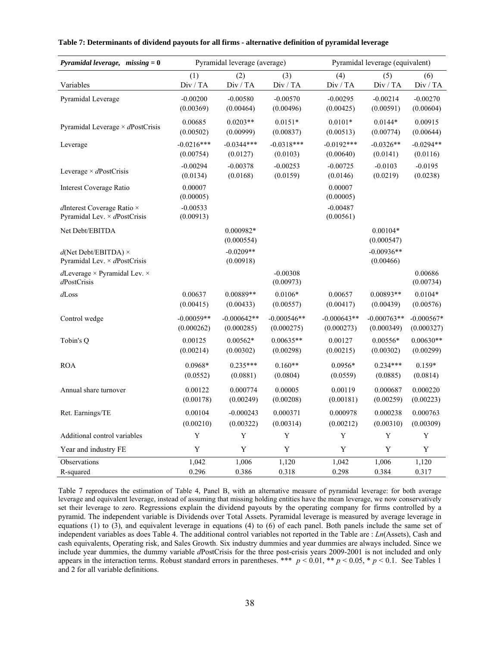| Pyramidal leverage, missing $= 0$                                           |                         | Pyramidal leverage (average) |                         | Pyramidal leverage (equivalent) |                           |                      |  |  |  |
|-----------------------------------------------------------------------------|-------------------------|------------------------------|-------------------------|---------------------------------|---------------------------|----------------------|--|--|--|
| Variables                                                                   | (1)                     | (2)                          | (3)                     | (4)                             | (5)                       | (6)                  |  |  |  |
|                                                                             | Div / TA                | Div / TA                     | Div / TA                | Div / TA                        | Div / TA                  | Div / TA             |  |  |  |
| Pyramidal Leverage                                                          | $-0.00200$              | $-0.00580$                   | $-0.00570$              | $-0.00295$                      | $-0.00214$                | $-0.00270$           |  |  |  |
|                                                                             | (0.00369)               | (0.00464)                    | (0.00496)               | (0.00425)                       | (0.00591)                 | (0.00604)            |  |  |  |
| Pyramidal Leverage $\times$ dPostCrisis                                     | 0.00685                 | $0.0203**$                   | $0.0151*$               | $0.0101*$                       | $0.0144*$                 | 0.00915              |  |  |  |
|                                                                             | (0.00502)               | (0.00999)                    | (0.00837)               | (0.00513)                       | (0.00774)                 | (0.00644)            |  |  |  |
| Leverage                                                                    | $-0.0216***$            | $-0.0344***$                 | $-0.0318***$            | $-0.0192***$                    | $-0.0326**$               | $-0.0294**$          |  |  |  |
|                                                                             | (0.00754)               | (0.0127)                     | (0.0103)                | (0.00640)                       | (0.0141)                  | (0.0116)             |  |  |  |
| Leverage $\times$ dPostCrisis                                               | $-0.00294$              | $-0.00378$                   | $-0.00253$              | $-0.00725$                      | $-0.0103$                 | $-0.0195$            |  |  |  |
|                                                                             | (0.0134)                | (0.0168)                     | (0.0159)                | (0.0146)                        | (0.0219)                  | (0.0238)             |  |  |  |
| Interest Coverage Ratio                                                     | 0.00007<br>(0.00005)    |                              |                         | 0.00007<br>(0.00005)            |                           |                      |  |  |  |
| $d$ Interest Coverage Ratio $\times$<br>Pyramidal Lev. $\times$ dPostCrisis | $-0.00533$<br>(0.00913) |                              |                         | $-0.00487$<br>(0.00561)         |                           |                      |  |  |  |
| Net Debt/EBITDA                                                             |                         | 0.000982*<br>(0.000554)      |                         |                                 | $0.00104*$<br>(0.000547)  |                      |  |  |  |
| $d(Net Debt/EBITDA) \times$<br>Pyramidal Lev. $\times$ dPostCrisis          |                         | $-0.0209**$<br>(0.00918)     |                         |                                 | $-0.00936**$<br>(0.00466) |                      |  |  |  |
| dLeverage $\times$ Pyramidal Lev. $\times$<br>dPostCrisis                   |                         |                              | $-0.00308$<br>(0.00973) |                                 |                           | 0.00686<br>(0.00734) |  |  |  |
| $d$ Loss                                                                    | 0.00637                 | 0.00889**                    | $0.0106*$               | 0.00657                         | $0.00893**$               | $0.0104*$            |  |  |  |
|                                                                             | (0.00415)               | (0.00433)                    | (0.00557)               | (0.00417)                       | (0.00439)                 | (0.00576)            |  |  |  |
| Control wedge                                                               | $-0.00059**$            | $-0.000642**$                | $-0.000546**$           | $-0.000643**$                   | $-0.000763**$             | $-0.000567*$         |  |  |  |
|                                                                             | (0.000262)              | (0.000285)                   | (0.000275)              | (0.000273)                      | (0.000349)                | (0.000327)           |  |  |  |
| Tobin's Q                                                                   | 0.00125                 | $0.00562*$                   | $0.00635**$             | 0.00127                         | $0.00556*$                | $0.00630**$          |  |  |  |
|                                                                             | (0.00214)               | (0.00302)                    | (0.00298)               | (0.00215)                       | (0.00302)                 | (0.00299)            |  |  |  |
| <b>ROA</b>                                                                  | $0.0968*$               | $0.235***$                   | $0.160**$               | $0.0956*$                       | $0.234***$                | $0.159*$             |  |  |  |
|                                                                             | (0.0552)                | (0.0881)                     | (0.0804)                | (0.0559)                        | (0.0885)                  | (0.0814)             |  |  |  |
| Annual share turnover                                                       | 0.00122                 | 0.000774                     | 0.00005                 | 0.00119                         | 0.000687                  | 0.000220             |  |  |  |
|                                                                             | (0.00178)               | (0.00249)                    | (0.00208)               | (0.00181)                       | (0.00259)                 | (0.00223)            |  |  |  |
| Ret. Earnings/TE                                                            | 0.00104                 | $-0.000243$                  | 0.000371                | 0.000978                        | 0.000238                  | 0.000763             |  |  |  |
|                                                                             | (0.00210)               | (0.00322)                    | (0.00314)               | (0.00212)                       | (0.00310)                 | (0.00309)            |  |  |  |
| Additional control variables                                                | Y                       | Y                            | Y                       | Y                               | Y                         | Y                    |  |  |  |
| Year and industry FE                                                        | Y                       | Y                            | Y                       | Y                               | Y                         | Y                    |  |  |  |
| Observations                                                                | 1,042                   | 1,006                        | 1,120                   | 1,042                           | 1,006                     | 1,120                |  |  |  |
| R-squared                                                                   | 0.296                   | 0.386                        | 0.318                   | 0.298                           | 0.384                     | 0.317                |  |  |  |

**Table 7: Determinants of dividend payouts for all firms - alternative definition of pyramidal leverage** 

Table 7 reproduces the estimation of Table 4, Panel B, with an alternative measure of pyramidal leverage: for both average leverage and equivalent leverage, instead of assuming that missing holding entities have the mean leverage, we now conservatively set their leverage to zero. Regressions explain the dividend payouts by the operating company for firms controlled by a pyramid. The independent variable is Dividends over Total Assets. Pyramidal leverage is measured by average leverage in equations (1) to (3), and equivalent leverage in equations (4) to (6) of each panel. Both panels include the same set of independent variables as does Table 4. The additional control variables not reported in the Table are : *Ln*(Assets), Cash and cash equivalents, Operating risk, and Sales Growth. Six industry dummies and year dummies are always included. Since we include year dummies, the dummy variable *d*PostCrisis for the three post-crisis years 2009-2001 is not included and only appears in the interaction terms. Robust standard errors in parentheses. \*\*\*  $p < 0.01$ , \*\*  $p < 0.05$ , \*  $p < 0.1$ . See Tables 1 and 2 for all variable definitions.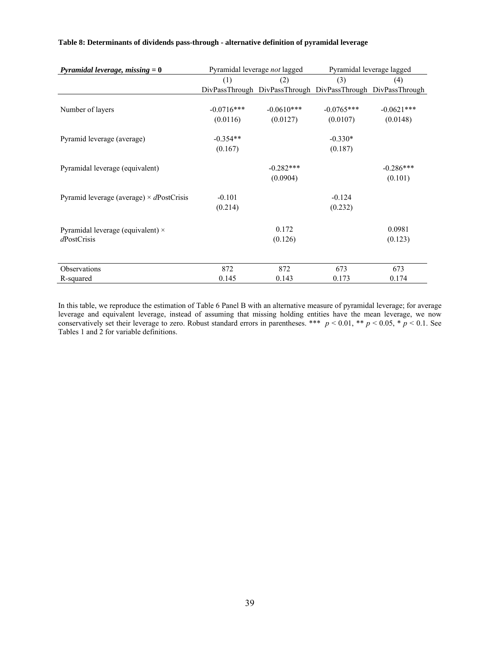| Pyramidal leverage, missing $= 0$                       |              | Pyramidal leverage not lagged                               | Pyramidal leverage lagged |              |  |  |  |
|---------------------------------------------------------|--------------|-------------------------------------------------------------|---------------------------|--------------|--|--|--|
|                                                         | (1)          | (2)                                                         | (3)                       | (4)          |  |  |  |
|                                                         |              | DivPassThrough DivPassThrough DivPassThrough DivPassThrough |                           |              |  |  |  |
|                                                         |              |                                                             |                           |              |  |  |  |
| Number of layers                                        | $-0.0716***$ | $-0.0610***$                                                | $-0.0765***$              | $-0.0621***$ |  |  |  |
|                                                         | (0.0116)     | (0.0127)                                                    | (0.0107)                  | (0.0148)     |  |  |  |
| Pyramid leverage (average)                              | $-0.354**$   |                                                             | $-0.330*$                 |              |  |  |  |
|                                                         | (0.167)      |                                                             | (0.187)                   |              |  |  |  |
| Pyramidal leverage (equivalent)                         |              | $-0.282***$                                                 |                           | $-0.286***$  |  |  |  |
|                                                         |              | (0.0904)                                                    |                           | (0.101)      |  |  |  |
| Pyramid leverage (average) $\times$ dPostCrisis         | $-0.101$     |                                                             | $-0.124$                  |              |  |  |  |
|                                                         | (0.214)      |                                                             | (0.232)                   |              |  |  |  |
|                                                         |              | 0.172                                                       |                           | 0.0981       |  |  |  |
| Pyramidal leverage (equivalent) $\times$<br>dPostCrisis |              | (0.126)                                                     |                           | (0.123)      |  |  |  |
|                                                         |              |                                                             |                           |              |  |  |  |
| Observations                                            | 872          | 872                                                         | 673                       | 673          |  |  |  |
| R-squared                                               | 0.145        | 0.143                                                       | 0.173                     | 0.174        |  |  |  |

### **Table 8: Determinants of dividends pass-through - alternative definition of pyramidal leverage**

In this table, we reproduce the estimation of Table 6 Panel B with an alternative measure of pyramidal leverage; for average leverage and equivalent leverage, instead of assuming that missing holding entities have the mean leverage, we now conservatively set their leverage to zero. Robust standard errors in parentheses. \*\*\*  $p < 0.01$ , \*\*  $p < 0.05$ , \*  $p < 0.1$ . See Tables 1 and 2 for variable definitions.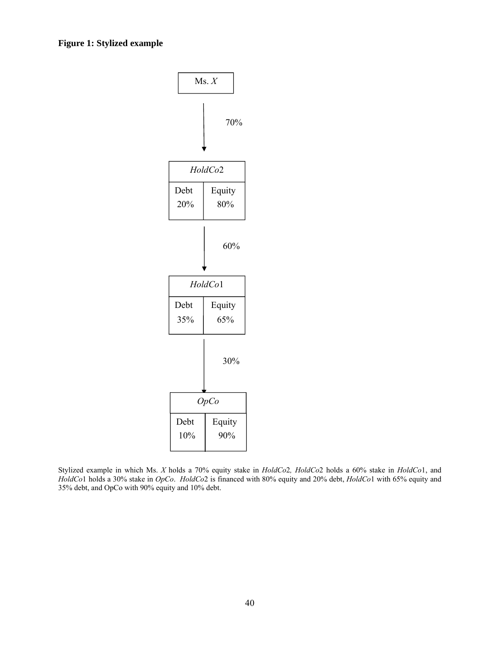

Stylized example in which Ms. *X* holds a 70% equity stake in *HoldCo*2*, HoldCo*2 holds a 60% stake in *HoldCo*1, and *HoldCo*1 holds a 30% stake in *OpCo*. *HoldCo*2 is financed with 80% equity and 20% debt, *HoldCo*1 with 65% equity and 35% debt, and OpCo with 90% equity and 10% debt.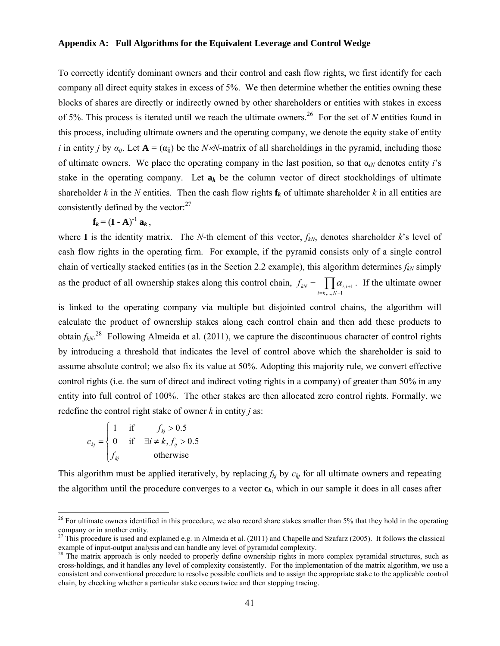### **Appendix A: Full Algorithms for the Equivalent Leverage and Control Wedge**

To correctly identify dominant owners and their control and cash flow rights, we first identify for each company all direct equity stakes in excess of 5%. We then determine whether the entities owning these blocks of shares are directly or indirectly owned by other shareholders or entities with stakes in excess of 5%. This process is iterated until we reach the ultimate owners.26 For the set of *N* entities found in this process, including ultimate owners and the operating company, we denote the equity stake of entity *i* in entity *j* by  $a_{ij}$ . Let  $A = (a_{ij})$  be the *NxN*-matrix of all shareholdings in the pyramid, including those of ultimate owners. We place the operating company in the last position, so that  $\alpha_{iN}$  denotes entity *i*'s stake in the operating company. Let  $a_k$  be the column vector of direct stockholdings of ultimate shareholder  $k$  in the  $N$  entities. Then the cash flow rights  $f_k$  of ultimate shareholder  $k$  in all entities are consistently defined by the vector: $27$ 

$$
\mathbf{f}_k = (\mathbf{I} \cdot \mathbf{A})^{-1} \mathbf{a}_k,
$$

where **I** is the identity matrix. The *N*-th element of this vector,  $f_{kN}$ , denotes shareholder  $k$ 's level of cash flow rights in the operating firm. For example, if the pyramid consists only of a single control chain of vertically stacked entities (as in the Section 2.2 example), this algorithm determines  $f_{kN}$  simply as the product of all ownership stakes along this control chain,  $f_{kN} = \prod_{i=k,...,N-1} \alpha_{i,i+1}$  $f_{kN} = \prod_{i=k,\dots,N-1} \alpha_{i,i+1}$ . If the ultimate owner

is linked to the operating company via multiple but disjointed control chains, the algorithm will calculate the product of ownership stakes along each control chain and then add these products to obtain  $f_{kN}$ <sup>28</sup> Following Almeida et al. (2011), we capture the discontinuous character of control rights by introducing a threshold that indicates the level of control above which the shareholder is said to assume absolute control; we also fix its value at 50%. Adopting this majority rule, we convert effective control rights (i.e. the sum of direct and indirect voting rights in a company) of greater than 50% in any entity into full control of 100%. The other stakes are then allocated zero control rights. Formally, we redefine the control right stake of owner *k* in entity *j* as:

$$
c_{kj} = \begin{cases} 1 & \text{if } f_{kj} > 0.5\\ 0 & \text{if } \exists i \neq k, f_{ij} > 0.5\\ f_{kj} & \text{otherwise} \end{cases}
$$

l

This algorithm must be applied iteratively, by replacing  $f_{kj}$  by  $c_{kj}$  for all ultimate owners and repeating the algorithm until the procedure converges to a vector **c***k*, which in our sample it does in all cases after

<sup>&</sup>lt;sup>26</sup> For ultimate owners identified in this procedure, we also record share stakes smaller than 5% that they hold in the operating company or in another entity.

 $^{27}$  This procedure is used and explained e.g. in Almeida et al. (2011) and Chapelle and Szafarz (2005). It follows the classical example of input-output analysis and can handle any level of pyramidal complexity.

 $28$  The matrix approach is only needed to properly define ownership rights in more complex pyramidal structures, such as cross-holdings, and it handles any level of complexity consistently. For the implementation of the matrix algorithm, we use a consistent and conventional procedure to resolve possible conflicts and to assign the appropriate stake to the applicable control chain, by checking whether a particular stake occurs twice and then stopping tracing.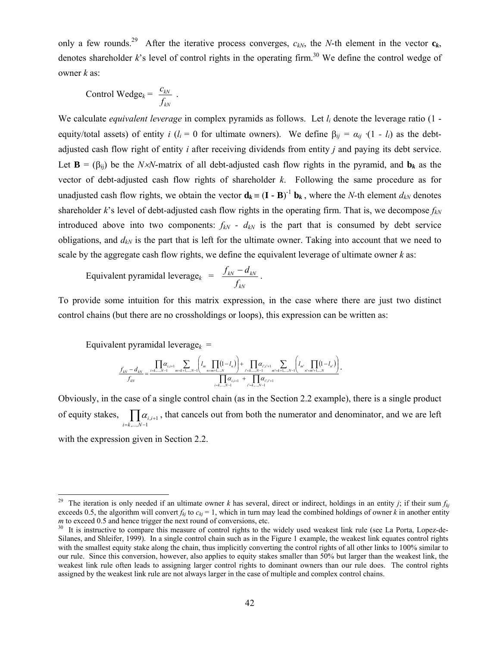only a few rounds.<sup>29</sup> After the iterative process converges,  $c_{kN}$ , the *N*-th element in the vector  $c_k$ , denotes shareholder  $k$ 's level of control rights in the operating firm.<sup>30</sup> We define the control wedge of owner *k* as:

$$
Control Wedge_k = \frac{c_{kN}}{f_{kN}}.
$$

We calculate *equivalent leverage* in complex pyramids as follows. Let *li* denote the leverage ratio (1 equity/total assets) of entity *i* ( $l_i = 0$  for ultimate owners). We define  $\beta_{ij} = \alpha_{ij} \cdot (1 - l_i)$  as the debtadjusted cash flow right of entity *i* after receiving dividends from entity *j* and paying its debt service. Let  $\mathbf{B} = (\beta_{ii})$  be the *NxN*-matrix of all debt-adjusted cash flow rights in the pyramid, and  $\mathbf{b}_k$  as the vector of debt-adjusted cash flow rights of shareholder *k*. Following the same procedure as for unadjusted cash flow rights, we obtain the vector  $\mathbf{d}_k = (\mathbf{I} \cdot \mathbf{B})^{-1} \mathbf{b}_k$ , where the *N*-th element  $d_{kN}$  denotes shareholder  $k$ 's level of debt-adjusted cash flow rights in the operating firm. That is, we decompose  $f_{kN}$ introduced above into two components:  $f_{kN}$  -  $d_{kN}$  is the part that is consumed by debt service obligations, and  $d_{kN}$  is the part that is left for the ultimate owner. Taking into account that we need to scale by the aggregate cash flow rights, we define the equivalent leverage of ultimate owner *k* as:

$$
\text{Equivalent pyramidal leverage}_{k} = \frac{f_{kN} - d_{kN}}{f_{kN}}.
$$

To provide some intuition for this matrix expression, in the case where there are just two distinct control chains (but there are no crossholdings or loops), this expression can be written as:

Equivalent pyramidal leverage<sub> $k$ </sub> =

$$
\frac{f_{kN}-d_{kN}}{f_{kN}} = \frac{\prod_{i=k,\dots,N-1} a_{i,i+1}}{m-k+1,\dots,N-1} \left(l_m \prod_{n=m+1,\dots,N} (1-l_n)\right) + \prod_{i=k,\dots,N-1} \alpha_{i,i+1} \sum_{m-k+1,\dots,N-1} \left(l_m \prod_{n=m+1,\dots,N} (1-l_n)\right)}{d_{kN} \prod_{i=k,\dots,N-1} \alpha_{i,i+1} + \prod_{i=k,\dots,N-1} \alpha_{i,i+1}}
$$

Obviously, in the case of a single control chain (as in the Section 2.2 example), there is a single product of equity stakes,  $\prod_{i=k,\dots,N-1} a_i$  $\ddot{}$  $,..., N-1$  $, i+1$  $i = k, \ldots, N$  $\alpha_{i,i+1}$ , that cancels out from both the numerator and denominator, and we are left with the expression given in Section 2.2.

<sup>&</sup>lt;sup>29</sup> The iteration is only needed if an ultimate owner *k* has several, direct or indirect, holdings in an entity *j*; if their sum  $f_{kj}$ exceeds 0.5, the algorithm will convert  $f_{kj}$  to  $c_{kj} = 1$ , which in turn may lead the combined holdings of owner *k* in another entity *m* to exceed 0.5 and hence trigger the next round of conversions, etc.

<sup>&</sup>lt;sup>30</sup> It is instructive to compare this measure of control rights to the widely used weakest link rule (see La Porta, Lopez-de-Silanes, and Shleifer, 1999). In a single control chain such as in the Figure 1 example, the weakest link equates control rights with the smallest equity stake along the chain, thus implicitly converting the control rights of all other links to 100% similar to our rule. Since this conversion, however, also applies to equity stakes smaller than 50% but larger than the weakest link, the weakest link rule often leads to assigning larger control rights to dominant owners than our rule does. The control rights assigned by the weakest link rule are not always larger in the case of multiple and complex control chains.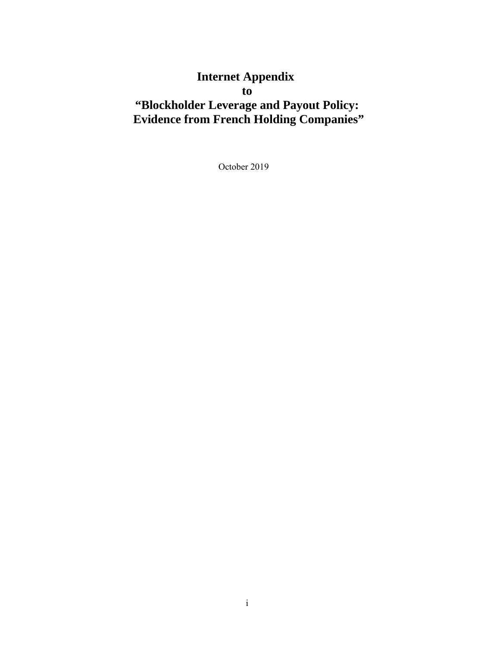# **Internet Appendix to "Blockholder Leverage and Payout Policy: Evidence from French Holding Companies"**

October 2019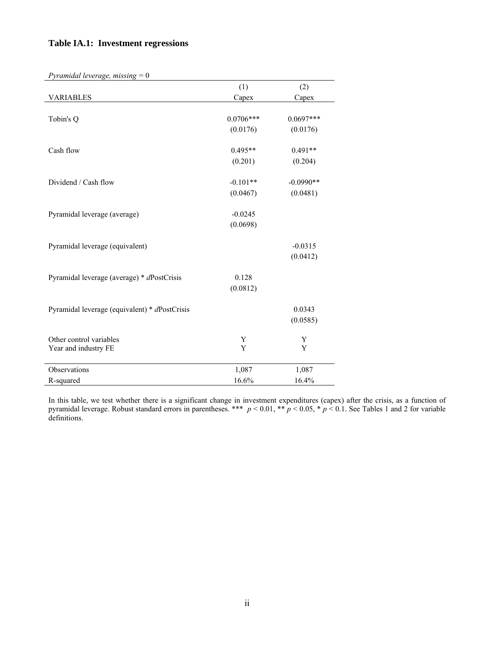# **Table IA.1: Investment regressions**

| Pyramidal leverage, missing $= 0$             |             |             |
|-----------------------------------------------|-------------|-------------|
|                                               | (1)         | (2)         |
| <b>VARIABLES</b>                              | Capex       | Capex       |
| Tobin's Q                                     | $0.0706***$ | $0.0697***$ |
|                                               | (0.0176)    | (0.0176)    |
|                                               |             |             |
| Cash flow                                     | $0.495**$   | $0.491**$   |
|                                               | (0.201)     | (0.204)     |
| Dividend / Cash flow                          | $-0.101**$  | $-0.0990**$ |
|                                               | (0.0467)    | (0.0481)    |
|                                               |             |             |
| Pyramidal leverage (average)                  | $-0.0245$   |             |
|                                               | (0.0698)    |             |
| Pyramidal leverage (equivalent)               |             | $-0.0315$   |
|                                               |             | (0.0412)    |
| Pyramidal leverage (average) * dPostCrisis    | 0.128       |             |
|                                               | (0.0812)    |             |
|                                               |             |             |
| Pyramidal leverage (equivalent) * dPostCrisis |             | 0.0343      |
|                                               |             | (0.0585)    |
| Other control variables                       | Y           | Y           |
| Year and industry FE                          | Y           | Y           |
| Observations                                  | 1,087       | 1,087       |
| R-squared                                     | 16.6%       | 16.4%       |

In this table, we test whether there is a significant change in investment expenditures (capex) after the crisis, as a function of pyramidal leverage. Robust standard errors in parentheses. \*\*\* *p* < 0.01, \*\* *p* < 0.05, \* *p* < 0.1. See Tables 1 and 2 for variable definitions.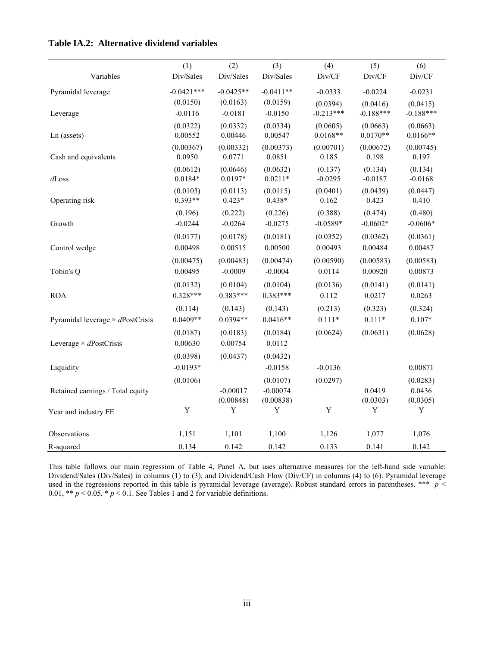|                                         | (1)                   | (2)                   | (3)                    | (4)                    | (5)                    | (6)                    |
|-----------------------------------------|-----------------------|-----------------------|------------------------|------------------------|------------------------|------------------------|
| Variables                               | Div/Sales             | Div/Sales             | Div/Sales              | Div/CF                 | Div/CF                 | Div/CF                 |
| Pyramidal leverage                      | $-0.0421***$          | $-0.0425**$           | $-0.0411**$            | $-0.0333$              | $-0.0224$              | $-0.0231$              |
|                                         | (0.0150)              | (0.0163)              | (0.0159)               | (0.0394)               | (0.0416)               | (0.0415)               |
| Leverage                                | $-0.0116$             | $-0.0181$             | $-0.0150$              | $-0.213***$            | $-0.188***$            | $-0.188***$            |
| Ln (assets)                             | (0.0322)<br>0.00552   | (0.0332)<br>0.00446   | (0.0334)<br>0.00547    | (0.0605)<br>$0.0168**$ | (0.0663)<br>$0.0170**$ | (0.0663)<br>$0.0166**$ |
| Cash and equivalents                    | (0.00367)<br>0.0950   | (0.00332)<br>0.0771   | (0.00373)<br>0.0851    | (0.00701)<br>0.185     | (0.00672)<br>0.198     | (0.00745)<br>0.197     |
| $d$ Loss                                | (0.0612)<br>$0.0184*$ | (0.0646)<br>$0.0197*$ | (0.0632)<br>$0.0211*$  | (0.137)<br>$-0.0295$   | (0.134)<br>$-0.0187$   | (0.134)<br>$-0.0168$   |
| Operating risk                          | (0.0103)<br>$0.393**$ | (0.0113)<br>$0.423*$  | (0.0115)<br>$0.438*$   | (0.0401)<br>0.162      | (0.0439)<br>0.423      | (0.0447)<br>0.410      |
|                                         | (0.196)               | (0.222)               | (0.226)                | (0.388)                | (0.474)                | (0.480)                |
| Growth                                  | $-0.0244$             | $-0.0264$             | $-0.0275$              | $-0.0589*$             | $-0.0602*$             | $-0.0606*$             |
|                                         | (0.0177)              | (0.0178)              | (0.0181)               | (0.0352)               | (0.0362)               | (0.0361)               |
| Control wedge                           | 0.00498               | 0.00515               | 0.00500                | 0.00493                | 0.00484                | 0.00487                |
|                                         | (0.00475)             | (0.00483)             | (0.00474)              | (0.00590)              | (0.00583)              | (0.00583)              |
| Tobin's Q                               | 0.00495               | $-0.0009$             | $-0.0004$              | 0.0114                 | 0.00920                | 0.00873                |
|                                         | (0.0132)              | (0.0104)              | (0.0104)               | (0.0136)               | (0.0141)               | (0.0141)               |
| <b>ROA</b>                              | $0.328***$            | $0.383***$            | $0.383***$             | 0.112                  | 0.0217                 | 0.0263                 |
|                                         | (0.114)               | (0.143)               | (0.143)                | (0.213)                | (0.323)                | (0.324)                |
| Pyramidal leverage $\times$ dPostCrisis | $0.0409**$            | $0.0394**$            | $0.0416**$             | $0.111*$               | $0.111*$               | $0.107*$               |
|                                         | (0.0187)              | (0.0183)              | (0.0184)               | (0.0624)               | (0.0631)               | (0.0628)               |
| Leverage $\times$ dPostCrisis           | 0.00630               | 0.00754               | 0.0112                 |                        |                        |                        |
|                                         | (0.0398)              | (0.0437)              | (0.0432)               |                        |                        |                        |
| Liquidity                               | $-0.0193*$            |                       | $-0.0158$              | $-0.0136$              |                        | 0.00871                |
| Retained earnings / Total equity        | (0.0106)              | $-0.00017$            | (0.0107)<br>$-0.00074$ | (0.0297)               | 0.0419                 | (0.0283)<br>0.0436     |
|                                         |                       | (0.00848)             | (0.00838)              |                        | (0.0303)               | (0.0305)               |
| Year and industry FE                    | $\mathbf Y$           | Y                     | $\mathbf Y$            | $\mathbf Y$            | $\mathbf Y$            | Y                      |
| Observations                            | 1,151                 | 1,101                 | 1,100                  | 1,126                  | 1,077                  | 1,076                  |
| R-squared                               | 0.134                 | 0.142                 | 0.142                  | 0.133                  | 0.141                  | 0.142                  |

**Table IA.2: Alternative dividend variables** 

This table follows our main regression of Table 4, Panel A, but uses alternative measures for the left-hand side variable: Dividend/Sales (Div/Sales) in columns (1) to (3), and Dividend/Cash Flow (Div/CF) in columns (4) to (6). Pyramidal leverage used in the regressions reported in this table is pyramidal leverage (average). Robust standard errors in parentheses. \*\*\* *p* < 0.01, \*\*  $p < 0.05$ , \*  $p < 0.1$ . See Tables 1 and 2 for variable definitions.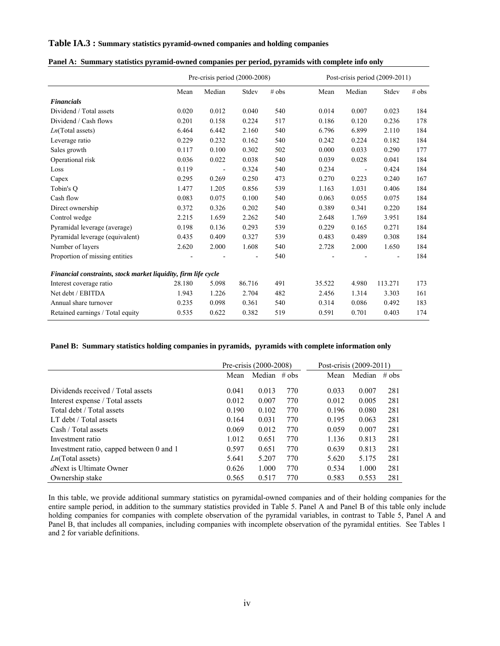### **Table IA.3 : Summary statistics pyramid-owned companies and holding companies**

|                                                                |        | Pre-crisis period (2000-2008) |        |       | Post-crisis period $(2009-2011)$ |                          |         |         |  |  |  |
|----------------------------------------------------------------|--------|-------------------------------|--------|-------|----------------------------------|--------------------------|---------|---------|--|--|--|
|                                                                | Mean   | Median                        | Stdev  | # obs | Mean                             | Median                   | Stdev   | $#$ obs |  |  |  |
| <b>Financials</b>                                              |        |                               |        |       |                                  |                          |         |         |  |  |  |
| Dividend / Total assets                                        | 0.020  | 0.012                         | 0.040  | 540   | 0.014                            | 0.007                    | 0.023   | 184     |  |  |  |
| Dividend / Cash flows                                          | 0.201  | 0.158                         | 0.224  | 517   | 0.186                            | 0.120                    | 0.236   | 178     |  |  |  |
| $Ln(Total$ assets)                                             | 6.464  | 6.442                         | 2.160  | 540   | 6.796                            | 6.899                    | 2.110   | 184     |  |  |  |
| Leverage ratio                                                 | 0.229  | 0.232                         | 0.162  | 540   | 0.242                            | 0.224                    | 0.182   | 184     |  |  |  |
| Sales growth                                                   | 0.117  | 0.100                         | 0.302  | 502   | 0.000                            | 0.033                    | 0.290   | 177     |  |  |  |
| Operational risk                                               | 0.036  | 0.022                         | 0.038  | 540   | 0.039                            | 0.028                    | 0.041   | 184     |  |  |  |
| Loss                                                           | 0.119  | $\overline{\phantom{a}}$      | 0.324  | 540   | 0.234                            | $\overline{\phantom{a}}$ | 0.424   | 184     |  |  |  |
| Capex                                                          | 0.295  | 0.269                         | 0.250  | 473   | 0.270                            | 0.223                    | 0.240   | 167     |  |  |  |
| Tobin's O                                                      | 1.477  | 1.205                         | 0.856  | 539   | 1.163                            | 1.031                    | 0.406   | 184     |  |  |  |
| Cash flow                                                      | 0.083  | 0.075                         | 0.100  | 540   | 0.063                            | 0.055                    | 0.075   | 184     |  |  |  |
| Direct ownership                                               | 0.372  | 0.326                         | 0.202  | 540   | 0.389                            | 0.341                    | 0.220   | 184     |  |  |  |
| Control wedge                                                  | 2.215  | 1.659                         | 2.262  | 540   | 2.648                            | 1.769                    | 3.951   | 184     |  |  |  |
| Pyramidal leverage (average)                                   | 0.198  | 0.136                         | 0.293  | 539   | 0.229                            | 0.165                    | 0.271   | 184     |  |  |  |
| Pyramidal leverage (equivalent)                                | 0.435  | 0.409                         | 0.327  | 539   | 0.483                            | 0.489                    | 0.308   | 184     |  |  |  |
| Number of layers                                               | 2.620  | 2.000                         | 1.608  | 540   | 2.728                            | 2.000                    | 1.650   | 184     |  |  |  |
| Proportion of missing entities                                 |        |                               |        | 540   |                                  |                          |         | 184     |  |  |  |
| Financial constraints, stock market liquidity, firm life cycle |        |                               |        |       |                                  |                          |         |         |  |  |  |
| Interest coverage ratio                                        | 28.180 | 5.098                         | 86.716 | 491   | 35.522                           | 4.980                    | 113.271 | 173     |  |  |  |
| Net debt / EBITDA                                              | 1.943  | 1.226                         | 2.704  | 482   | 2.456                            | 1.314                    | 3.303   | 161     |  |  |  |
| Annual share turnover                                          | 0.235  | 0.098                         | 0.361  | 540   | 0.314                            | 0.086                    | 0.492   | 183     |  |  |  |
| Retained earnings / Total equity                               | 0.535  | 0.622                         | 0.382  | 519   | 0.591                            | 0.701                    | 0.403   | 174     |  |  |  |

#### **Panel B: Summary statistics holding companies in pyramids, pyramids with complete information only**

|                                          |       | Pre-crisis (2000-2008) |     | Post-crisis (2009-2011) |        |         |  |  |
|------------------------------------------|-------|------------------------|-----|-------------------------|--------|---------|--|--|
|                                          | Mean  | Median $# obs$         |     | Mean                    | Median | $#$ obs |  |  |
| Dividends received / Total assets        | 0.041 | 0.013                  | 770 | 0.033                   | 0.007  | 281     |  |  |
| Interest expense / Total assets          | 0.012 | 0.007                  | 770 | 0.012                   | 0.005  | 281     |  |  |
| Total debt / Total assets                | 0.190 | 0.102                  | 770 | 0.196                   | 0.080  | 281     |  |  |
| LT debt / Total assets                   | 0.164 | 0.031                  | 770 | 0.195                   | 0.063  | 281     |  |  |
| Cash / Total assets                      | 0.069 | 0.012                  | 770 | 0.059                   | 0.007  | 281     |  |  |
| Investment ratio                         | 1.012 | 0.651                  | 770 | 1.136                   | 0.813  | 281     |  |  |
| Investment ratio, capped between 0 and 1 | 0.597 | 0.651                  | 770 | 0.639                   | 0.813  | 281     |  |  |
| $Ln(Total$ assets)                       | 5.641 | 5.207                  | 770 | 5.620                   | 5.175  | 281     |  |  |
| <i>d</i> Next is Ultimate Owner          | 0.626 | 1.000                  | 770 | 0.534                   | 1.000  | 281     |  |  |
| Ownership stake                          | 0.565 | 0.517                  | 770 | 0.583                   | 0.553  | 281     |  |  |

In this table, we provide additional summary statistics on pyramidal-owned companies and of their holding companies for the entire sample period, in addition to the summary statistics provided in Table 5. Panel A and Panel B of this table only include holding companies for companies with complete observation of the pyramidal variables, in contrast to Table 5, Panel A and Panel B, that includes all companies, including companies with incomplete observation of the pyramidal entities. See Tables 1 and 2 for variable definitions.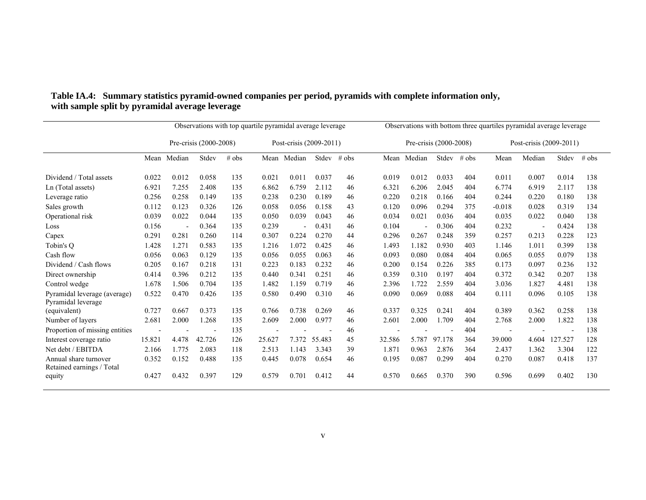|                                                    |        | Observations with top quartile pyramidal average leverage |        |       |        |                         |        |         |        | Observations with bottom three quartiles pyramidal average leverage |        |         |                          |                         |         |         |
|----------------------------------------------------|--------|-----------------------------------------------------------|--------|-------|--------|-------------------------|--------|---------|--------|---------------------------------------------------------------------|--------|---------|--------------------------|-------------------------|---------|---------|
|                                                    |        | Pre-crisis (2000-2008)                                    |        |       |        | Post-crisis (2009-2011) |        |         |        | Pre-crisis (2000-2008)                                              |        |         |                          | Post-crisis (2009-2011) |         |         |
|                                                    |        | Mean Median                                               | Stdev  | # obs |        | Mean Median             | Stdev  | $#$ obs |        | Mean Median                                                         | Stdev  | $#$ obs | Mean                     | Median                  | Stdev   | $#$ obs |
| Dividend / Total assets                            | 0.022  | 0.012                                                     | 0.058  | 135   | 0.021  | 0.011                   | 0.037  | 46      | 0.019  | 0.012                                                               | 0.033  | 404     | 0.011                    | 0.007                   | 0.014   | 138     |
| Ln (Total assets)                                  | 6.921  | 7.255                                                     | 2.408  | 135   | 6.862  | 6.759                   | 2.112  | 46      | 6.321  | 6.206                                                               | 2.045  | 404     | 6.774                    | 6.919                   | 2.117   | 138     |
| Leverage ratio                                     | 0.256  | 0.258                                                     | 0.149  | 135   | 0.238  | 0.230                   | 0.189  | 46      | 0.220  | 0.218                                                               | 0.166  | 404     | 0.244                    | 0.220                   | 0.180   | 138     |
| Sales growth                                       | 0.112  | 0.123                                                     | 0.326  | 126   | 0.058  | 0.056                   | 0.158  | 43      | 0.120  | 0.096                                                               | 0.294  | 375     | $-0.018$                 | 0.028                   | 0.319   | 134     |
| Operational risk                                   | 0.039  | 0.022                                                     | 0.044  | 135   | 0.050  | 0.039                   | 0.043  | 46      | 0.034  | 0.021                                                               | 0.036  | 404     | 0.035                    | 0.022                   | 0.040   | 138     |
| Loss                                               | 0.156  |                                                           | 0.364  | 135   | 0.239  |                         | 0.431  | 46      | 0.104  |                                                                     | 0.306  | 404     | 0.232                    |                         | 0.424   | 138     |
| Capex                                              | 0.291  | 0.281                                                     | 0.260  | 114   | 0.307  | 0.224                   | 0.270  | 44      | 0.296  | 0.267                                                               | 0.248  | 359     | 0.257                    | 0.213                   | 0.228   | 123     |
| Tobin's O                                          | 1.428  | 1.271                                                     | 0.583  | 135   | 1.216  | 1.072                   | 0.425  | 46      | 1.493  | 1.182                                                               | 0.930  | 403     | 1.146                    | 1.011                   | 0.399   | 138     |
| Cash flow                                          | 0.056  | 0.063                                                     | 0.129  | 135   | 0.056  | 0.055                   | 0.063  | 46      | 0.093  | 0.080                                                               | 0.084  | 404     | 0.065                    | 0.055                   | 0.079   | 138     |
| Dividend / Cash flows                              | 0.205  | 0.167                                                     | 0.218  | 131   | 0.223  | 0.183                   | 0.232  | 46      | 0.200  | 0.154                                                               | 0.226  | 385     | 0.173                    | 0.097                   | 0.236   | 132     |
| Direct ownership                                   | 0.414  | 0.396                                                     | 0.212  | 135   | 0.440  | 0.341                   | 0.251  | 46      | 0.359  | 0.310                                                               | 0.197  | 404     | 0.372                    | 0.342                   | 0.207   | 138     |
| Control wedge                                      | 1.678  | 1.506                                                     | 0.704  | 135   | 1.482  | 1.159                   | 0.719  | 46      | 2.396  | 1.722                                                               | 2.559  | 404     | 3.036                    | 1.827                   | 4.481   | 138     |
| Pyramidal leverage (average)<br>Pyramidal leverage | 0.522  | 0.470                                                     | 0.426  | 135   | 0.580  | 0.490                   | 0.310  | 46      | 0.090  | 0.069                                                               | 0.088  | 404     | 0.111                    | 0.096                   | 0.105   | 138     |
| (equivalent)                                       | 0.727  | 0.667                                                     | 0.373  | 135   | 0.766  | 0.738                   | 0.269  | 46      | 0.337  | 0.325                                                               | 0.241  | 404     | 0.389                    | 0.362                   | 0.258   | 138     |
| Number of layers                                   | 2.681  | 2.000                                                     | 1.268  | 135   | 2.609  | 2.000                   | 0.977  | 46      | 2.601  | 2.000                                                               | 1.709  | 404     | 2.768                    | 2.000                   | 1.822   | 138     |
| Proportion of missing entities                     |        |                                                           |        | 135   |        |                         |        | 46      |        |                                                                     |        | 404     | $\overline{\phantom{a}}$ |                         |         | 138     |
| Interest coverage ratio                            | 15.821 | 4.478                                                     | 42.726 | 126   | 25.627 | 7.372                   | 55.483 | 45      | 32.586 | 5.787                                                               | 97.178 | 364     | 39.000                   | 4.604                   | 127.527 | 128     |
| Net debt / EBITDA                                  | 2.166  | 1.775                                                     | 2.083  | 118   | 2.513  | 1.143                   | 3.343  | 39      | 1.871  | 0.963                                                               | 2.876  | 364     | 2.437                    | 1.362                   | 3.304   | 122     |
| Annual share turnover<br>Retained earnings / Total | 0.352  | 0.152                                                     | 0.488  | 135   | 0.445  | 0.078                   | 0.654  | 46      | 0.195  | 0.087                                                               | 0.299  | 404     | 0.270                    | 0.087                   | 0.418   | 137     |
| equity                                             | 0.427  | 0.432                                                     | 0.397  | 129   | 0.579  | 0.701                   | 0.412  | 44      | 0.570  | 0.665                                                               | 0.370  | 390     | 0.596                    | 0.699                   | 0.402   | 130     |

### **Table IA.4: Summary statistics pyramid-owned companies per period, pyramids with complete information only, with sample split by pyramidal average leverage**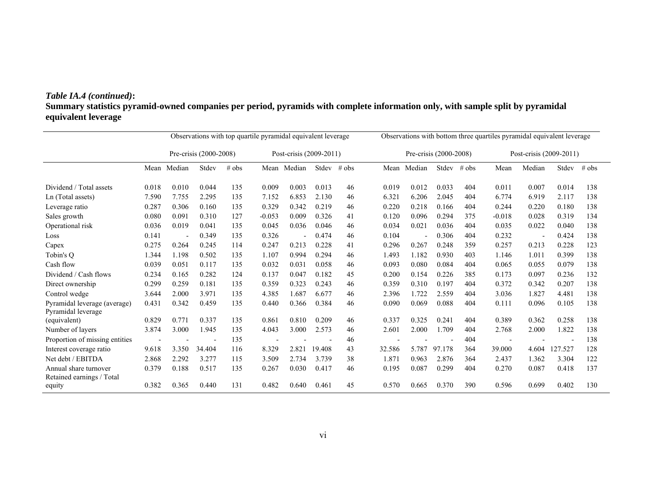# *Table IA.4 (continued)***:**

**Summary statistics pyramid-owned companies per period, pyramids with complete information only, with sample split by pyramidal equivalent leverage**

|                                                    |       | Observations with top quartile pyramidal equivalent leverage |        |       |                         |             |        | Observations with bottom three quartiles pyramidal equivalent leverage |                        |        |        |         |                         |                          |         |         |
|----------------------------------------------------|-------|--------------------------------------------------------------|--------|-------|-------------------------|-------------|--------|------------------------------------------------------------------------|------------------------|--------|--------|---------|-------------------------|--------------------------|---------|---------|
|                                                    |       | Pre-crisis (2000-2008)                                       |        |       | Post-crisis (2009-2011) |             |        |                                                                        | Pre-crisis (2000-2008) |        |        |         | Post-crisis (2009-2011) |                          |         |         |
|                                                    | Mean  | Median                                                       | Stdev  | # obs |                         | Mean Median | Stdev  | $#$ obs                                                                | Mean                   | Median | Stdev  | $#$ obs | Mean                    | Median                   | Stdev   | $#$ obs |
| Dividend / Total assets                            | 0.018 | 0.010                                                        | 0.044  | 135   | 0.009                   | 0.003       | 0.013  | 46                                                                     | 0.019                  | 0.012  | 0.033  | 404     | 0.011                   | 0.007                    | 0.014   | 138     |
| Ln (Total assets)                                  | 7.590 | 7.755                                                        | 2.295  | 135   | 7.152                   | 6.853       | 2.130  | 46                                                                     | 6.321                  | 6.206  | 2.045  | 404     | 6.774                   | 6.919                    | 2.117   | 138     |
| Leverage ratio                                     | 0.287 | 0.306                                                        | 0.160  | 135   | 0.329                   | 0.342       | 0.219  | 46                                                                     | 0.220                  | 0.218  | 0.166  | 404     | 0.244                   | 0.220                    | 0.180   | 138     |
| Sales growth                                       | 0.080 | 0.091                                                        | 0.310  | 127   | $-0.053$                | 0.009       | 0.326  | 41                                                                     | 0.120                  | 0.096  | 0.294  | 375     | $-0.018$                | 0.028                    | 0.319   | 134     |
| Operational risk                                   | 0.036 | 0.019                                                        | 0.041  | 135   | 0.045                   | 0.036       | 0.046  | 46                                                                     | 0.034                  | 0.021  | 0.036  | 404     | 0.035                   | 0.022                    | 0.040   | 138     |
| Loss                                               | 0.141 |                                                              | 0.349  | 135   | 0.326                   |             | 0.474  | 46                                                                     | 0.104                  |        | 0.306  | 404     | 0.232                   | $\overline{\phantom{a}}$ | 0.424   | 138     |
| Capex                                              | 0.275 | 0.264                                                        | 0.245  | 114   | 0.247                   | 0.213       | 0.228  | 41                                                                     | 0.296                  | 0.267  | 0.248  | 359     | 0.257                   | 0.213                    | 0.228   | 123     |
| Tobin's O                                          | 1.344 | 1.198                                                        | 0.502  | 135   | 1.107                   | 0.994       | 0.294  | 46                                                                     | 1.493                  | 1.182  | 0.930  | 403     | 1.146                   | 1.011                    | 0.399   | 138     |
| Cash flow                                          | 0.039 | 0.051                                                        | 0.117  | 135   | 0.032                   | 0.031       | 0.058  | 46                                                                     | 0.093                  | 0.080  | 0.084  | 404     | 0.065                   | 0.055                    | 0.079   | 138     |
| Dividend / Cash flows                              | 0.234 | 0.165                                                        | 0.282  | 124   | 0.137                   | 0.047       | 0.182  | 45                                                                     | 0.200                  | 0.154  | 0.226  | 385     | 0.173                   | 0.097                    | 0.236   | 132     |
| Direct ownership                                   | 0.299 | 0.259                                                        | 0.181  | 135   | 0.359                   | 0.323       | 0.243  | 46                                                                     | 0.359                  | 0.310  | 0.197  | 404     | 0.372                   | 0.342                    | 0.207   | 138     |
| Control wedge                                      | 3.644 | 2.000                                                        | 3.971  | 135   | 4.385                   | 1.687       | 6.677  | 46                                                                     | 2.396                  | 1.722  | 2.559  | 404     | 3.036                   | 1.827                    | 4.481   | 138     |
| Pyramidal leverage (average)<br>Pyramidal leverage | 0.431 | 0.342                                                        | 0.459  | 135   | 0.440                   | 0.366       | 0.384  | 46                                                                     | 0.090                  | 0.069  | 0.088  | 404     | 0.111                   | 0.096                    | 0.105   | 138     |
| (equivalent)                                       | 0.829 | 0.771                                                        | 0.337  | 135   | 0.861                   | 0.810       | 0.209  | 46                                                                     | 0.337                  | 0.325  | 0.241  | 404     | 0.389                   | 0.362                    | 0.258   | 138     |
| Number of layers                                   | 3.874 | 3.000                                                        | 1.945  | 135   | 4.043                   | 3.000       | 2.573  | 46                                                                     | 2.601                  | 2.000  | 1.709  | 404     | 2.768                   | 2.000                    | 1.822   | 138     |
| Proportion of missing entities                     |       |                                                              |        | 135   |                         |             |        | 46                                                                     |                        |        |        | 404     |                         |                          |         | 138     |
| Interest coverage ratio                            | 9.618 | 3.350                                                        | 34.404 | 116   | 8.329                   | 2.821       | 19.408 | 43                                                                     | 32.586                 | 5.787  | 97.178 | 364     | 39.000                  | 4.604                    | 127.527 | 128     |
| Net debt / EBITDA                                  | 2.868 | 2.292                                                        | 3.277  | 115   | 3.509                   | 2.734       | 3.739  | 38                                                                     | 1.871                  | 0.963  | 2.876  | 364     | 2.437                   | 1.362                    | 3.304   | 122     |
| Annual share turnover<br>Retained earnings / Total | 0.379 | 0.188                                                        | 0.517  | 135   | 0.267                   | 0.030       | 0.417  | 46                                                                     | 0.195                  | 0.087  | 0.299  | 404     | 0.270                   | 0.087                    | 0.418   | 137     |
| equity                                             | 0.382 | 0.365                                                        | 0.440  | 131   | 0.482                   | 0.640       | 0.461  | 45                                                                     | 0.570                  | 0.665  | 0.370  | 390     | 0.596                   | 0.699                    | 0.402   | 130     |